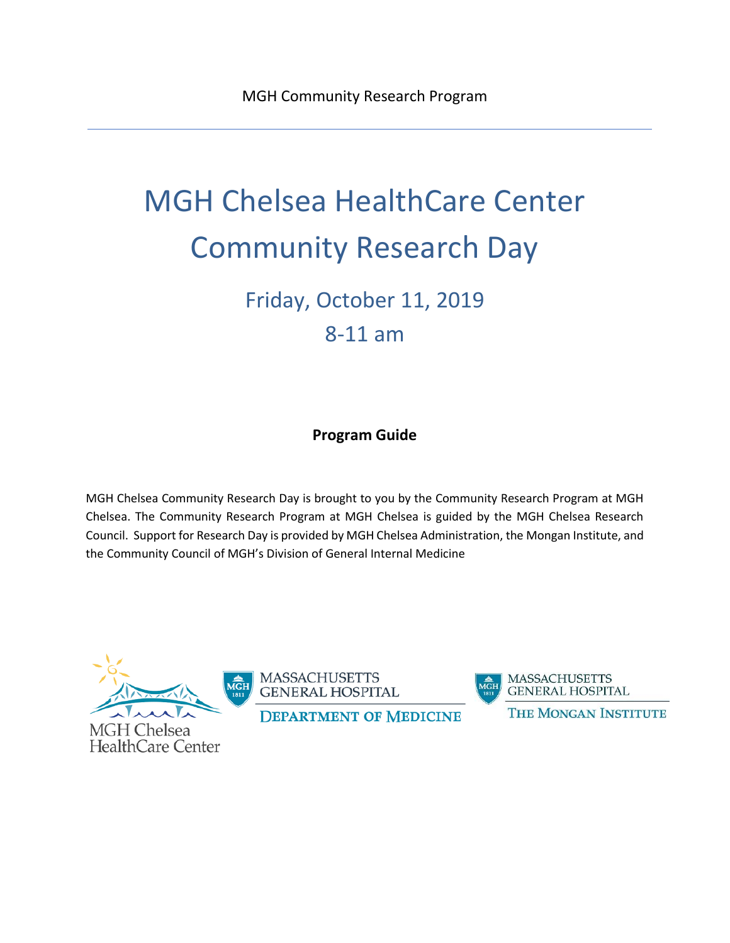# MGH Chelsea HealthCare Center Community Research Day

Friday, October 11, 2019 8-11 am

## **Program Guide**

MGH Chelsea Community Research Day is brought to you by the Community Research Program at MGH Chelsea. The Community Research Program at MGH Chelsea is guided by the MGH Chelsea Research Council. Support for Research Day is provided by MGH Chelsea Administration, the Mongan Institute, and the Community Council of MGH's Division of General Internal Medicine

**MGH Chelsea HealthCare Center** 

**MASSACHUSETTS GENERAL HOSPITAL** 

**DEPARTMENT OF MEDICINE** 

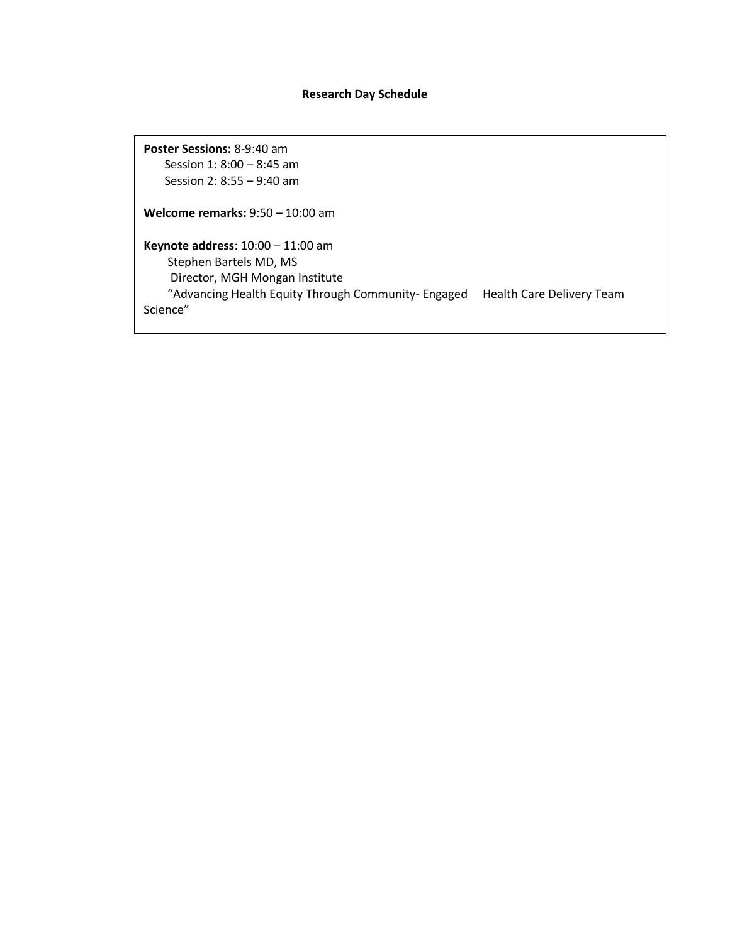## **Research Day Schedule**

**Poster Sessions:** 8-9:40 am Session 1: 8:00 – 8:45 am Session 2: 8:55 – 9:40 am

**Welcome remarks:** 9:50 – 10:00 am

**Keynote address**: 10:00 – 11:00 am Stephen Bartels MD, MS Director, MGH Mongan Institute "Advancing Health Equity Through Community- Engaged Health Care Delivery Team Science"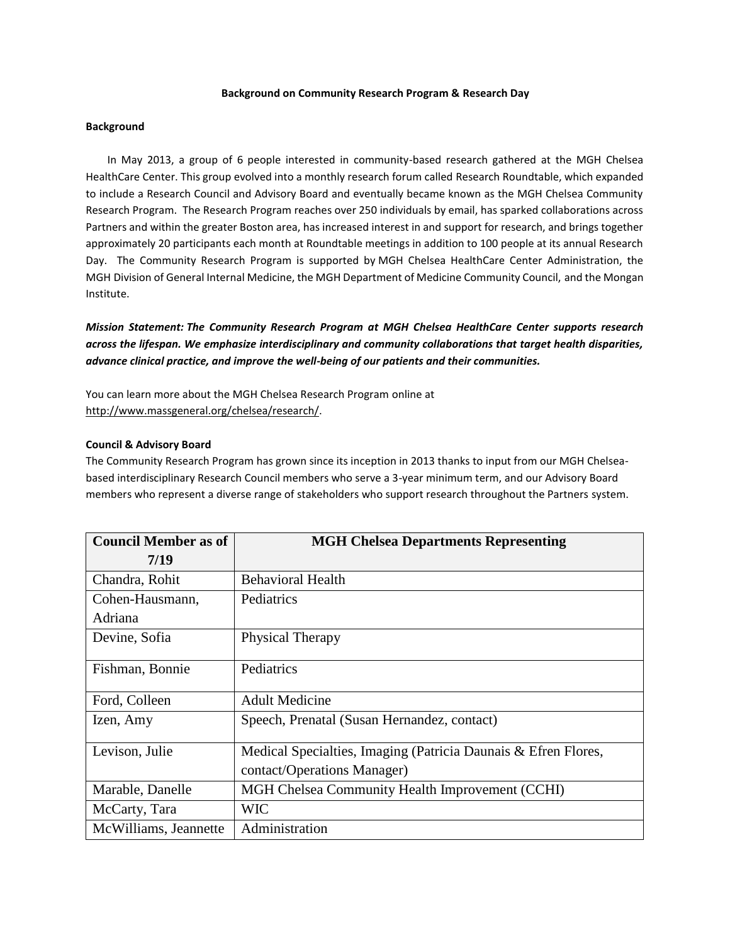#### **Background on Community Research Program & Research Day**

## **Background**

In May 2013, a group of 6 people interested in community-based research gathered at the MGH Chelsea HealthCare Center. This group evolved into a monthly research forum called Research Roundtable, which expanded to include a Research Council and Advisory Board and eventually became known as the MGH Chelsea Community Research Program. The Research Program reaches over 250 individuals by email, has sparked collaborations across Partners and within the greater Boston area, has increased interest in and support for research, and brings together approximately 20 participants each month at Roundtable meetings in addition to 100 people at its annual Research Day. The Community Research Program is supported by MGH Chelsea HealthCare Center Administration, the MGH Division of General Internal Medicine, the MGH Department of Medicine Community Council, and the Mongan Institute.

*Mission Statement: The Community Research Program at MGH Chelsea HealthCare Center supports research across the lifespan. We emphasize interdisciplinary and community collaborations that target health disparities, advance clinical practice, and improve the well-being of our patients and their communities.*

You can learn more about the MGH Chelsea Research Program online at [http://www.massgeneral.org/chelsea/research/.](http://www.massgeneral.org/chelsea/research/)

#### **Council & Advisory Board**

The Community Research Program has grown since its inception in 2013 thanks to input from our MGH Chelseabased interdisciplinary Research Council members who serve a 3-year minimum term, and our Advisory Board members who represent a diverse range of stakeholders who support research throughout the Partners system.

| <b>Council Member as of</b> | <b>MGH Chelsea Departments Representing</b>                    |
|-----------------------------|----------------------------------------------------------------|
| 7/19                        |                                                                |
| Chandra, Rohit              | <b>Behavioral Health</b>                                       |
| Cohen-Hausmann,             | Pediatrics                                                     |
| Adriana                     |                                                                |
| Devine, Sofia               | Physical Therapy                                               |
| Fishman, Bonnie             | Pediatrics                                                     |
| Ford, Colleen               | <b>Adult Medicine</b>                                          |
| Izen, Amy                   | Speech, Prenatal (Susan Hernandez, contact)                    |
| Levison, Julie              | Medical Specialties, Imaging (Patricia Daunais & Efren Flores, |
|                             | contact/Operations Manager)                                    |
| Marable, Danelle            | MGH Chelsea Community Health Improvement (CCHI)                |
| McCarty, Tara               | <b>WIC</b>                                                     |
| McWilliams, Jeannette       | Administration                                                 |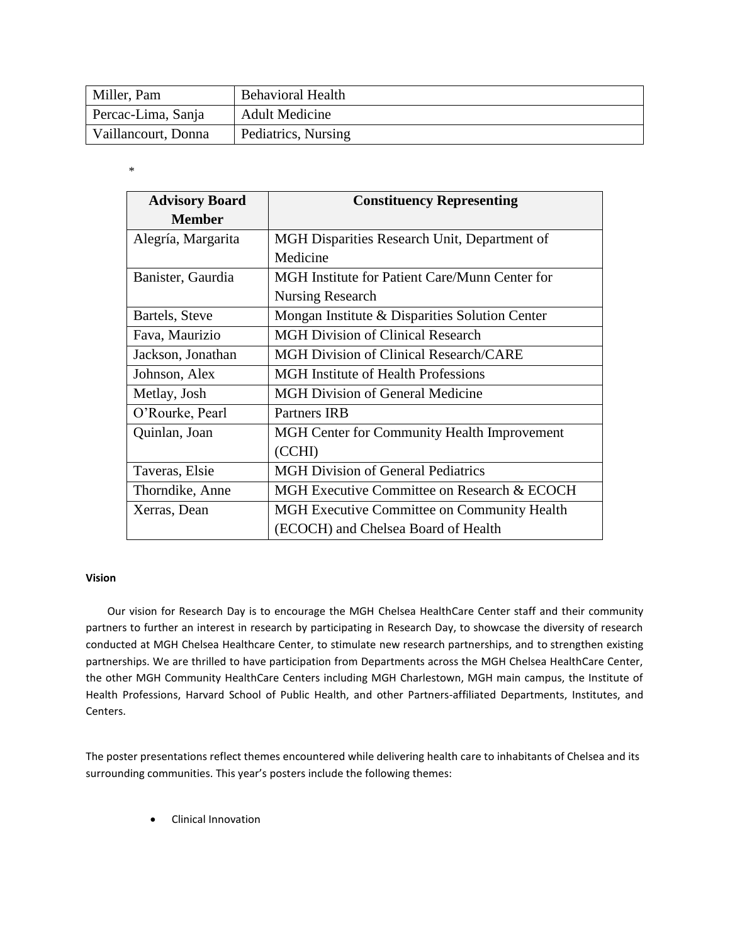| Miller, Pam         | <b>Behavioral Health</b> |
|---------------------|--------------------------|
| Percac-Lima, Sanja  | <b>Adult Medicine</b>    |
| Vaillancourt, Donna | Pediatrics, Nursing      |

\*

| <b>Advisory Board</b> | <b>Constituency Representing</b>                   |
|-----------------------|----------------------------------------------------|
| <b>Member</b>         |                                                    |
| Alegría, Margarita    | MGH Disparities Research Unit, Department of       |
|                       | Medicine                                           |
| Banister, Gaurdia     | MGH Institute for Patient Care/Munn Center for     |
|                       | Nursing Research                                   |
| Bartels, Steve        | Mongan Institute & Disparities Solution Center     |
| Fava, Maurizio        | <b>MGH Division of Clinical Research</b>           |
| Jackson, Jonathan     | <b>MGH Division of Clinical Research/CARE</b>      |
| Johnson, Alex         | <b>MGH</b> Institute of Health Professions         |
| Metlay, Josh          | <b>MGH Division of General Medicine</b>            |
| O'Rourke, Pearl       | Partners IRB                                       |
| Quinlan, Joan         | MGH Center for Community Health Improvement        |
|                       | (CCHI)                                             |
| Taveras, Elsie        | <b>MGH Division of General Pediatrics</b>          |
| Thorndike, Anne       | MGH Executive Committee on Research & ECOCH        |
| Xerras, Dean          | <b>MGH</b> Executive Committee on Community Health |
|                       | (ECOCH) and Chelsea Board of Health                |

## **Vision**

Our vision for Research Day is to encourage the MGH Chelsea HealthCare Center staff and their community partners to further an interest in research by participating in Research Day, to showcase the diversity of research conducted at MGH Chelsea Healthcare Center, to stimulate new research partnerships, and to strengthen existing partnerships. We are thrilled to have participation from Departments across the MGH Chelsea HealthCare Center, the other MGH Community HealthCare Centers including MGH Charlestown, MGH main campus, the Institute of Health Professions, Harvard School of Public Health, and other Partners-affiliated Departments, Institutes, and Centers.

The poster presentations reflect themes encountered while delivering health care to inhabitants of Chelsea and its surrounding communities. This year's posters include the following themes:

• Clinical Innovation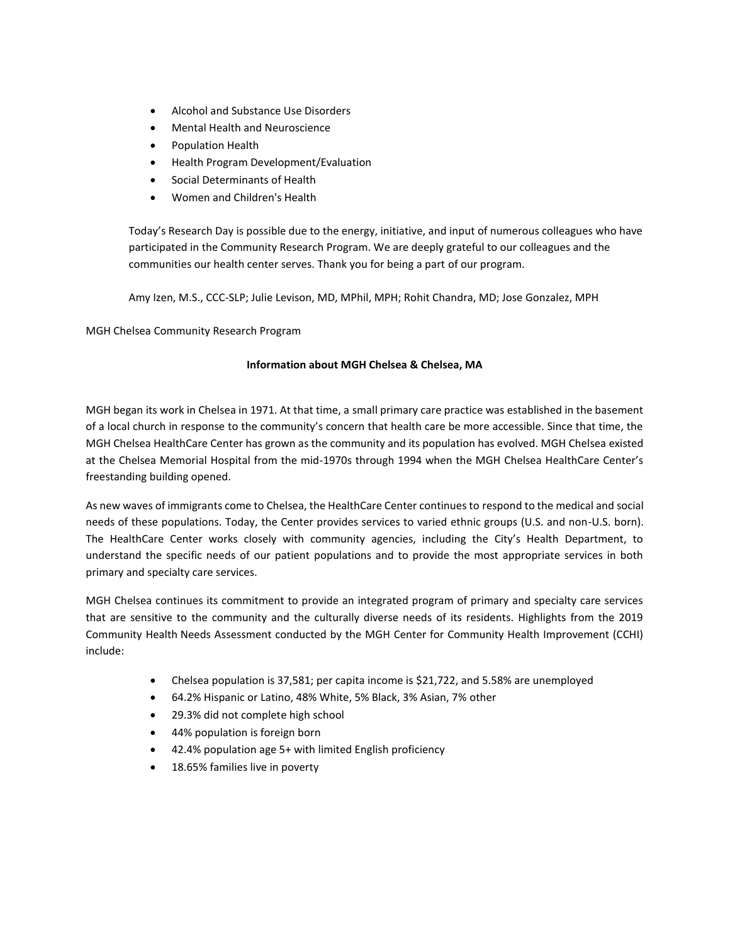- Alcohol and Substance Use Disorders
- Mental Health and Neuroscience
- Population Health
- Health Program Development/Evaluation
- Social Determinants of Health
- Women and Children's Health

Today's Research Day is possible due to the energy, initiative, and input of numerous colleagues who have participated in the Community Research Program. We are deeply grateful to our colleagues and the communities our health center serves. Thank you for being a part of our program.

Amy Izen, M.S., CCC-SLP; Julie Levison, MD, MPhil, MPH; Rohit Chandra, MD; Jose Gonzalez, MPH

MGH Chelsea Community Research Program

## **Information about MGH Chelsea & Chelsea, MA**

MGH began its work in Chelsea in 1971. At that time, a small primary care practice was established in the basement of a local church in response to the community's concern that health care be more accessible. Since that time, the MGH Chelsea HealthCare Center has grown as the community and its population has evolved. MGH Chelsea existed at the Chelsea Memorial Hospital from the mid-1970s through 1994 when the MGH Chelsea HealthCare Center's freestanding building opened.

As new waves of immigrants come to Chelsea, the HealthCare Center continues to respond to the medical and social needs of these populations. Today, the Center provides services to varied ethnic groups (U.S. and non-U.S. born). The HealthCare Center works closely with community agencies, including the City's Health Department, to understand the specific needs of our patient populations and to provide the most appropriate services in both primary and specialty care services.

MGH Chelsea continues its commitment to provide an integrated program of primary and specialty care services that are sensitive to the community and the culturally diverse needs of its residents. Highlights from the 2019 Community Health Needs Assessment conducted by the MGH Center for Community Health Improvement (CCHI) include:

- Chelsea population is 37,581; per capita income is \$21,722, and 5.58% are unemployed
- 64.2% Hispanic or Latino, 48% White, 5% Black, 3% Asian, 7% other
- 29.3% did not complete high school
- 44% population is foreign born
- 42.4% population age 5+ with limited English proficiency
- 18.65% families live in poverty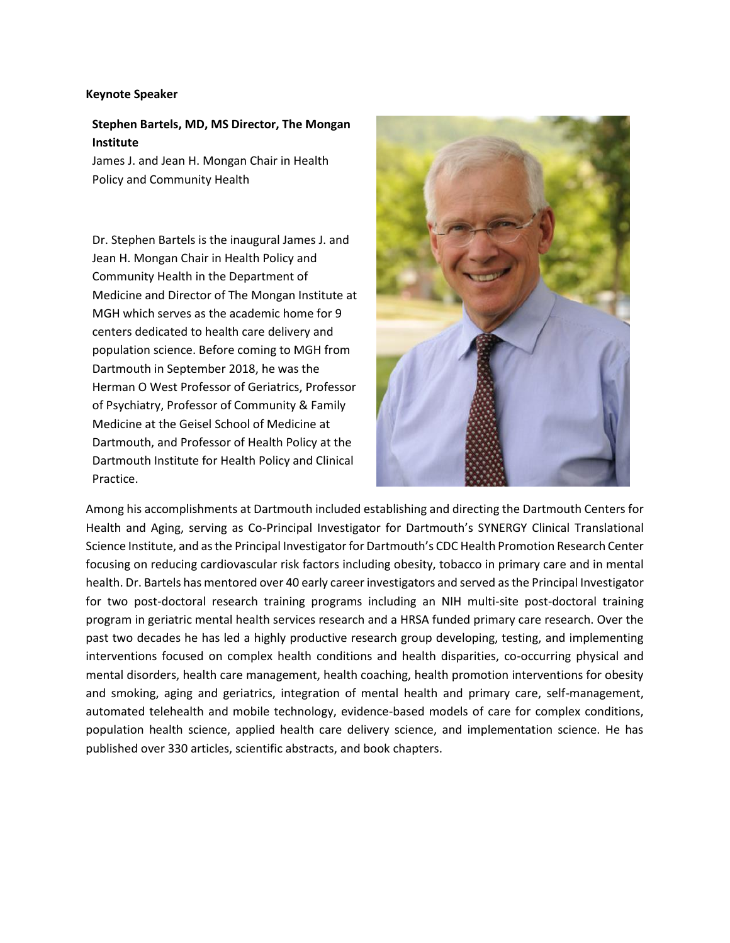## **Keynote Speaker**

**Stephen Bartels, MD, MS Director, The Mongan Institute**

James J. and Jean H. Mongan Chair in Health Policy and Community Health

Dr. Stephen Bartels is the inaugural James J. and Jean H. Mongan Chair in Health Policy and Community Health in the Department of Medicine and Director of The Mongan Institute at MGH which serves as the academic home for 9 centers dedicated to health care delivery and population science. Before coming to MGH from Dartmouth in September 2018, he was the Herman O West Professor of Geriatrics, Professor of Psychiatry, Professor of Community & Family Medicine at the Geisel School of Medicine at Dartmouth, and Professor of Health Policy at the Dartmouth Institute for Health Policy and Clinical Practice.



Among his accomplishments at Dartmouth included establishing and directing the Dartmouth Centers for Health and Aging, serving as Co-Principal Investigator for Dartmouth's SYNERGY Clinical Translational Science Institute, and as the Principal Investigator for Dartmouth's CDC Health Promotion Research Center focusing on reducing cardiovascular risk factors including obesity, tobacco in primary care and in mental health. Dr. Bartels has mentored over 40 early career investigators and served as the Principal Investigator for two post-doctoral research training programs including an NIH multi-site post-doctoral training program in geriatric mental health services research and a HRSA funded primary care research. Over the past two decades he has led a highly productive research group developing, testing, and implementing interventions focused on complex health conditions and health disparities, co-occurring physical and mental disorders, health care management, health coaching, health promotion interventions for obesity and smoking, aging and geriatrics, integration of mental health and primary care, self-management, automated telehealth and mobile technology, evidence-based models of care for complex conditions, population health science, applied health care delivery science, and implementation science. He has published over 330 articles, scientific abstracts, and book chapters.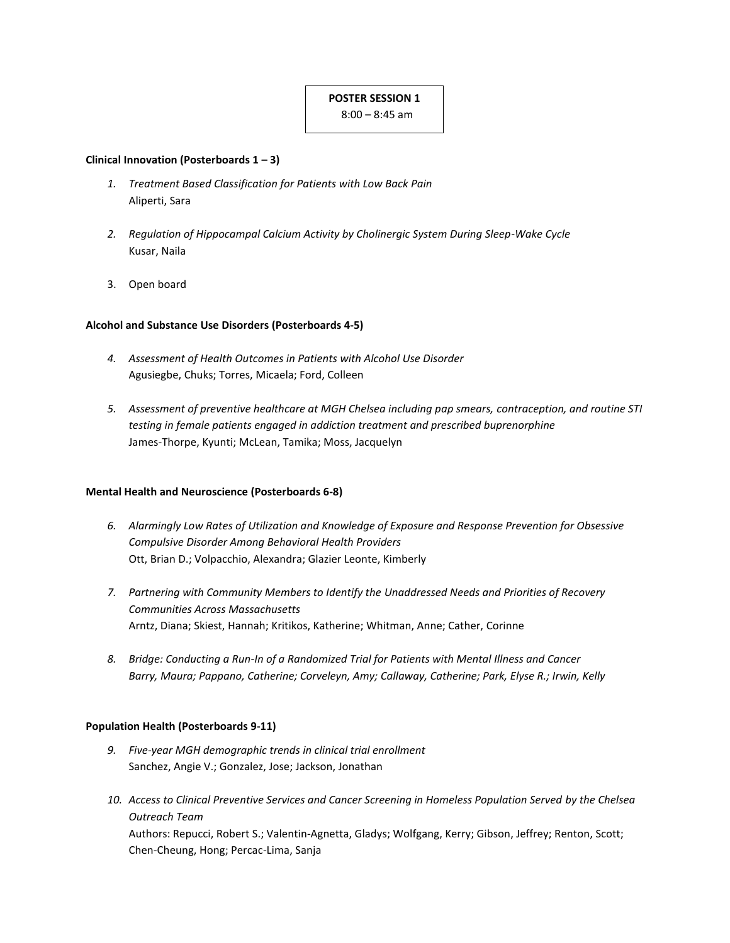## **POSTER SESSION 1**

8:00 – 8:45 am

## **Clinical Innovation (Posterboards 1 – 3)**

- *1. Treatment Based Classification for Patients with Low Back Pain* Aliperti, Sara
- *2. Regulation of Hippocampal Calcium Activity by Cholinergic System During Sleep-Wake Cycle* Kusar, Naila
- 3. Open board

## **Alcohol and Substance Use Disorders (Posterboards 4-5)**

- *4. Assessment of Health Outcomes in Patients with Alcohol Use Disorder* Agusiegbe, Chuks; Torres, Micaela; Ford, Colleen
- *5. Assessment of preventive healthcare at MGH Chelsea including pap smears, contraception, and routine STI testing in female patients engaged in addiction treatment and prescribed buprenorphine* James-Thorpe, Kyunti; McLean, Tamika; Moss, Jacquelyn

## **Mental Health and Neuroscience (Posterboards 6-8)**

- *6. Alarmingly Low Rates of Utilization and Knowledge of Exposure and Response Prevention for Obsessive Compulsive Disorder Among Behavioral Health Providers* Ott, Brian D.; Volpacchio, Alexandra; Glazier Leonte, Kimberly
- *7. Partnering with Community Members to Identify the Unaddressed Needs and Priorities of Recovery Communities Across Massachusetts* Arntz, Diana; Skiest, Hannah; Kritikos, Katherine; Whitman, Anne; Cather, Corinne
- *8. Bridge: Conducting a Run-In of a Randomized Trial for Patients with Mental Illness and Cancer Barry, Maura; Pappano, Catherine; Corveleyn, Amy; Callaway, Catherine; Park, Elyse R.; Irwin, Kelly*

## **Population Health (Posterboards 9-11)**

- *9. Five-year MGH demographic trends in clinical trial enrollment* Sanchez, Angie V.; Gonzalez, Jose; Jackson, Jonathan
- *10. Access to Clinical Preventive Services and Cancer Screening in Homeless Population Served by the Chelsea Outreach Team* Authors: Repucci, Robert S.; Valentin-Agnetta, Gladys; Wolfgang, Kerry; Gibson, Jeffrey; Renton, Scott; Chen-Cheung, Hong; Percac-Lima, Sanja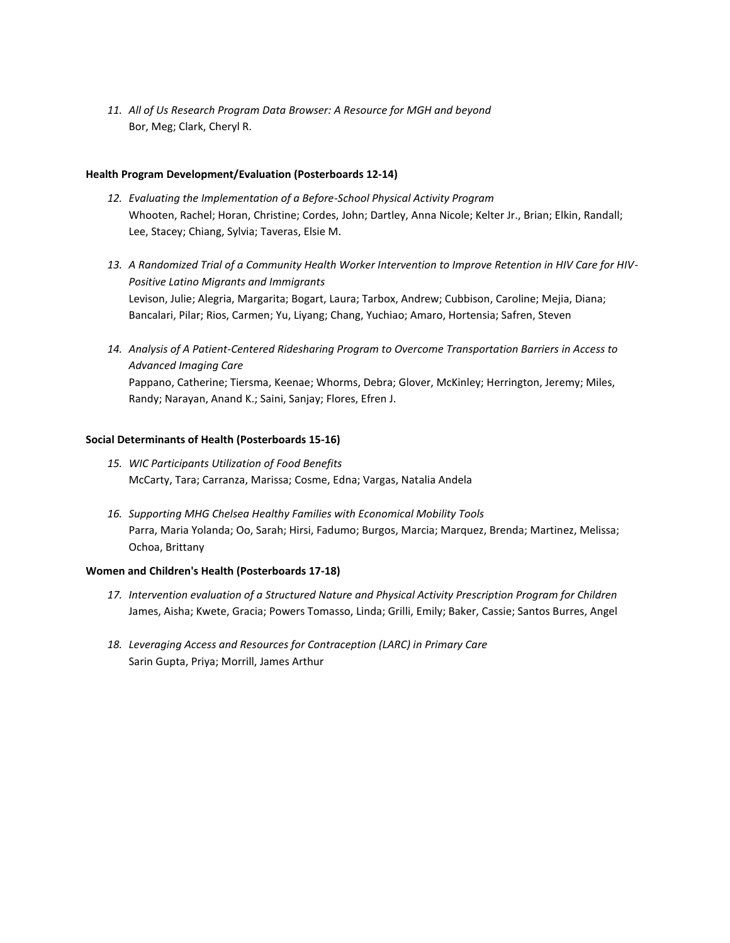*11. All of Us Research Program Data Browser: A Resource for MGH and beyond* Bor, Meg; Clark, Cheryl R.

## **Health Program Development/Evaluation (Posterboards 12-14)**

- *12. Evaluating the Implementation of a Before-School Physical Activity Program*  Whooten, Rachel; Horan, Christine; Cordes, John; Dartley, Anna Nicole; Kelter Jr., Brian; Elkin, Randall; Lee, Stacey; Chiang, Sylvia; Taveras, Elsie M.
- *13. A Randomized Trial of a Community Health Worker Intervention to Improve Retention in HIV Care for HIV-Positive Latino Migrants and Immigrants*  Levison, Julie; Alegria, Margarita; Bogart, Laura; Tarbox, Andrew; Cubbison, Caroline; Mejia, Diana; Bancalari, Pilar; Rios, Carmen; Yu, Liyang; Chang, Yuchiao; Amaro, Hortensia; Safren, Steven
- *14. Analysis of A Patient-Centered Ridesharing Program to Overcome Transportation Barriers in Access to Advanced Imaging Care* Pappano, Catherine; Tiersma, Keenae; Whorms, Debra; Glover, McKinley; Herrington, Jeremy; Miles, Randy; Narayan, Anand K.; Saini, Sanjay; Flores, Efren J.

## **Social Determinants of Health (Posterboards 15-16)**

- *15. WIC Participants Utilization of Food Benefits* McCarty, Tara; Carranza, Marissa; Cosme, Edna; Vargas, Natalia Andela
- *16. Supporting MHG Chelsea Healthy Families with Economical Mobility Tools*  Parra, Maria Yolanda; Oo, Sarah; Hirsi, Fadumo; Burgos, Marcia; Marquez, Brenda; Martinez, Melissa; Ochoa, Brittany

## **Women and Children's Health (Posterboards 17-18)**

- *17. Intervention evaluation of a Structured Nature and Physical Activity Prescription Program for Children* James, Aisha; Kwete, Gracia; Powers Tomasso, Linda; Grilli, Emily; Baker, Cassie; Santos Burres, Angel
- *18. Leveraging Access and Resources for Contraception (LARC) in Primary Care* Sarin Gupta, Priya; Morrill, James Arthur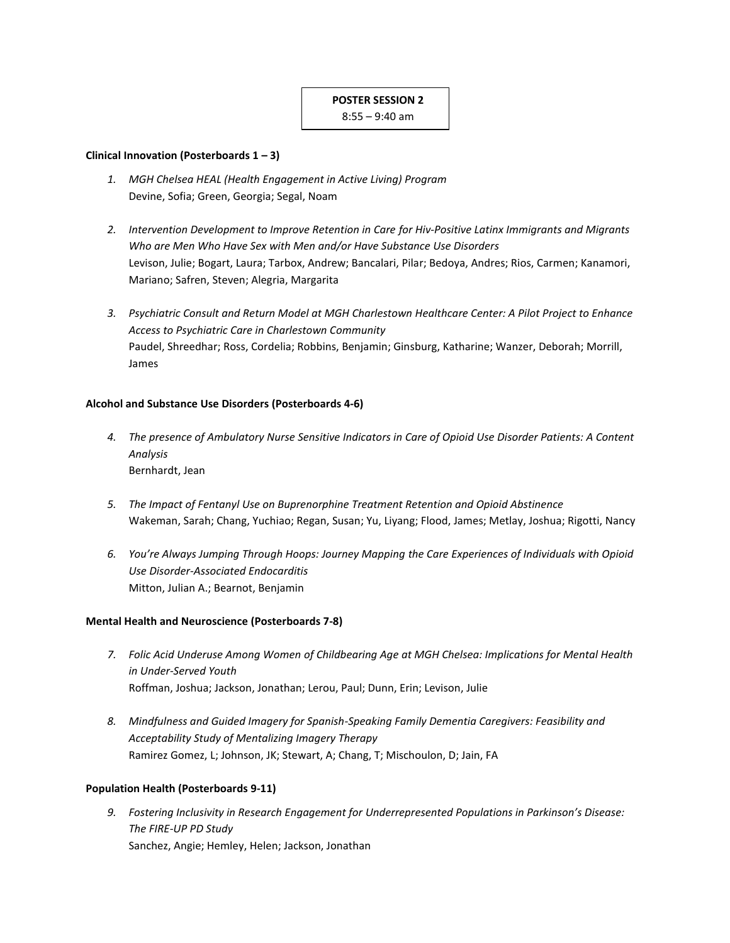## **POSTER SESSION 2**

8:55 – 9:40 am

## **Clinical Innovation (Posterboards 1 – 3)**

- *1. MGH Chelsea HEAL (Health Engagement in Active Living) Program* Devine, Sofia; Green, Georgia; Segal, Noam
- *2. Intervention Development to Improve Retention in Care for Hiv-Positive Latinx Immigrants and Migrants Who are Men Who Have Sex with Men and/or Have Substance Use Disorders*  Levison, Julie; Bogart, Laura; Tarbox, Andrew; Bancalari, Pilar; Bedoya, Andres; Rios, Carmen; Kanamori, Mariano; Safren, Steven; Alegria, Margarita
- *3. Psychiatric Consult and Return Model at MGH Charlestown Healthcare Center: A Pilot Project to Enhance Access to Psychiatric Care in Charlestown Community* Paudel, Shreedhar; Ross, Cordelia; Robbins, Benjamin; Ginsburg, Katharine; Wanzer, Deborah; Morrill, James

## **Alcohol and Substance Use Disorders (Posterboards 4-6)**

- *4. The presence of Ambulatory Nurse Sensitive Indicators in Care of Opioid Use Disorder Patients: A Content Analysis* Bernhardt, Jean
- *5. The Impact of Fentanyl Use on Buprenorphine Treatment Retention and Opioid Abstinence* Wakeman, Sarah; Chang, Yuchiao; Regan, Susan; Yu, Liyang; Flood, James; Metlay, Joshua; Rigotti, Nancy
- *6. You're Always Jumping Through Hoops: Journey Mapping the Care Experiences of Individuals with Opioid Use Disorder-Associated Endocarditis* Mitton, Julian A.; Bearnot, Benjamin

## **Mental Health and Neuroscience (Posterboards 7-8)**

- *7. Folic Acid Underuse Among Women of Childbearing Age at MGH Chelsea: Implications for Mental Health in Under-Served Youth* Roffman, Joshua; Jackson, Jonathan; Lerou, Paul; Dunn, Erin; Levison, Julie
- *8. Mindfulness and Guided Imagery for Spanish-Speaking Family Dementia Caregivers: Feasibility and Acceptability Study of Mentalizing Imagery Therapy* Ramirez Gomez, L; Johnson, JK; Stewart, A; Chang, T; Mischoulon, D; Jain, FA

## **Population Health (Posterboards 9-11)**

*9. Fostering Inclusivity in Research Engagement for Underrepresented Populations in Parkinson's Disease: The FIRE-UP PD Study* Sanchez, Angie; Hemley, Helen; Jackson, Jonathan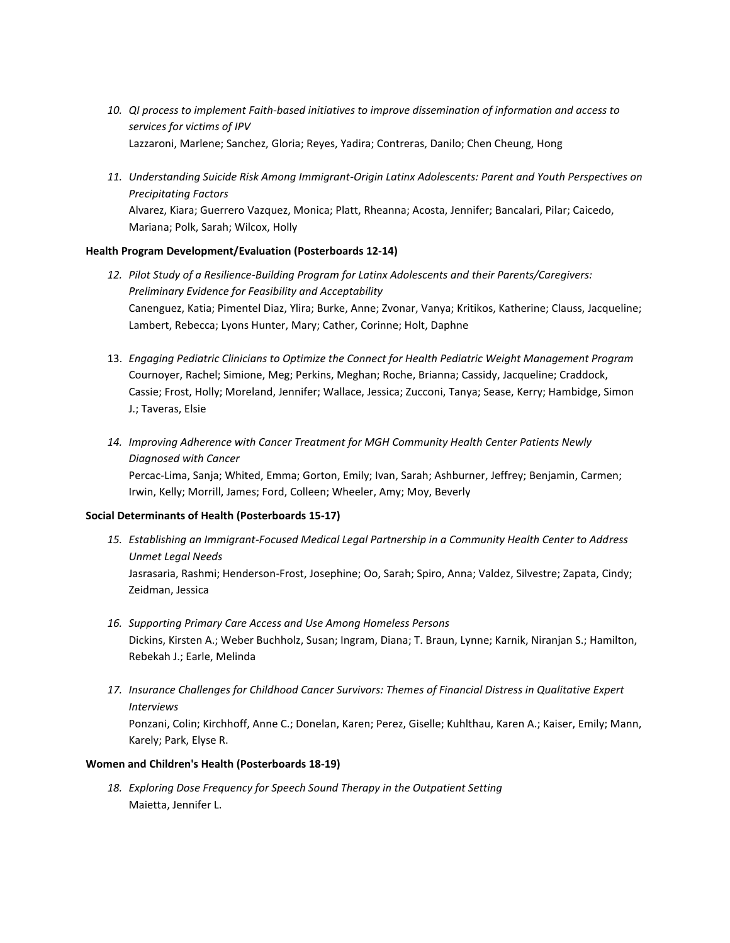- *10. QI process to implement Faith-based initiatives to improve dissemination of information and access to services for victims of IPV* Lazzaroni, Marlene; Sanchez, Gloria; Reyes, Yadira; Contreras, Danilo; Chen Cheung, Hong
- *11. Understanding Suicide Risk Among Immigrant-Origin Latinx Adolescents: Parent and Youth Perspectives on Precipitating Factors* Alvarez, Kiara; Guerrero Vazquez, Monica; Platt, Rheanna; Acosta, Jennifer; Bancalari, Pilar; Caicedo, Mariana; Polk, Sarah; Wilcox, Holly

## **Health Program Development/Evaluation (Posterboards 12-14)**

- *12. Pilot Study of a Resilience-Building Program for Latinx Adolescents and their Parents/Caregivers: Preliminary Evidence for Feasibility and Acceptability* Canenguez, Katia; Pimentel Diaz, Ylira; Burke, Anne; Zvonar, Vanya; Kritikos, Katherine; Clauss, Jacqueline; Lambert, Rebecca; Lyons Hunter, Mary; Cather, Corinne; Holt, Daphne
- 13. *Engaging Pediatric Clinicians to Optimize the Connect for Health Pediatric Weight Management Program*  Cournoyer, Rachel; Simione, Meg; Perkins, Meghan; Roche, Brianna; Cassidy, Jacqueline; Craddock, Cassie; Frost, Holly; Moreland, Jennifer; Wallace, Jessica; Zucconi, Tanya; Sease, Kerry; Hambidge, Simon J.; Taveras, Elsie
- *14. Improving Adherence with Cancer Treatment for MGH Community Health Center Patients Newly Diagnosed with Cancer*

Percac-Lima, Sanja; Whited, Emma; Gorton, Emily; Ivan, Sarah; Ashburner, Jeffrey; Benjamin, Carmen; Irwin, Kelly; Morrill, James; Ford, Colleen; Wheeler, Amy; Moy, Beverly

## **Social Determinants of Health (Posterboards 15-17)**

- *15. Establishing an Immigrant-Focused Medical Legal Partnership in a Community Health Center to Address Unmet Legal Needs* Jasrasaria, Rashmi; Henderson-Frost, Josephine; Oo, Sarah; Spiro, Anna; Valdez, Silvestre; Zapata, Cindy; Zeidman, Jessica
- *16. Supporting Primary Care Access and Use Among Homeless Persons*  Dickins, Kirsten A.; Weber Buchholz, Susan; Ingram, Diana; T. Braun, Lynne; Karnik, Niranjan S.; Hamilton, Rebekah J.; Earle, Melinda
- *17. Insurance Challenges for Childhood Cancer Survivors: Themes of Financial Distress in Qualitative Expert Interviews* Ponzani, Colin; Kirchhoff, Anne C.; Donelan, Karen; Perez, Giselle; Kuhlthau, Karen A.; Kaiser, Emily; Mann,

## **Women and Children's Health (Posterboards 18-19)**

Karely; Park, Elyse R.

*18. Exploring Dose Frequency for Speech Sound Therapy in the Outpatient Setting* Maietta, Jennifer L.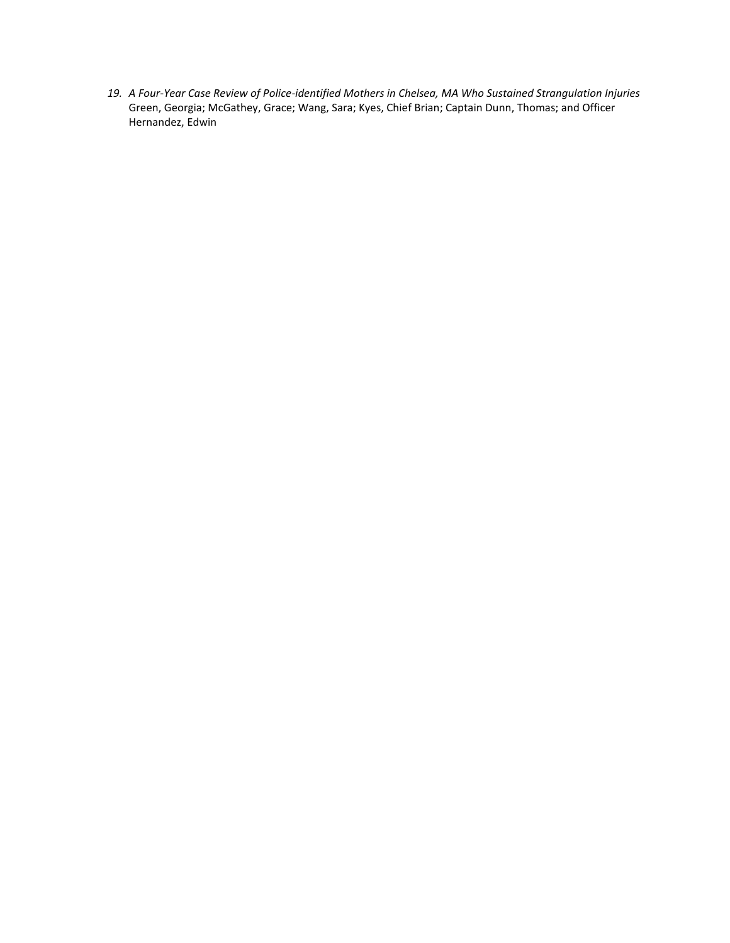*19. A Four-Year Case Review of Police-identified Mothers in Chelsea, MA Who Sustained Strangulation Injuries* Green, Georgia; McGathey, Grace; Wang, Sara; Kyes, Chief Brian; Captain Dunn, Thomas; and Officer Hernandez, Edwin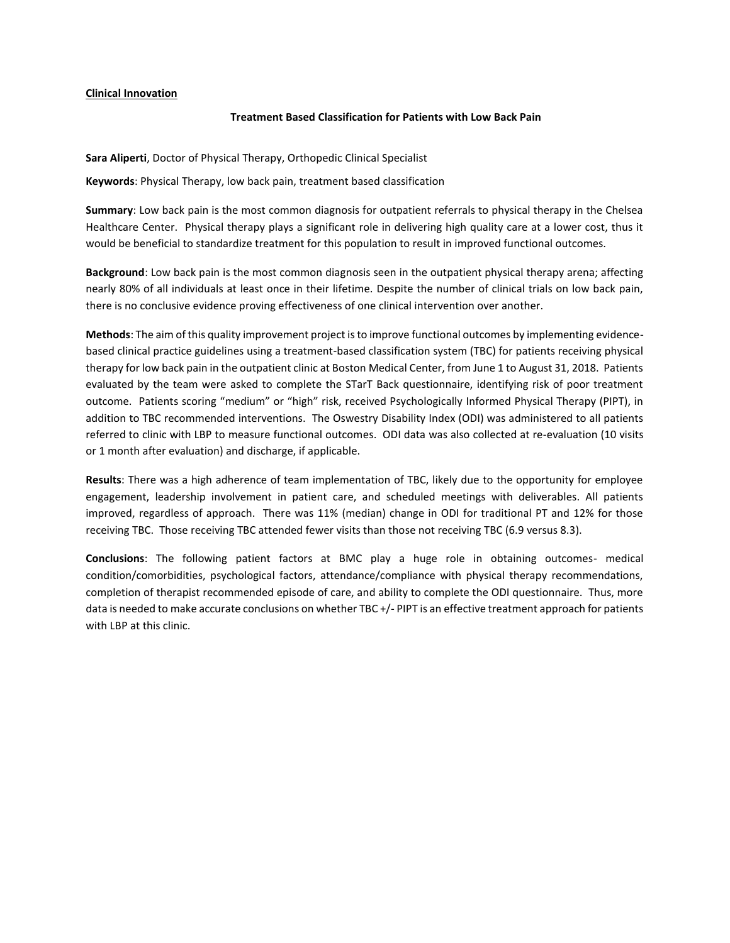## **Clinical Innovation**

## **Treatment Based Classification for Patients with Low Back Pain**

**Sara Aliperti**, Doctor of Physical Therapy, Orthopedic Clinical Specialist

**Keywords**: Physical Therapy, low back pain, treatment based classification

**Summary**: Low back pain is the most common diagnosis for outpatient referrals to physical therapy in the Chelsea Healthcare Center. Physical therapy plays a significant role in delivering high quality care at a lower cost, thus it would be beneficial to standardize treatment for this population to result in improved functional outcomes.

**Background**: Low back pain is the most common diagnosis seen in the outpatient physical therapy arena; affecting nearly 80% of all individuals at least once in their lifetime. Despite the number of clinical trials on low back pain, there is no conclusive evidence proving effectiveness of one clinical intervention over another.

**Methods**: The aim of this quality improvement project is to improve functional outcomes by implementing evidencebased clinical practice guidelines using a treatment-based classification system (TBC) for patients receiving physical therapy for low back pain in the outpatient clinic at Boston Medical Center, from June 1 to August 31, 2018. Patients evaluated by the team were asked to complete the STarT Back questionnaire, identifying risk of poor treatment outcome. Patients scoring "medium" or "high" risk, received Psychologically Informed Physical Therapy (PIPT), in addition to TBC recommended interventions. The Oswestry Disability Index (ODI) was administered to all patients referred to clinic with LBP to measure functional outcomes. ODI data was also collected at re-evaluation (10 visits or 1 month after evaluation) and discharge, if applicable.

**Results**: There was a high adherence of team implementation of TBC, likely due to the opportunity for employee engagement, leadership involvement in patient care, and scheduled meetings with deliverables. All patients improved, regardless of approach. There was 11% (median) change in ODI for traditional PT and 12% for those receiving TBC. Those receiving TBC attended fewer visits than those not receiving TBC (6.9 versus 8.3).

**Conclusions**: The following patient factors at BMC play a huge role in obtaining outcomes- medical condition/comorbidities, psychological factors, attendance/compliance with physical therapy recommendations, completion of therapist recommended episode of care, and ability to complete the ODI questionnaire. Thus, more data is needed to make accurate conclusions on whether TBC +/- PIPT is an effective treatment approach for patients with LBP at this clinic.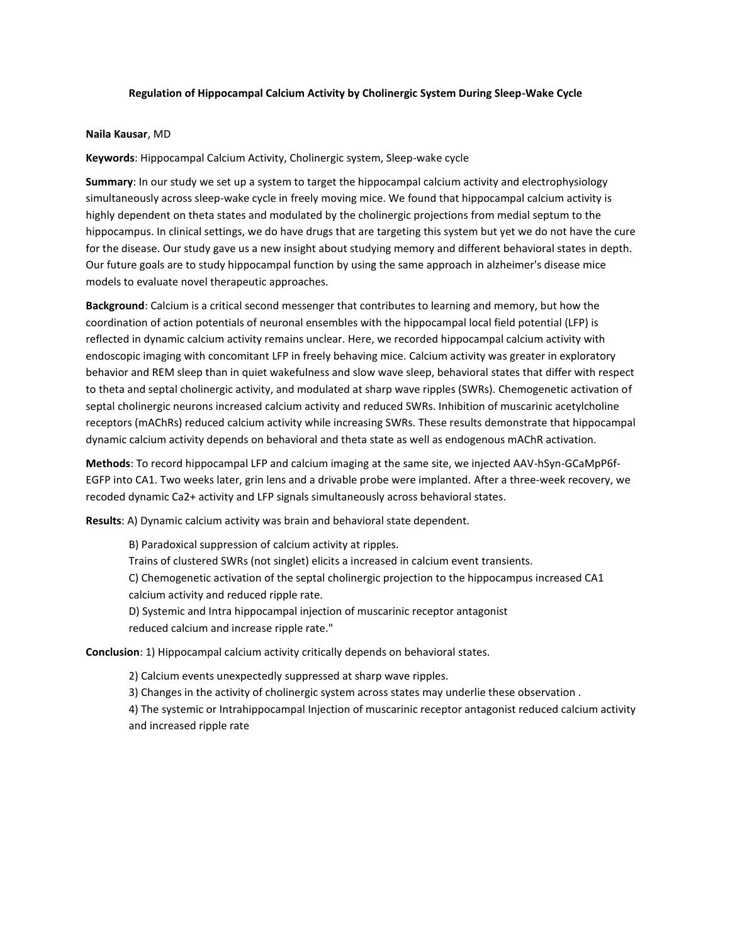## **Regulation of Hippocampal Calcium Activity by Cholinergic System During Sleep-Wake Cycle**

#### **Naila Kausar**, MD

**Keywords**: Hippocampal Calcium Activity, Cholinergic system, Sleep-wake cycle

**Summary**: In our study we set up a system to target the hippocampal calcium activity and electrophysiology simultaneously across sleep-wake cycle in freely moving mice. We found that hippocampal calcium activity is highly dependent on theta states and modulated by the cholinergic projections from medial septum to the hippocampus. In clinical settings, we do have drugs that are targeting this system but yet we do not have the cure for the disease. Our study gave us a new insight about studying memory and different behavioral states in depth. Our future goals are to study hippocampal function by using the same approach in alzheimer's disease mice models to evaluate novel therapeutic approaches.

**Background**: Calcium is a critical second messenger that contributes to learning and memory, but how the coordination of action potentials of neuronal ensembles with the hippocampal local field potential (LFP) is reflected in dynamic calcium activity remains unclear. Here, we recorded hippocampal calcium activity with endoscopic imaging with concomitant LFP in freely behaving mice. Calcium activity was greater in exploratory behavior and REM sleep than in quiet wakefulness and slow wave sleep, behavioral states that differ with respect to theta and septal cholinergic activity, and modulated at sharp wave ripples (SWRs). Chemogenetic activation of septal cholinergic neurons increased calcium activity and reduced SWRs. Inhibition of muscarinic acetylcholine receptors (mAChRs) reduced calcium activity while increasing SWRs. These results demonstrate that hippocampal dynamic calcium activity depends on behavioral and theta state as well as endogenous mAChR activation.

**Methods**: To record hippocampal LFP and calcium imaging at the same site, we injected AAV-hSyn-GCaMpP6f-EGFP into CA1. Two weeks later, grin lens and a drivable probe were implanted. After a three-week recovery, we recoded dynamic Ca2+ activity and LFP signals simultaneously across behavioral states.

**Results**: A) Dynamic calcium activity was brain and behavioral state dependent.

B) Paradoxical suppression of calcium activity at ripples. Trains of clustered SWRs (not singlet) elicits a increased in calcium event transients. C) Chemogenetic activation of the septal cholinergic projection to the hippocampus increased CA1 calcium activity and reduced ripple rate. D) Systemic and Intra hippocampal injection of muscarinic receptor antagonist reduced calcium and increase ripple rate."

**Conclusion**: 1) Hippocampal calcium activity critically depends on behavioral states.

2) Calcium events unexpectedly suppressed at sharp wave ripples.

3) Changes in the activity of cholinergic system across states may underlie these observation .

4) The systemic or Intrahippocampal Injection of muscarinic receptor antagonist reduced calcium activity and increased ripple rate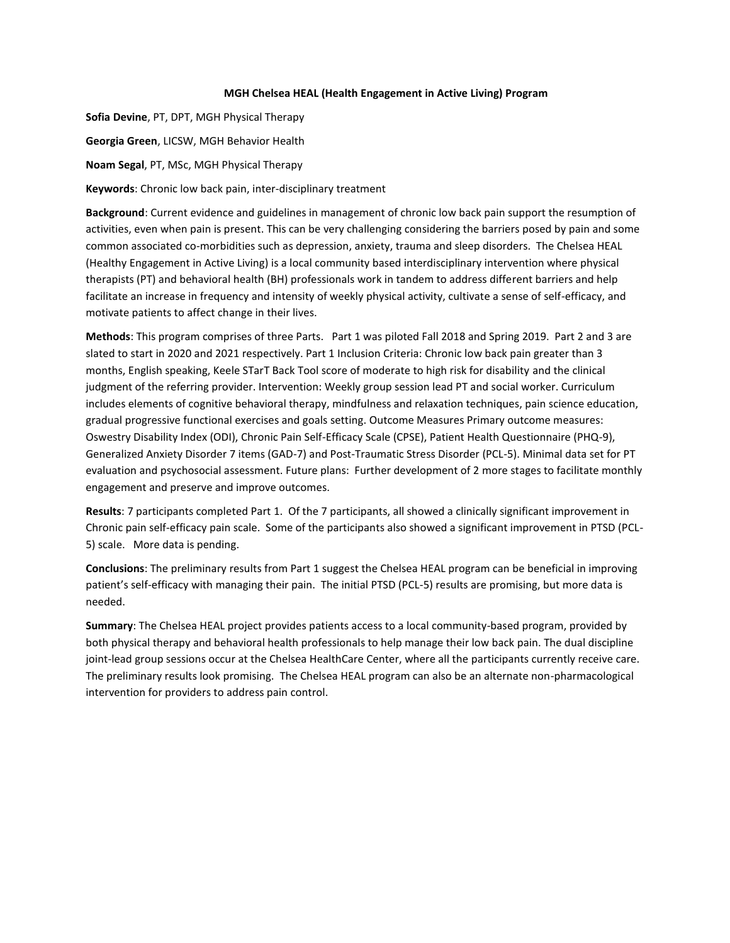## **MGH Chelsea HEAL (Health Engagement in Active Living) Program**

**Sofia Devine**, PT, DPT, MGH Physical Therapy **Georgia Green**, LICSW, MGH Behavior Health

**Noam Segal**, PT, MSc, MGH Physical Therapy

**Keywords**: Chronic low back pain, inter-disciplinary treatment

**Background**: Current evidence and guidelines in management of chronic low back pain support the resumption of activities, even when pain is present. This can be very challenging considering the barriers posed by pain and some common associated co-morbidities such as depression, anxiety, trauma and sleep disorders. The Chelsea HEAL (Healthy Engagement in Active Living) is a local community based interdisciplinary intervention where physical therapists (PT) and behavioral health (BH) professionals work in tandem to address different barriers and help facilitate an increase in frequency and intensity of weekly physical activity, cultivate a sense of self-efficacy, and motivate patients to affect change in their lives.

**Methods**: This program comprises of three Parts. Part 1 was piloted Fall 2018 and Spring 2019. Part 2 and 3 are slated to start in 2020 and 2021 respectively. Part 1 Inclusion Criteria: Chronic low back pain greater than 3 months, English speaking, Keele STarT Back Tool score of moderate to high risk for disability and the clinical judgment of the referring provider. Intervention: Weekly group session lead PT and social worker. Curriculum includes elements of cognitive behavioral therapy, mindfulness and relaxation techniques, pain science education, gradual progressive functional exercises and goals setting. Outcome Measures Primary outcome measures: Oswestry Disability Index (ODI), Chronic Pain Self-Efficacy Scale (CPSE), Patient Health Questionnaire (PHQ-9), Generalized Anxiety Disorder 7 items (GAD-7) and Post-Traumatic Stress Disorder (PCL-5). Minimal data set for PT evaluation and psychosocial assessment. Future plans: Further development of 2 more stages to facilitate monthly engagement and preserve and improve outcomes.

**Results**: 7 participants completed Part 1. Of the 7 participants, all showed a clinically significant improvement in Chronic pain self-efficacy pain scale. Some of the participants also showed a significant improvement in PTSD (PCL-5) scale. More data is pending.

**Conclusions**: The preliminary results from Part 1 suggest the Chelsea HEAL program can be beneficial in improving patient's self-efficacy with managing their pain. The initial PTSD (PCL-5) results are promising, but more data is needed.

**Summary**: The Chelsea HEAL project provides patients access to a local community-based program, provided by both physical therapy and behavioral health professionals to help manage their low back pain. The dual discipline joint-lead group sessions occur at the Chelsea HealthCare Center, where all the participants currently receive care. The preliminary results look promising. The Chelsea HEAL program can also be an alternate non-pharmacological intervention for providers to address pain control.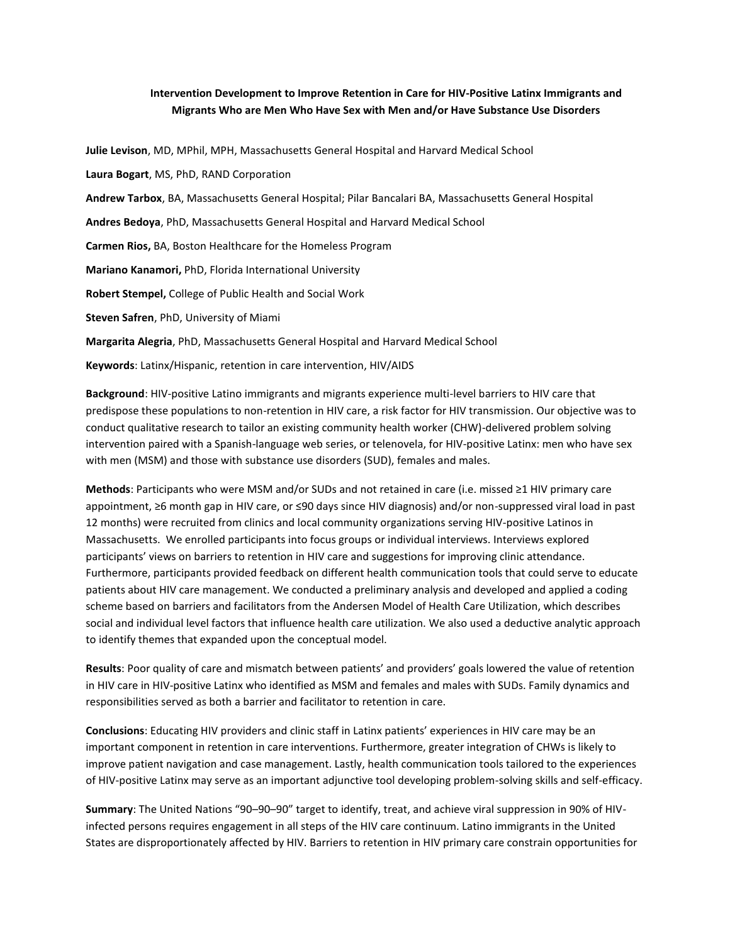## **Intervention Development to Improve Retention in Care for HIV-Positive Latinx Immigrants and Migrants Who are Men Who Have Sex with Men and/or Have Substance Use Disorders**

**Julie Levison**, MD, MPhil, MPH, Massachusetts General Hospital and Harvard Medical School **Laura Bogart**, MS, PhD, RAND Corporation **Andrew Tarbox**, BA, Massachusetts General Hospital; Pilar Bancalari BA, Massachusetts General Hospital **Andres Bedoya**, PhD, Massachusetts General Hospital and Harvard Medical School **Carmen Rios,** BA, Boston Healthcare for the Homeless Program **Mariano Kanamori,** PhD, Florida International University **Robert Stempel,** College of Public Health and Social Work **Steven Safren**, PhD, University of Miami **Margarita Alegria**, PhD, Massachusetts General Hospital and Harvard Medical School **Keywords**: Latinx/Hispanic, retention in care intervention, HIV/AIDS

**Background**: HIV-positive Latino immigrants and migrants experience multi-level barriers to HIV care that predispose these populations to non-retention in HIV care, a risk factor for HIV transmission. Our objective was to conduct qualitative research to tailor an existing community health worker (CHW)-delivered problem solving intervention paired with a Spanish-language web series, or telenovela, for HIV-positive Latinx: men who have sex with men (MSM) and those with substance use disorders (SUD), females and males.

**Methods**: Participants who were MSM and/or SUDs and not retained in care (i.e. missed ≥1 HIV primary care appointment, ≥6 month gap in HIV care, or ≤90 days since HIV diagnosis) and/or non-suppressed viral load in past 12 months) were recruited from clinics and local community organizations serving HIV-positive Latinos in Massachusetts. We enrolled participants into focus groups or individual interviews. Interviews explored participants' views on barriers to retention in HIV care and suggestions for improving clinic attendance. Furthermore, participants provided feedback on different health communication tools that could serve to educate patients about HIV care management. We conducted a preliminary analysis and developed and applied a coding scheme based on barriers and facilitators from the Andersen Model of Health Care Utilization, which describes social and individual level factors that influence health care utilization. We also used a deductive analytic approach to identify themes that expanded upon the conceptual model.

**Results**: Poor quality of care and mismatch between patients' and providers' goals lowered the value of retention in HIV care in HIV-positive Latinx who identified as MSM and females and males with SUDs. Family dynamics and responsibilities served as both a barrier and facilitator to retention in care.

**Conclusions**: Educating HIV providers and clinic staff in Latinx patients' experiences in HIV care may be an important component in retention in care interventions. Furthermore, greater integration of CHWs is likely to improve patient navigation and case management. Lastly, health communication tools tailored to the experiences of HIV-positive Latinx may serve as an important adjunctive tool developing problem-solving skills and self-efficacy.

**Summary**: The United Nations "90–90–90" target to identify, treat, and achieve viral suppression in 90% of HIVinfected persons requires engagement in all steps of the HIV care continuum. Latino immigrants in the United States are disproportionately affected by HIV. Barriers to retention in HIV primary care constrain opportunities for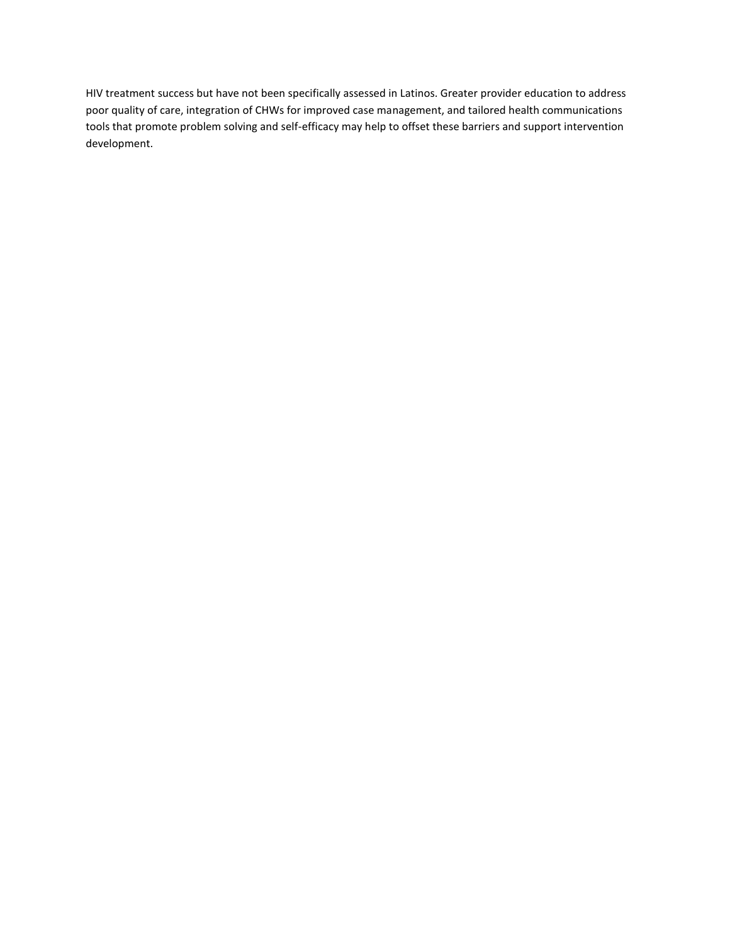HIV treatment success but have not been specifically assessed in Latinos. Greater provider education to address poor quality of care, integration of CHWs for improved case management, and tailored health communications tools that promote problem solving and self-efficacy may help to offset these barriers and support intervention development.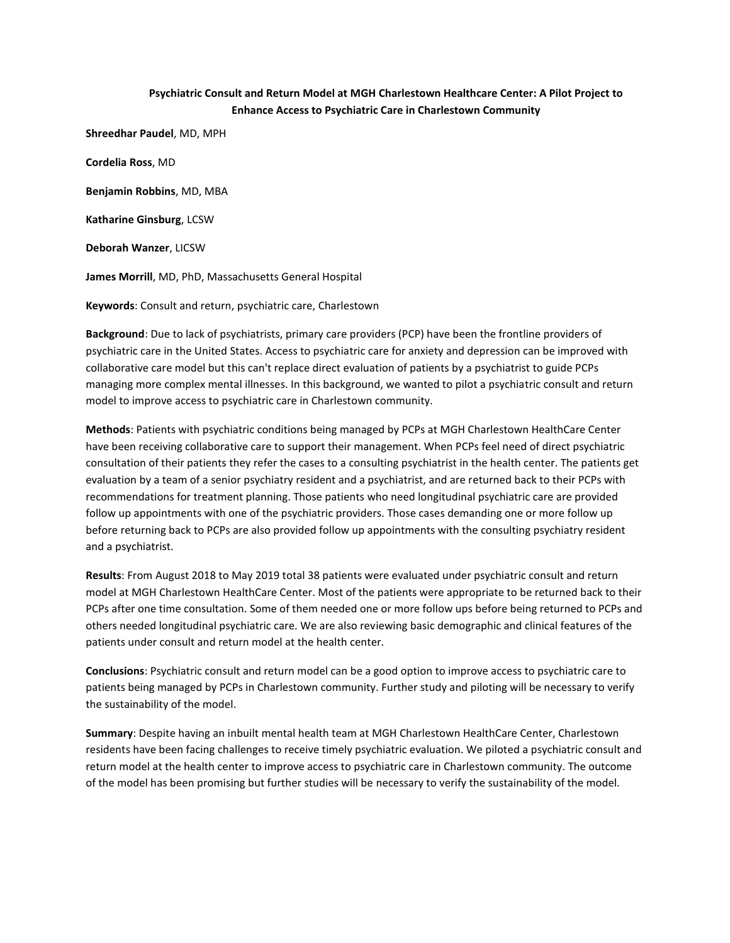## **Psychiatric Consult and Return Model at MGH Charlestown Healthcare Center: A Pilot Project to Enhance Access to Psychiatric Care in Charlestown Community**

**Shreedhar Paudel**, MD, MPH

**Cordelia Ross**, MD

**Benjamin Robbins**, MD, MBA

**Katharine Ginsburg**, LCSW

**Deborah Wanzer**, LICSW

**James Morrill**, MD, PhD, Massachusetts General Hospital

**Keywords**: Consult and return, psychiatric care, Charlestown

**Background**: Due to lack of psychiatrists, primary care providers (PCP) have been the frontline providers of psychiatric care in the United States. Access to psychiatric care for anxiety and depression can be improved with collaborative care model but this can't replace direct evaluation of patients by a psychiatrist to guide PCPs managing more complex mental illnesses. In this background, we wanted to pilot a psychiatric consult and return model to improve access to psychiatric care in Charlestown community.

**Methods**: Patients with psychiatric conditions being managed by PCPs at MGH Charlestown HealthCare Center have been receiving collaborative care to support their management. When PCPs feel need of direct psychiatric consultation of their patients they refer the cases to a consulting psychiatrist in the health center. The patients get evaluation by a team of a senior psychiatry resident and a psychiatrist, and are returned back to their PCPs with recommendations for treatment planning. Those patients who need longitudinal psychiatric care are provided follow up appointments with one of the psychiatric providers. Those cases demanding one or more follow up before returning back to PCPs are also provided follow up appointments with the consulting psychiatry resident and a psychiatrist.

**Results**: From August 2018 to May 2019 total 38 patients were evaluated under psychiatric consult and return model at MGH Charlestown HealthCare Center. Most of the patients were appropriate to be returned back to their PCPs after one time consultation. Some of them needed one or more follow ups before being returned to PCPs and others needed longitudinal psychiatric care. We are also reviewing basic demographic and clinical features of the patients under consult and return model at the health center.

**Conclusions**: Psychiatric consult and return model can be a good option to improve access to psychiatric care to patients being managed by PCPs in Charlestown community. Further study and piloting will be necessary to verify the sustainability of the model.

**Summary**: Despite having an inbuilt mental health team at MGH Charlestown HealthCare Center, Charlestown residents have been facing challenges to receive timely psychiatric evaluation. We piloted a psychiatric consult and return model at the health center to improve access to psychiatric care in Charlestown community. The outcome of the model has been promising but further studies will be necessary to verify the sustainability of the model.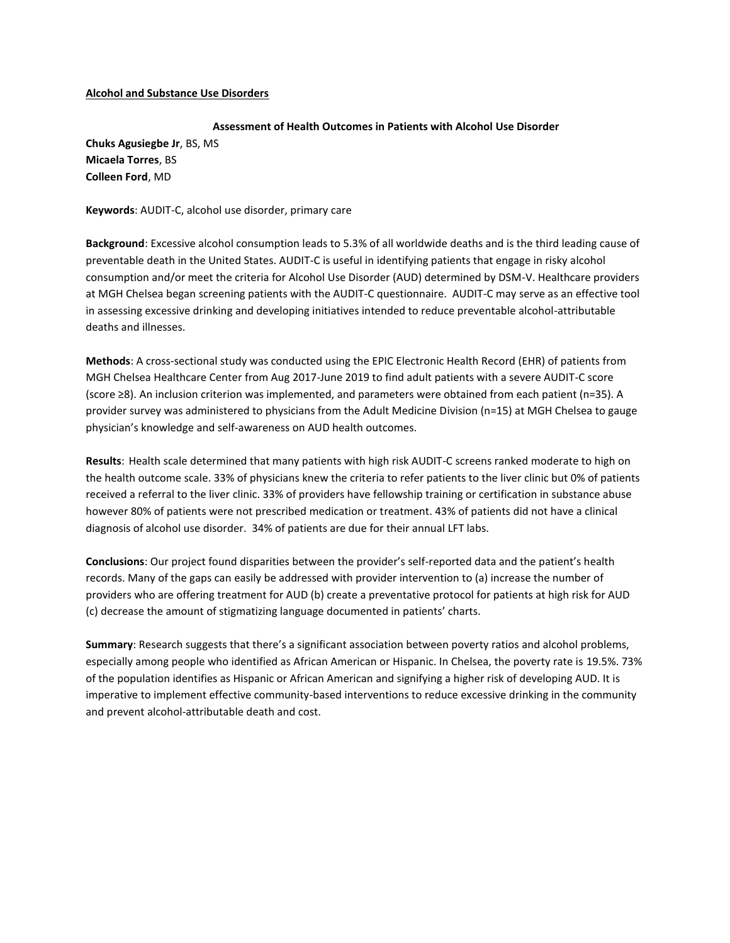## **Alcohol and Substance Use Disorders**

## **Assessment of Health Outcomes in Patients with Alcohol Use Disorder**

**Chuks Agusiegbe Jr**, BS, MS **Micaela Torres**, BS **Colleen Ford**, MD

**Keywords**: AUDIT-C, alcohol use disorder, primary care

**Background**: Excessive alcohol consumption leads to 5.3% of all worldwide deaths and is the third leading cause of preventable death in the United States. AUDIT-C is useful in identifying patients that engage in risky alcohol consumption and/or meet the criteria for Alcohol Use Disorder (AUD) determined by DSM-V. Healthcare providers at MGH Chelsea began screening patients with the AUDIT-C questionnaire. AUDIT-C may serve as an effective tool in assessing excessive drinking and developing initiatives intended to reduce preventable alcohol-attributable deaths and illnesses.

**Methods**: A cross-sectional study was conducted using the EPIC Electronic Health Record (EHR) of patients from MGH Chelsea Healthcare Center from Aug 2017-June 2019 to find adult patients with a severe AUDIT-C score (score ≥8). An inclusion criterion was implemented, and parameters were obtained from each patient (n=35). A provider survey was administered to physicians from the Adult Medicine Division (n=15) at MGH Chelsea to gauge physician's knowledge and self-awareness on AUD health outcomes.

**Results**: Health scale determined that many patients with high risk AUDIT-C screens ranked moderate to high on the health outcome scale. 33% of physicians knew the criteria to refer patients to the liver clinic but 0% of patients received a referral to the liver clinic. 33% of providers have fellowship training or certification in substance abuse however 80% of patients were not prescribed medication or treatment. 43% of patients did not have a clinical diagnosis of alcohol use disorder. 34% of patients are due for their annual LFT labs.

**Conclusions**: Our project found disparities between the provider's self-reported data and the patient's health records. Many of the gaps can easily be addressed with provider intervention to (a) increase the number of providers who are offering treatment for AUD (b) create a preventative protocol for patients at high risk for AUD (c) decrease the amount of stigmatizing language documented in patients' charts.

**Summary**: Research suggests that there's a significant association between poverty ratios and alcohol problems, especially among people who identified as African American or Hispanic. In Chelsea, the poverty rate is 19.5%. 73% of the population identifies as Hispanic or African American and signifying a higher risk of developing AUD. It is imperative to implement effective community-based interventions to reduce excessive drinking in the community and prevent alcohol-attributable death and cost.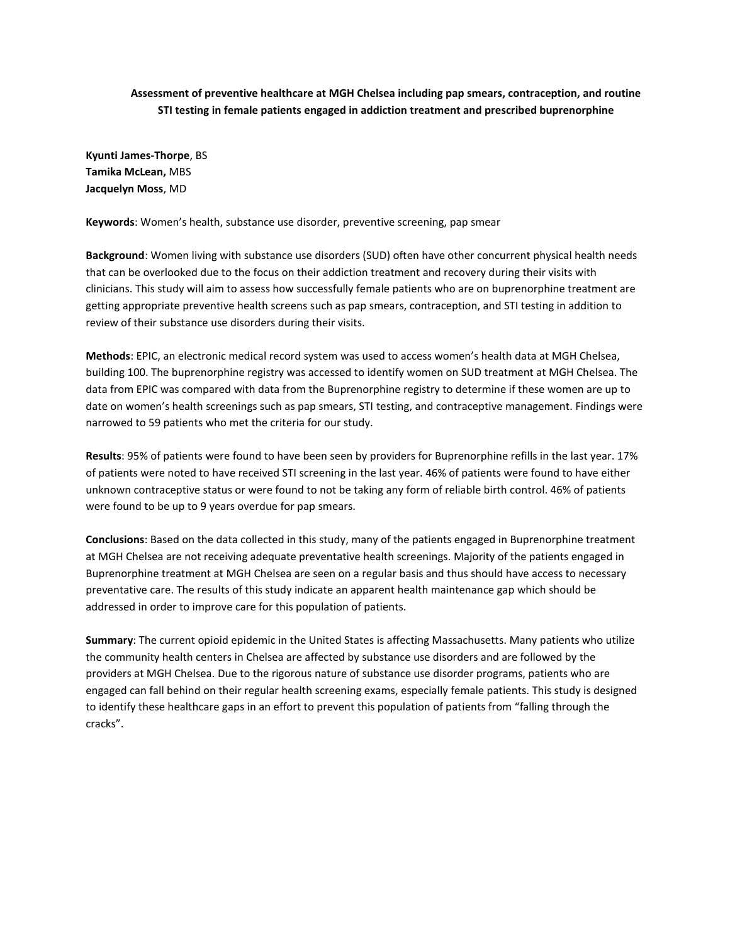## **Assessment of preventive healthcare at MGH Chelsea including pap smears, contraception, and routine STI testing in female patients engaged in addiction treatment and prescribed buprenorphine**

**Kyunti James-Thorpe**, BS **Tamika McLean,** MBS **Jacquelyn Moss**, MD

**Keywords**: Women's health, substance use disorder, preventive screening, pap smear

**Background**: Women living with substance use disorders (SUD) often have other concurrent physical health needs that can be overlooked due to the focus on their addiction treatment and recovery during their visits with clinicians. This study will aim to assess how successfully female patients who are on buprenorphine treatment are getting appropriate preventive health screens such as pap smears, contraception, and STI testing in addition to review of their substance use disorders during their visits.

**Methods**: EPIC, an electronic medical record system was used to access women's health data at MGH Chelsea, building 100. The buprenorphine registry was accessed to identify women on SUD treatment at MGH Chelsea. The data from EPIC was compared with data from the Buprenorphine registry to determine if these women are up to date on women's health screenings such as pap smears, STI testing, and contraceptive management. Findings were narrowed to 59 patients who met the criteria for our study.

**Results**: 95% of patients were found to have been seen by providers for Buprenorphine refills in the last year. 17% of patients were noted to have received STI screening in the last year. 46% of patients were found to have either unknown contraceptive status or were found to not be taking any form of reliable birth control. 46% of patients were found to be up to 9 years overdue for pap smears.

**Conclusions**: Based on the data collected in this study, many of the patients engaged in Buprenorphine treatment at MGH Chelsea are not receiving adequate preventative health screenings. Majority of the patients engaged in Buprenorphine treatment at MGH Chelsea are seen on a regular basis and thus should have access to necessary preventative care. The results of this study indicate an apparent health maintenance gap which should be addressed in order to improve care for this population of patients.

**Summary**: The current opioid epidemic in the United States is affecting Massachusetts. Many patients who utilize the community health centers in Chelsea are affected by substance use disorders and are followed by the providers at MGH Chelsea. Due to the rigorous nature of substance use disorder programs, patients who are engaged can fall behind on their regular health screening exams, especially female patients. This study is designed to identify these healthcare gaps in an effort to prevent this population of patients from "falling through the cracks".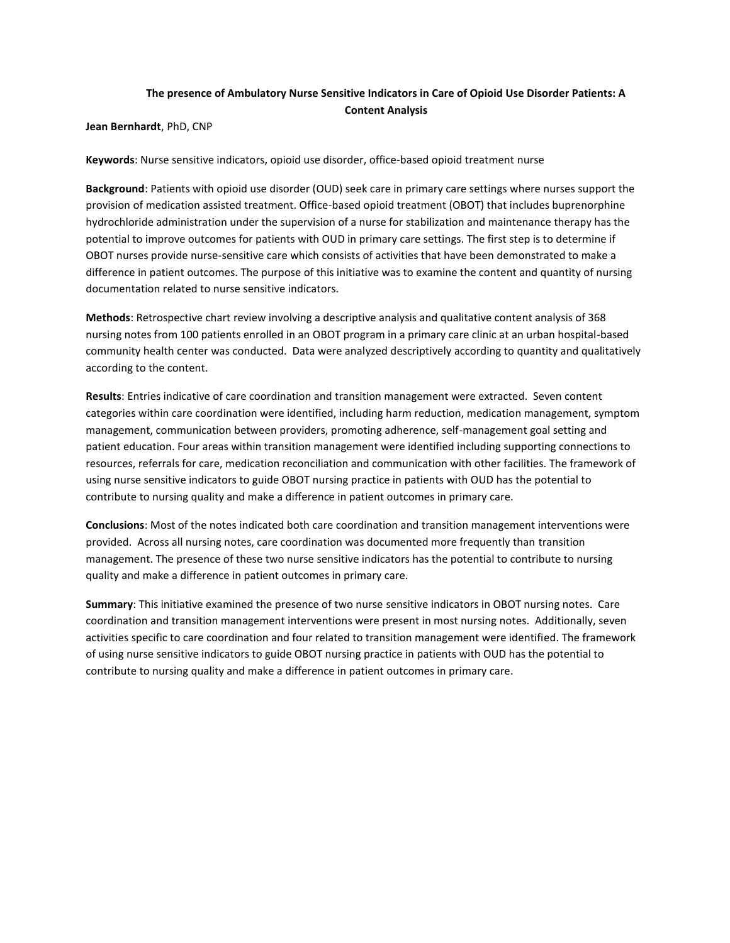## **The presence of Ambulatory Nurse Sensitive Indicators in Care of Opioid Use Disorder Patients: A Content Analysis**

**Jean Bernhardt**, PhD, CNP

**Keywords**: Nurse sensitive indicators, opioid use disorder, office-based opioid treatment nurse

**Background**: Patients with opioid use disorder (OUD) seek care in primary care settings where nurses support the provision of medication assisted treatment. Office-based opioid treatment (OBOT) that includes buprenorphine hydrochloride administration under the supervision of a nurse for stabilization and maintenance therapy has the potential to improve outcomes for patients with OUD in primary care settings. The first step is to determine if OBOT nurses provide nurse-sensitive care which consists of activities that have been demonstrated to make a difference in patient outcomes. The purpose of this initiative was to examine the content and quantity of nursing documentation related to nurse sensitive indicators.

**Methods**: Retrospective chart review involving a descriptive analysis and qualitative content analysis of 368 nursing notes from 100 patients enrolled in an OBOT program in a primary care clinic at an urban hospital-based community health center was conducted. Data were analyzed descriptively according to quantity and qualitatively according to the content.

**Results**: Entries indicative of care coordination and transition management were extracted. Seven content categories within care coordination were identified, including harm reduction, medication management, symptom management, communication between providers, promoting adherence, self-management goal setting and patient education. Four areas within transition management were identified including supporting connections to resources, referrals for care, medication reconciliation and communication with other facilities. The framework of using nurse sensitive indicators to guide OBOT nursing practice in patients with OUD has the potential to contribute to nursing quality and make a difference in patient outcomes in primary care.

**Conclusions**: Most of the notes indicated both care coordination and transition management interventions were provided. Across all nursing notes, care coordination was documented more frequently than transition management. The presence of these two nurse sensitive indicators has the potential to contribute to nursing quality and make a difference in patient outcomes in primary care.

**Summary**: This initiative examined the presence of two nurse sensitive indicators in OBOT nursing notes. Care coordination and transition management interventions were present in most nursing notes. Additionally, seven activities specific to care coordination and four related to transition management were identified. The framework of using nurse sensitive indicators to guide OBOT nursing practice in patients with OUD has the potential to contribute to nursing quality and make a difference in patient outcomes in primary care.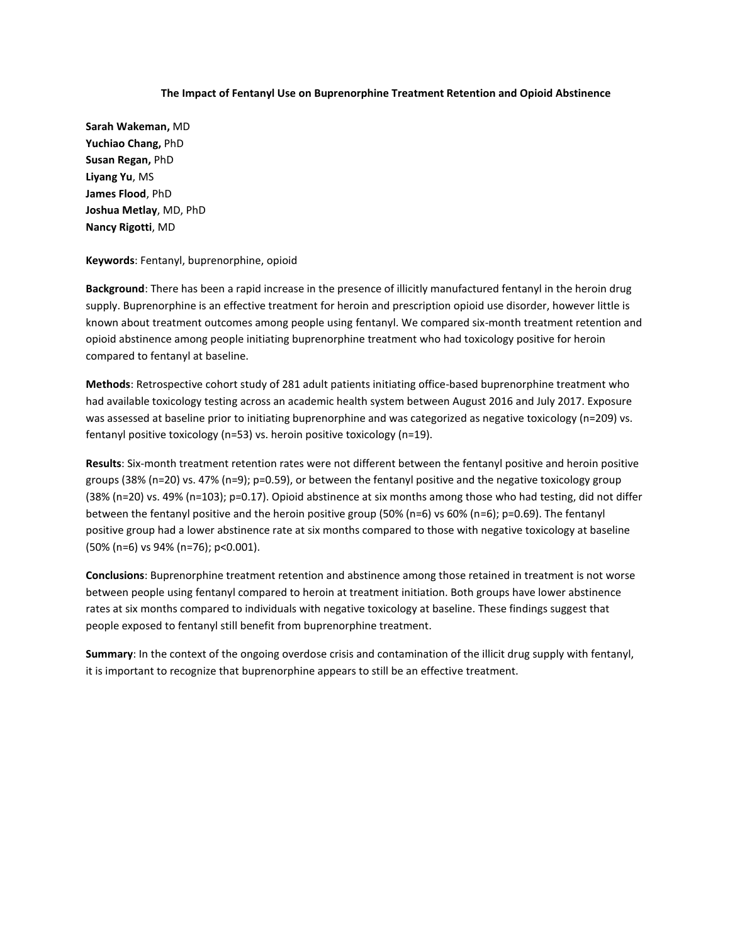#### **The Impact of Fentanyl Use on Buprenorphine Treatment Retention and Opioid Abstinence**

**Sarah Wakeman,** MD **Yuchiao Chang,** PhD **Susan Regan,** PhD **Liyang Yu**, MS **James Flood**, PhD **Joshua Metlay**, MD, PhD **Nancy Rigotti**, MD

#### **Keywords**: Fentanyl, buprenorphine, opioid

**Background**: There has been a rapid increase in the presence of illicitly manufactured fentanyl in the heroin drug supply. Buprenorphine is an effective treatment for heroin and prescription opioid use disorder, however little is known about treatment outcomes among people using fentanyl. We compared six-month treatment retention and opioid abstinence among people initiating buprenorphine treatment who had toxicology positive for heroin compared to fentanyl at baseline.

**Methods**: Retrospective cohort study of 281 adult patients initiating office-based buprenorphine treatment who had available toxicology testing across an academic health system between August 2016 and July 2017. Exposure was assessed at baseline prior to initiating buprenorphine and was categorized as negative toxicology (n=209) vs. fentanyl positive toxicology (n=53) vs. heroin positive toxicology (n=19).

**Results**: Six-month treatment retention rates were not different between the fentanyl positive and heroin positive groups (38% (n=20) vs. 47% (n=9); p=0.59), or between the fentanyl positive and the negative toxicology group (38% (n=20) vs. 49% (n=103); p=0.17). Opioid abstinence at six months among those who had testing, did not differ between the fentanyl positive and the heroin positive group (50% (n=6) vs 60% (n=6); p=0.69). The fentanyl positive group had a lower abstinence rate at six months compared to those with negative toxicology at baseline (50% (n=6) vs 94% (n=76); p<0.001).

**Conclusions**: Buprenorphine treatment retention and abstinence among those retained in treatment is not worse between people using fentanyl compared to heroin at treatment initiation. Both groups have lower abstinence rates at six months compared to individuals with negative toxicology at baseline. These findings suggest that people exposed to fentanyl still benefit from buprenorphine treatment.

**Summary**: In the context of the ongoing overdose crisis and contamination of the illicit drug supply with fentanyl, it is important to recognize that buprenorphine appears to still be an effective treatment.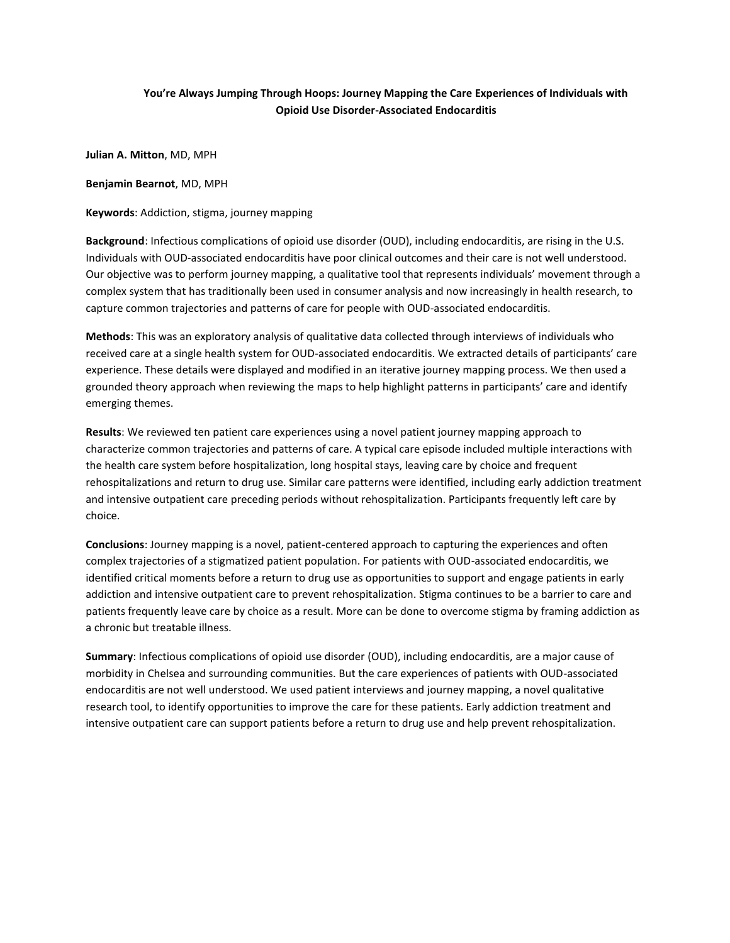## **You're Always Jumping Through Hoops: Journey Mapping the Care Experiences of Individuals with Opioid Use Disorder-Associated Endocarditis**

**Julian A. Mitton**, MD, MPH

**Benjamin Bearnot**, MD, MPH

**Keywords**: Addiction, stigma, journey mapping

**Background**: Infectious complications of opioid use disorder (OUD), including endocarditis, are rising in the U.S. Individuals with OUD-associated endocarditis have poor clinical outcomes and their care is not well understood. Our objective was to perform journey mapping, a qualitative tool that represents individuals' movement through a complex system that has traditionally been used in consumer analysis and now increasingly in health research, to capture common trajectories and patterns of care for people with OUD-associated endocarditis.

**Methods**: This was an exploratory analysis of qualitative data collected through interviews of individuals who received care at a single health system for OUD-associated endocarditis. We extracted details of participants' care experience. These details were displayed and modified in an iterative journey mapping process. We then used a grounded theory approach when reviewing the maps to help highlight patterns in participants' care and identify emerging themes.

**Results**: We reviewed ten patient care experiences using a novel patient journey mapping approach to characterize common trajectories and patterns of care. A typical care episode included multiple interactions with the health care system before hospitalization, long hospital stays, leaving care by choice and frequent rehospitalizations and return to drug use. Similar care patterns were identified, including early addiction treatment and intensive outpatient care preceding periods without rehospitalization. Participants frequently left care by choice.

**Conclusions**: Journey mapping is a novel, patient-centered approach to capturing the experiences and often complex trajectories of a stigmatized patient population. For patients with OUD-associated endocarditis, we identified critical moments before a return to drug use as opportunities to support and engage patients in early addiction and intensive outpatient care to prevent rehospitalization. Stigma continues to be a barrier to care and patients frequently leave care by choice as a result. More can be done to overcome stigma by framing addiction as a chronic but treatable illness.

**Summary**: Infectious complications of opioid use disorder (OUD), including endocarditis, are a major cause of morbidity in Chelsea and surrounding communities. But the care experiences of patients with OUD-associated endocarditis are not well understood. We used patient interviews and journey mapping, a novel qualitative research tool, to identify opportunities to improve the care for these patients. Early addiction treatment and intensive outpatient care can support patients before a return to drug use and help prevent rehospitalization.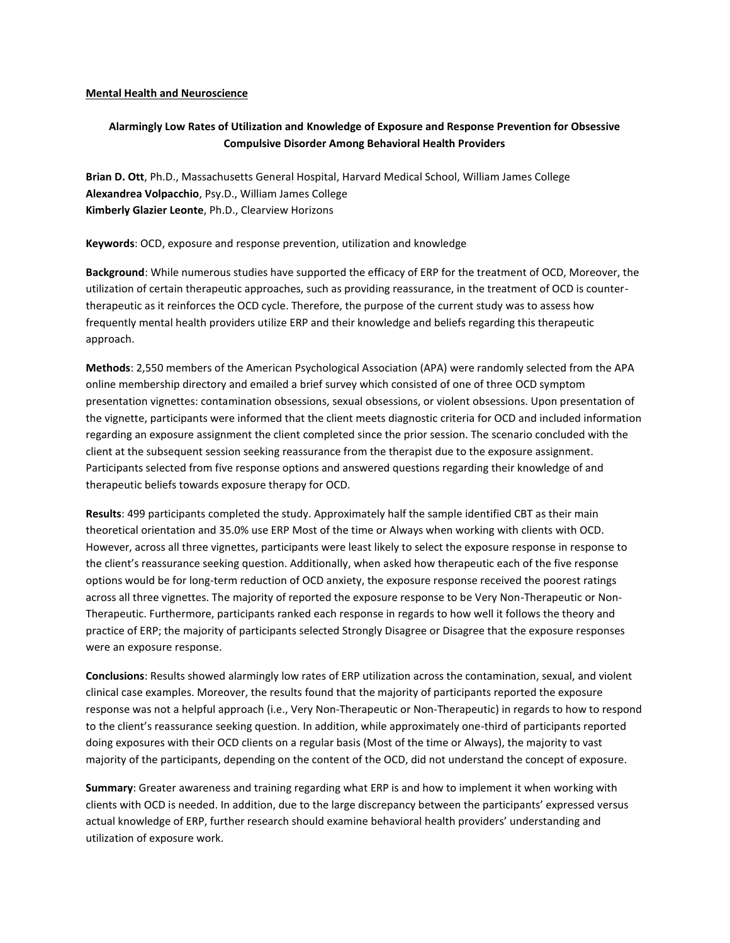#### **Mental Health and Neuroscience**

## **Alarmingly Low Rates of Utilization and Knowledge of Exposure and Response Prevention for Obsessive Compulsive Disorder Among Behavioral Health Providers**

**Brian D. Ott**, Ph.D., Massachusetts General Hospital, Harvard Medical School, William James College **Alexandrea Volpacchio**, Psy.D., William James College **Kimberly Glazier Leonte**, Ph.D., Clearview Horizons

**Keywords**: OCD, exposure and response prevention, utilization and knowledge

**Background**: While numerous studies have supported the efficacy of ERP for the treatment of OCD, Moreover, the utilization of certain therapeutic approaches, such as providing reassurance, in the treatment of OCD is countertherapeutic as it reinforces the OCD cycle. Therefore, the purpose of the current study was to assess how frequently mental health providers utilize ERP and their knowledge and beliefs regarding this therapeutic approach.

**Methods**: 2,550 members of the American Psychological Association (APA) were randomly selected from the APA online membership directory and emailed a brief survey which consisted of one of three OCD symptom presentation vignettes: contamination obsessions, sexual obsessions, or violent obsessions. Upon presentation of the vignette, participants were informed that the client meets diagnostic criteria for OCD and included information regarding an exposure assignment the client completed since the prior session. The scenario concluded with the client at the subsequent session seeking reassurance from the therapist due to the exposure assignment. Participants selected from five response options and answered questions regarding their knowledge of and therapeutic beliefs towards exposure therapy for OCD.

**Results**: 499 participants completed the study. Approximately half the sample identified CBT as their main theoretical orientation and 35.0% use ERP Most of the time or Always when working with clients with OCD. However, across all three vignettes, participants were least likely to select the exposure response in response to the client's reassurance seeking question. Additionally, when asked how therapeutic each of the five response options would be for long-term reduction of OCD anxiety, the exposure response received the poorest ratings across all three vignettes. The majority of reported the exposure response to be Very Non-Therapeutic or Non-Therapeutic. Furthermore, participants ranked each response in regards to how well it follows the theory and practice of ERP; the majority of participants selected Strongly Disagree or Disagree that the exposure responses were an exposure response.

**Conclusions**: Results showed alarmingly low rates of ERP utilization across the contamination, sexual, and violent clinical case examples. Moreover, the results found that the majority of participants reported the exposure response was not a helpful approach (i.e., Very Non-Therapeutic or Non-Therapeutic) in regards to how to respond to the client's reassurance seeking question. In addition, while approximately one-third of participants reported doing exposures with their OCD clients on a regular basis (Most of the time or Always), the majority to vast majority of the participants, depending on the content of the OCD, did not understand the concept of exposure.

**Summary**: Greater awareness and training regarding what ERP is and how to implement it when working with clients with OCD is needed. In addition, due to the large discrepancy between the participants' expressed versus actual knowledge of ERP, further research should examine behavioral health providers' understanding and utilization of exposure work.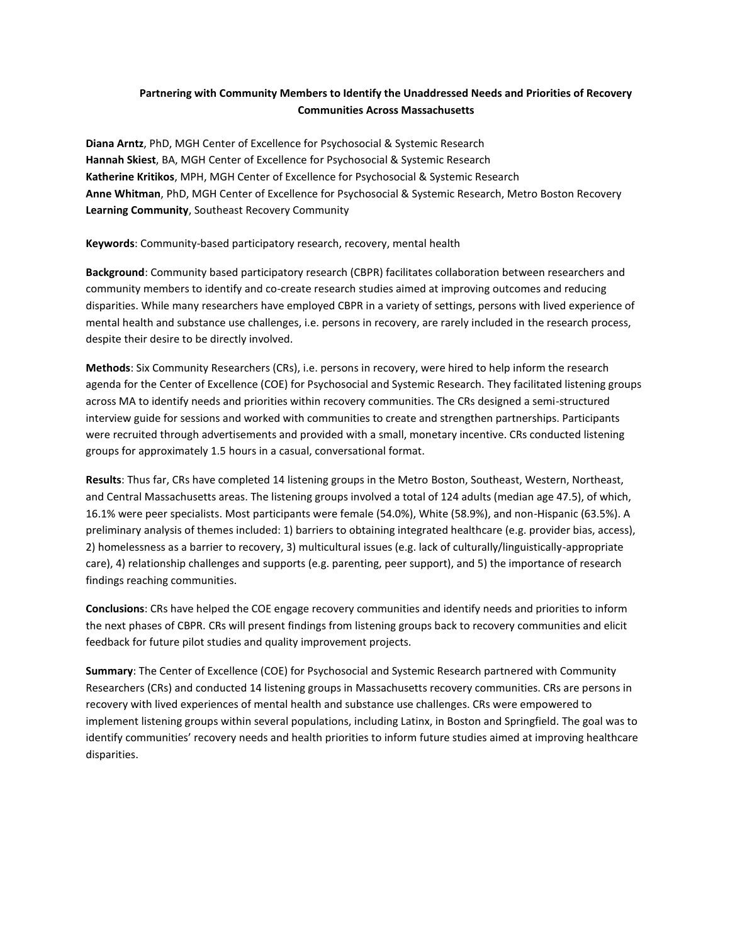## **Partnering with Community Members to Identify the Unaddressed Needs and Priorities of Recovery Communities Across Massachusetts**

**Diana Arntz**, PhD, MGH Center of Excellence for Psychosocial & Systemic Research **Hannah Skiest**, BA, MGH Center of Excellence for Psychosocial & Systemic Research **Katherine Kritikos**, MPH, MGH Center of Excellence for Psychosocial & Systemic Research **Anne Whitman**, PhD, MGH Center of Excellence for Psychosocial & Systemic Research, Metro Boston Recovery **Learning Community**, Southeast Recovery Community

**Keywords**: Community-based participatory research, recovery, mental health

**Background**: Community based participatory research (CBPR) facilitates collaboration between researchers and community members to identify and co-create research studies aimed at improving outcomes and reducing disparities. While many researchers have employed CBPR in a variety of settings, persons with lived experience of mental health and substance use challenges, i.e. persons in recovery, are rarely included in the research process, despite their desire to be directly involved.

**Methods**: Six Community Researchers (CRs), i.e. persons in recovery, were hired to help inform the research agenda for the Center of Excellence (COE) for Psychosocial and Systemic Research. They facilitated listening groups across MA to identify needs and priorities within recovery communities. The CRs designed a semi-structured interview guide for sessions and worked with communities to create and strengthen partnerships. Participants were recruited through advertisements and provided with a small, monetary incentive. CRs conducted listening groups for approximately 1.5 hours in a casual, conversational format.

**Results**: Thus far, CRs have completed 14 listening groups in the Metro Boston, Southeast, Western, Northeast, and Central Massachusetts areas. The listening groups involved a total of 124 adults (median age 47.5), of which, 16.1% were peer specialists. Most participants were female (54.0%), White (58.9%), and non-Hispanic (63.5%). A preliminary analysis of themes included: 1) barriers to obtaining integrated healthcare (e.g. provider bias, access), 2) homelessness as a barrier to recovery, 3) multicultural issues (e.g. lack of culturally/linguistically-appropriate care), 4) relationship challenges and supports (e.g. parenting, peer support), and 5) the importance of research findings reaching communities.

**Conclusions**: CRs have helped the COE engage recovery communities and identify needs and priorities to inform the next phases of CBPR. CRs will present findings from listening groups back to recovery communities and elicit feedback for future pilot studies and quality improvement projects.

**Summary**: The Center of Excellence (COE) for Psychosocial and Systemic Research partnered with Community Researchers (CRs) and conducted 14 listening groups in Massachusetts recovery communities. CRs are persons in recovery with lived experiences of mental health and substance use challenges. CRs were empowered to implement listening groups within several populations, including Latinx, in Boston and Springfield. The goal was to identify communities' recovery needs and health priorities to inform future studies aimed at improving healthcare disparities.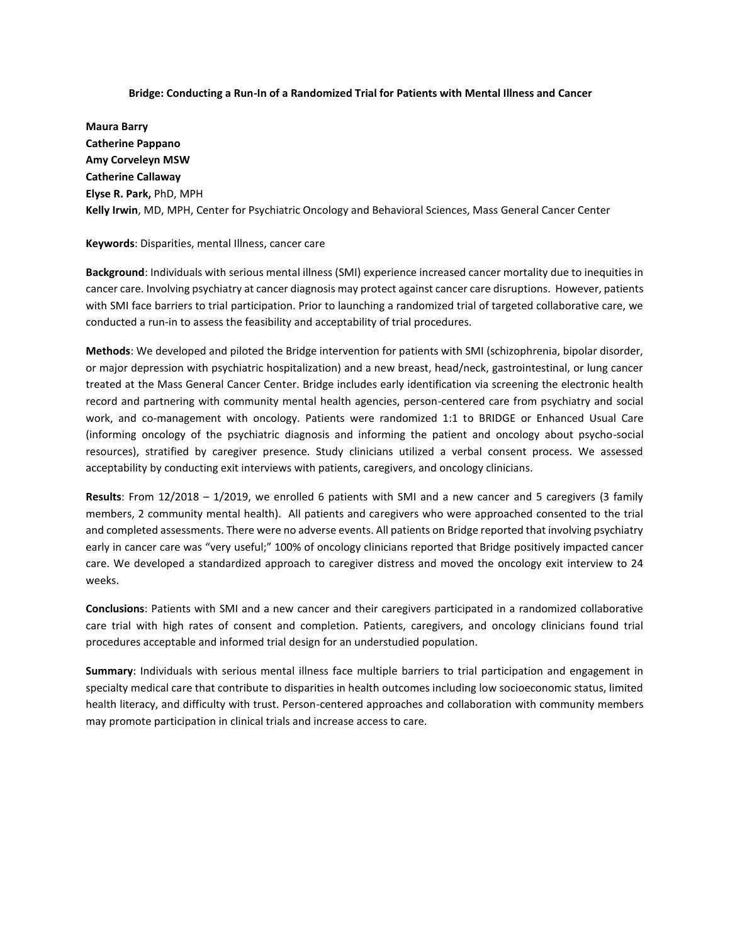#### **Bridge: Conducting a Run-In of a Randomized Trial for Patients with Mental Illness and Cancer**

**Maura Barry Catherine Pappano Amy Corveleyn MSW Catherine Callaway Elyse R. Park,** PhD, MPH **Kelly Irwin**, MD, MPH, Center for Psychiatric Oncology and Behavioral Sciences, Mass General Cancer Center

#### **Keywords**: Disparities, mental Illness, cancer care

**Background**: Individuals with serious mental illness (SMI) experience increased cancer mortality due to inequities in cancer care. Involving psychiatry at cancer diagnosis may protect against cancer care disruptions. However, patients with SMI face barriers to trial participation. Prior to launching a randomized trial of targeted collaborative care, we conducted a run-in to assess the feasibility and acceptability of trial procedures.

**Methods**: We developed and piloted the Bridge intervention for patients with SMI (schizophrenia, bipolar disorder, or major depression with psychiatric hospitalization) and a new breast, head/neck, gastrointestinal, or lung cancer treated at the Mass General Cancer Center. Bridge includes early identification via screening the electronic health record and partnering with community mental health agencies, person-centered care from psychiatry and social work, and co-management with oncology. Patients were randomized 1:1 to BRIDGE or Enhanced Usual Care (informing oncology of the psychiatric diagnosis and informing the patient and oncology about psycho-social resources), stratified by caregiver presence. Study clinicians utilized a verbal consent process. We assessed acceptability by conducting exit interviews with patients, caregivers, and oncology clinicians.

**Results**: From 12/2018 – 1/2019, we enrolled 6 patients with SMI and a new cancer and 5 caregivers (3 family members, 2 community mental health). All patients and caregivers who were approached consented to the trial and completed assessments. There were no adverse events. All patients on Bridge reported that involving psychiatry early in cancer care was "very useful;" 100% of oncology clinicians reported that Bridge positively impacted cancer care. We developed a standardized approach to caregiver distress and moved the oncology exit interview to 24 weeks.

**Conclusions**: Patients with SMI and a new cancer and their caregivers participated in a randomized collaborative care trial with high rates of consent and completion. Patients, caregivers, and oncology clinicians found trial procedures acceptable and informed trial design for an understudied population.

**Summary**: Individuals with serious mental illness face multiple barriers to trial participation and engagement in specialty medical care that contribute to disparities in health outcomes including low socioeconomic status, limited health literacy, and difficulty with trust. Person-centered approaches and collaboration with community members may promote participation in clinical trials and increase access to care.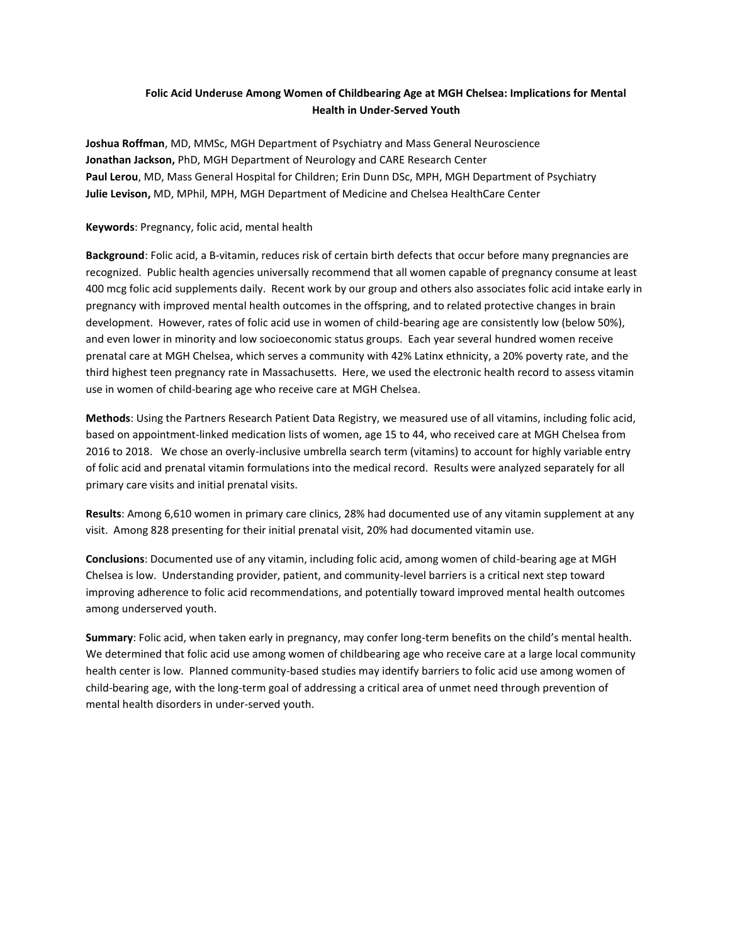## **Folic Acid Underuse Among Women of Childbearing Age at MGH Chelsea: Implications for Mental Health in Under-Served Youth**

**Joshua Roffman**, MD, MMSc, MGH Department of Psychiatry and Mass General Neuroscience **Jonathan Jackson,** PhD, MGH Department of Neurology and CARE Research Center **Paul Lerou**, MD, Mass General Hospital for Children; Erin Dunn DSc, MPH, MGH Department of Psychiatry **Julie Levison,** MD, MPhil, MPH, MGH Department of Medicine and Chelsea HealthCare Center

## **Keywords**: Pregnancy, folic acid, mental health

**Background**: Folic acid, a B-vitamin, reduces risk of certain birth defects that occur before many pregnancies are recognized. Public health agencies universally recommend that all women capable of pregnancy consume at least 400 mcg folic acid supplements daily. Recent work by our group and others also associates folic acid intake early in pregnancy with improved mental health outcomes in the offspring, and to related protective changes in brain development. However, rates of folic acid use in women of child-bearing age are consistently low (below 50%), and even lower in minority and low socioeconomic status groups. Each year several hundred women receive prenatal care at MGH Chelsea, which serves a community with 42% Latinx ethnicity, a 20% poverty rate, and the third highest teen pregnancy rate in Massachusetts. Here, we used the electronic health record to assess vitamin use in women of child-bearing age who receive care at MGH Chelsea.

**Methods**: Using the Partners Research Patient Data Registry, we measured use of all vitamins, including folic acid, based on appointment-linked medication lists of women, age 15 to 44, who received care at MGH Chelsea from 2016 to 2018. We chose an overly-inclusive umbrella search term (vitamins) to account for highly variable entry of folic acid and prenatal vitamin formulations into the medical record. Results were analyzed separately for all primary care visits and initial prenatal visits.

**Results**: Among 6,610 women in primary care clinics, 28% had documented use of any vitamin supplement at any visit. Among 828 presenting for their initial prenatal visit, 20% had documented vitamin use.

**Conclusions**: Documented use of any vitamin, including folic acid, among women of child-bearing age at MGH Chelsea is low. Understanding provider, patient, and community-level barriers is a critical next step toward improving adherence to folic acid recommendations, and potentially toward improved mental health outcomes among underserved youth.

**Summary**: Folic acid, when taken early in pregnancy, may confer long-term benefits on the child's mental health. We determined that folic acid use among women of childbearing age who receive care at a large local community health center is low. Planned community-based studies may identify barriers to folic acid use among women of child-bearing age, with the long-term goal of addressing a critical area of unmet need through prevention of mental health disorders in under-served youth.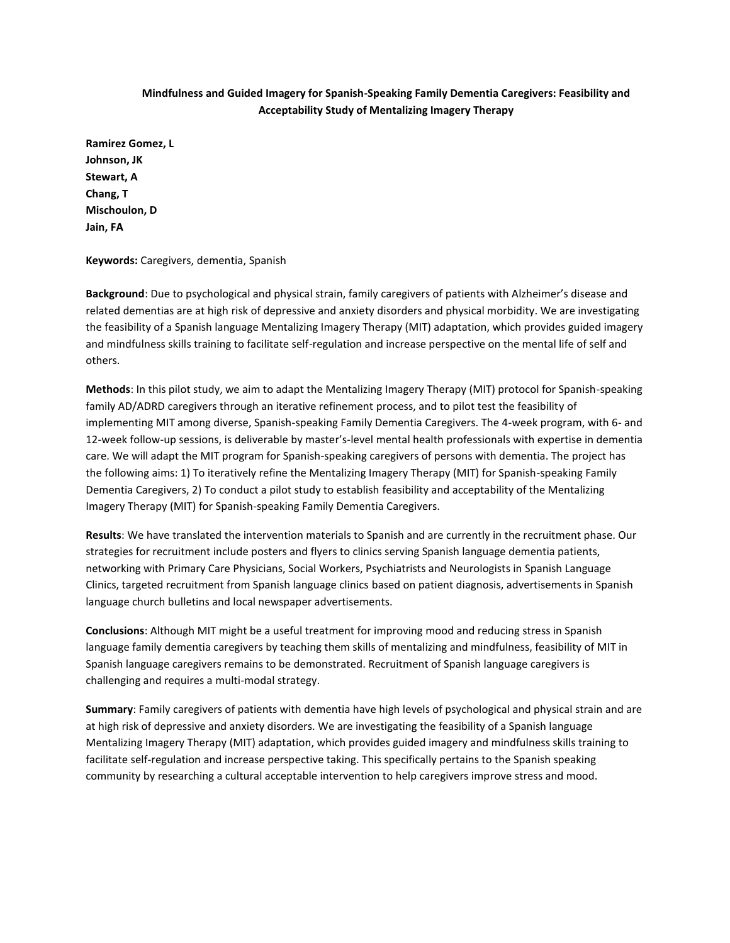## **Mindfulness and Guided Imagery for Spanish-Speaking Family Dementia Caregivers: Feasibility and Acceptability Study of Mentalizing Imagery Therapy**

**Ramirez Gomez, L Johnson, JK Stewart, A Chang, T Mischoulon, D Jain, FA**

#### **Keywords:** Caregivers, dementia, Spanish

**Background**: Due to psychological and physical strain, family caregivers of patients with Alzheimer's disease and related dementias are at high risk of depressive and anxiety disorders and physical morbidity. We are investigating the feasibility of a Spanish language Mentalizing Imagery Therapy (MIT) adaptation, which provides guided imagery and mindfulness skills training to facilitate self-regulation and increase perspective on the mental life of self and others.

**Methods**: In this pilot study, we aim to adapt the Mentalizing Imagery Therapy (MIT) protocol for Spanish-speaking family AD/ADRD caregivers through an iterative refinement process, and to pilot test the feasibility of implementing MIT among diverse, Spanish-speaking Family Dementia Caregivers. The 4-week program, with 6- and 12-week follow-up sessions, is deliverable by master's-level mental health professionals with expertise in dementia care. We will adapt the MIT program for Spanish-speaking caregivers of persons with dementia. The project has the following aims: 1) To iteratively refine the Mentalizing Imagery Therapy (MIT) for Spanish-speaking Family Dementia Caregivers, 2) To conduct a pilot study to establish feasibility and acceptability of the Mentalizing Imagery Therapy (MIT) for Spanish-speaking Family Dementia Caregivers.

**Results**: We have translated the intervention materials to Spanish and are currently in the recruitment phase. Our strategies for recruitment include posters and flyers to clinics serving Spanish language dementia patients, networking with Primary Care Physicians, Social Workers, Psychiatrists and Neurologists in Spanish Language Clinics, targeted recruitment from Spanish language clinics based on patient diagnosis, advertisements in Spanish language church bulletins and local newspaper advertisements.

**Conclusions**: Although MIT might be a useful treatment for improving mood and reducing stress in Spanish language family dementia caregivers by teaching them skills of mentalizing and mindfulness, feasibility of MIT in Spanish language caregivers remains to be demonstrated. Recruitment of Spanish language caregivers is challenging and requires a multi-modal strategy.

**Summary**: Family caregivers of patients with dementia have high levels of psychological and physical strain and are at high risk of depressive and anxiety disorders. We are investigating the feasibility of a Spanish language Mentalizing Imagery Therapy (MIT) adaptation, which provides guided imagery and mindfulness skills training to facilitate self-regulation and increase perspective taking. This specifically pertains to the Spanish speaking community by researching a cultural acceptable intervention to help caregivers improve stress and mood.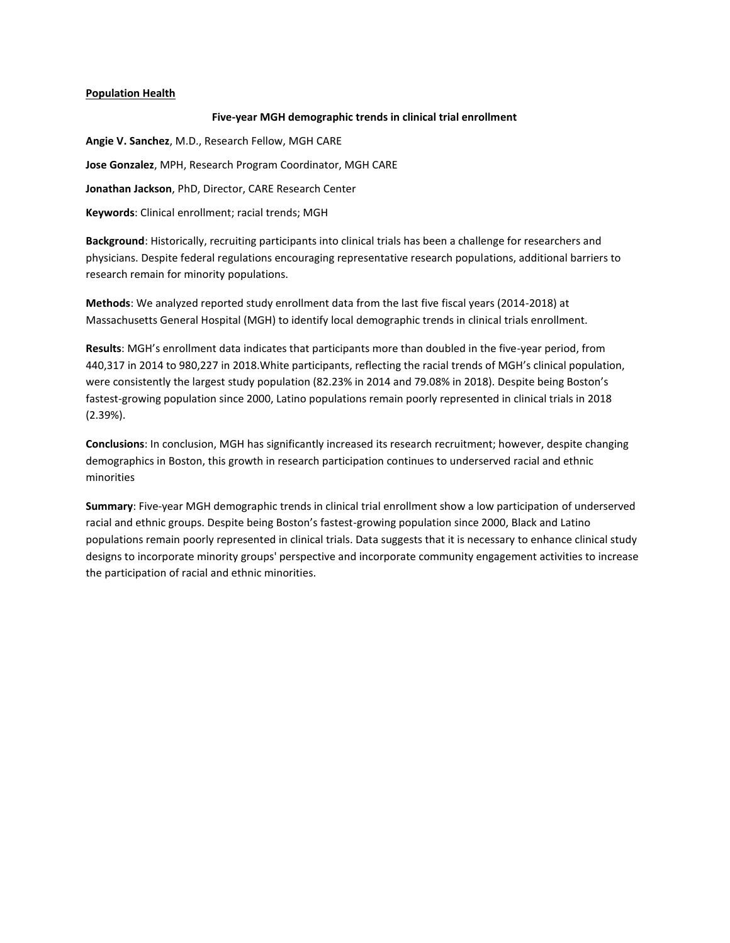## **Population Health**

## **Five-year MGH demographic trends in clinical trial enrollment**

**Angie V. Sanchez**, M.D., Research Fellow, MGH CARE **Jose Gonzalez**, MPH, Research Program Coordinator, MGH CARE **Jonathan Jackson**, PhD, Director, CARE Research Center **Keywords**: Clinical enrollment; racial trends; MGH

**Background**: Historically, recruiting participants into clinical trials has been a challenge for researchers and physicians. Despite federal regulations encouraging representative research populations, additional barriers to research remain for minority populations.

**Methods**: We analyzed reported study enrollment data from the last five fiscal years (2014-2018) at Massachusetts General Hospital (MGH) to identify local demographic trends in clinical trials enrollment.

**Results**: MGH's enrollment data indicates that participants more than doubled in the five-year period, from 440,317 in 2014 to 980,227 in 2018.White participants, reflecting the racial trends of MGH's clinical population, were consistently the largest study population (82.23% in 2014 and 79.08% in 2018). Despite being Boston's fastest-growing population since 2000, Latino populations remain poorly represented in clinical trials in 2018 (2.39%).

**Conclusions**: In conclusion, MGH has significantly increased its research recruitment; however, despite changing demographics in Boston, this growth in research participation continues to underserved racial and ethnic minorities

**Summary**: Five-year MGH demographic trends in clinical trial enrollment show a low participation of underserved racial and ethnic groups. Despite being Boston's fastest-growing population since 2000, Black and Latino populations remain poorly represented in clinical trials. Data suggests that it is necessary to enhance clinical study designs to incorporate minority groups' perspective and incorporate community engagement activities to increase the participation of racial and ethnic minorities.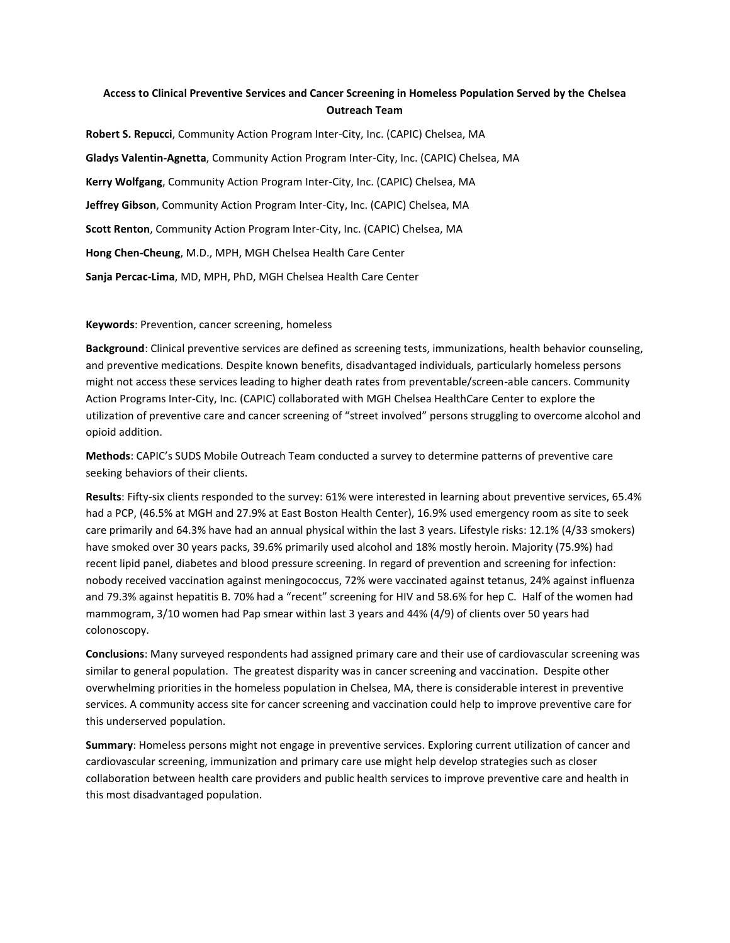## **Access to Clinical Preventive Services and Cancer Screening in Homeless Population Served by the Chelsea Outreach Team**

**Robert S. Repucci**, Community Action Program Inter-City, Inc. (CAPIC) Chelsea, MA **Gladys Valentin-Agnetta**, Community Action Program Inter-City, Inc. (CAPIC) Chelsea, MA **Kerry Wolfgang**, Community Action Program Inter-City, Inc. (CAPIC) Chelsea, MA **Jeffrey Gibson**, Community Action Program Inter-City, Inc. (CAPIC) Chelsea, MA **Scott Renton**, Community Action Program Inter-City, Inc. (CAPIC) Chelsea, MA **Hong Chen-Cheung**, M.D., MPH, MGH Chelsea Health Care Center **Sanja Percac-Lima**, MD, MPH, PhD, MGH Chelsea Health Care Center

**Keywords**: Prevention, cancer screening, homeless

**Background**: Clinical preventive services are defined as screening tests, immunizations, health behavior counseling, and preventive medications. Despite known benefits, disadvantaged individuals, particularly homeless persons might not access these services leading to higher death rates from preventable/screen-able cancers. Community Action Programs Inter-City, Inc. (CAPIC) collaborated with MGH Chelsea HealthCare Center to explore the utilization of preventive care and cancer screening of "street involved" persons struggling to overcome alcohol and opioid addition.

**Methods**: CAPIC's SUDS Mobile Outreach Team conducted a survey to determine patterns of preventive care seeking behaviors of their clients.

**Results**: Fifty-six clients responded to the survey: 61% were interested in learning about preventive services, 65.4% had a PCP, (46.5% at MGH and 27.9% at East Boston Health Center), 16.9% used emergency room as site to seek care primarily and 64.3% have had an annual physical within the last 3 years. Lifestyle risks: 12.1% (4/33 smokers) have smoked over 30 years packs, 39.6% primarily used alcohol and 18% mostly heroin. Majority (75.9%) had recent lipid panel, diabetes and blood pressure screening. In regard of prevention and screening for infection: nobody received vaccination against meningococcus, 72% were vaccinated against tetanus, 24% against influenza and 79.3% against hepatitis B. 70% had a "recent" screening for HIV and 58.6% for hep C. Half of the women had mammogram, 3/10 women had Pap smear within last 3 years and 44% (4/9) of clients over 50 years had colonoscopy.

**Conclusions**: Many surveyed respondents had assigned primary care and their use of cardiovascular screening was similar to general population. The greatest disparity was in cancer screening and vaccination. Despite other overwhelming priorities in the homeless population in Chelsea, MA, there is considerable interest in preventive services. A community access site for cancer screening and vaccination could help to improve preventive care for this underserved population.

**Summary**: Homeless persons might not engage in preventive services. Exploring current utilization of cancer and cardiovascular screening, immunization and primary care use might help develop strategies such as closer collaboration between health care providers and public health services to improve preventive care and health in this most disadvantaged population.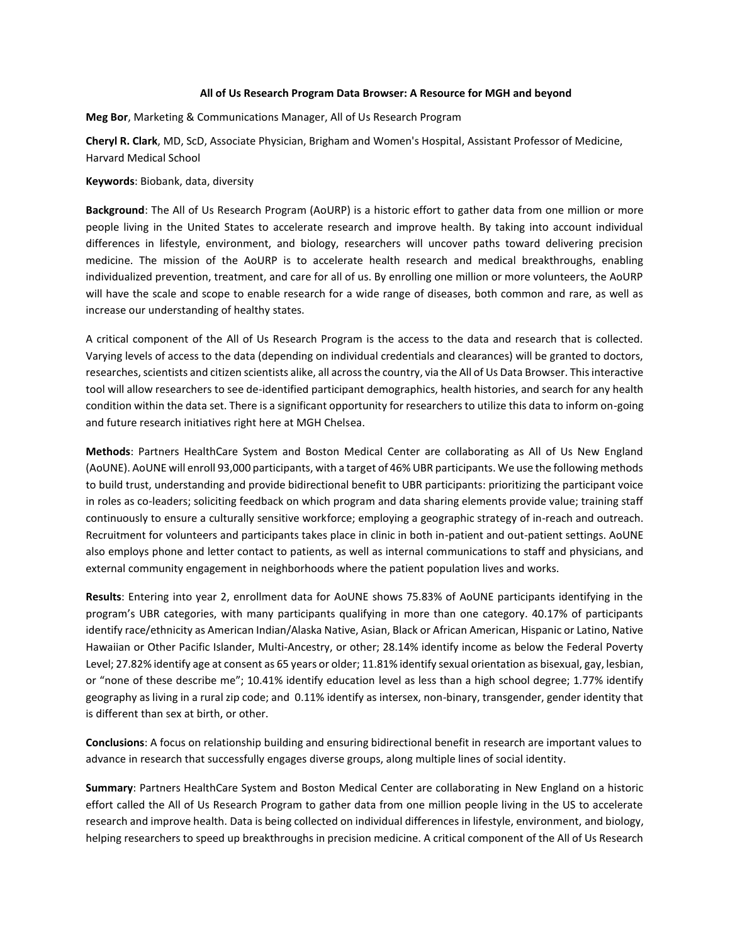#### **All of Us Research Program Data Browser: A Resource for MGH and beyond**

**Meg Bor**, Marketing & Communications Manager, All of Us Research Program

**Cheryl R. Clark**, MD, ScD, Associate Physician, Brigham and Women's Hospital, Assistant Professor of Medicine, Harvard Medical School

#### **Keywords**: Biobank, data, diversity

**Background**: The All of Us Research Program (AoURP) is a historic effort to gather data from one million or more people living in the United States to accelerate research and improve health. By taking into account individual differences in lifestyle, environment, and biology, researchers will uncover paths toward delivering precision medicine. The mission of the AoURP is to accelerate health research and medical breakthroughs, enabling individualized prevention, treatment, and care for all of us. By enrolling one million or more volunteers, the AoURP will have the scale and scope to enable research for a wide range of diseases, both common and rare, as well as increase our understanding of healthy states.

A critical component of the All of Us Research Program is the access to the data and research that is collected. Varying levels of access to the data (depending on individual credentials and clearances) will be granted to doctors, researches, scientists and citizen scientists alike, all across the country, via the All of Us Data Browser. This interactive tool will allow researchers to see de-identified participant demographics, health histories, and search for any health condition within the data set. There is a significant opportunity for researchers to utilize this data to inform on-going and future research initiatives right here at MGH Chelsea.

**Methods**: Partners HealthCare System and Boston Medical Center are collaborating as All of Us New England (AoUNE). AoUNE will enroll 93,000 participants, with a target of 46% UBR participants. We use the following methods to build trust, understanding and provide bidirectional benefit to UBR participants: prioritizing the participant voice in roles as co-leaders; soliciting feedback on which program and data sharing elements provide value; training staff continuously to ensure a culturally sensitive workforce; employing a geographic strategy of in-reach and outreach. Recruitment for volunteers and participants takes place in clinic in both in-patient and out-patient settings. AoUNE also employs phone and letter contact to patients, as well as internal communications to staff and physicians, and external community engagement in neighborhoods where the patient population lives and works.

**Results**: Entering into year 2, enrollment data for AoUNE shows 75.83% of AoUNE participants identifying in the program's UBR categories, with many participants qualifying in more than one category. 40.17% of participants identify race/ethnicity as American Indian/Alaska Native, Asian, Black or African American, Hispanic or Latino, Native Hawaiian or Other Pacific Islander, Multi-Ancestry, or other; 28.14% identify income as below the Federal Poverty Level; 27.82% identify age at consent as 65 years or older; 11.81% identify sexual orientation as bisexual, gay, lesbian, or "none of these describe me"; 10.41% identify education level as less than a high school degree; 1.77% identify geography as living in a rural zip code; and 0.11% identify as intersex, non-binary, transgender, gender identity that is different than sex at birth, or other.

**Conclusions**: A focus on relationship building and ensuring bidirectional benefit in research are important values to advance in research that successfully engages diverse groups, along multiple lines of social identity.

**Summary**: Partners HealthCare System and Boston Medical Center are collaborating in New England on a historic effort called the All of Us Research Program to gather data from one million people living in the US to accelerate research and improve health. Data is being collected on individual differences in lifestyle, environment, and biology, helping researchers to speed up breakthroughs in precision medicine. A critical component of the All of Us Research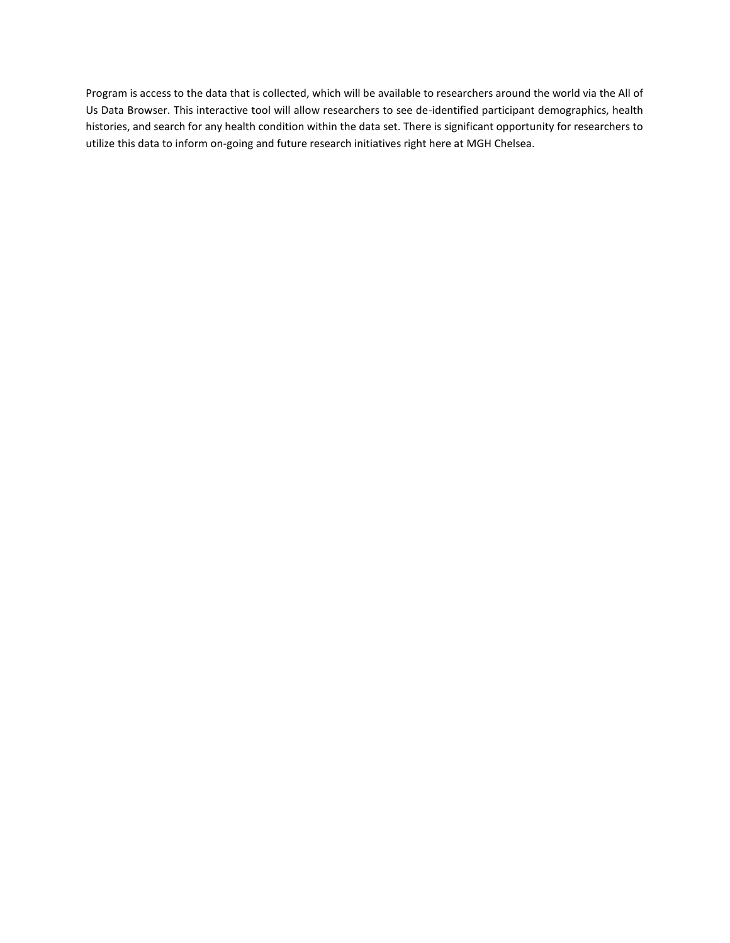Program is access to the data that is collected, which will be available to researchers around the world via the All of Us Data Browser. This interactive tool will allow researchers to see de-identified participant demographics, health histories, and search for any health condition within the data set. There is significant opportunity for researchers to utilize this data to inform on-going and future research initiatives right here at MGH Chelsea.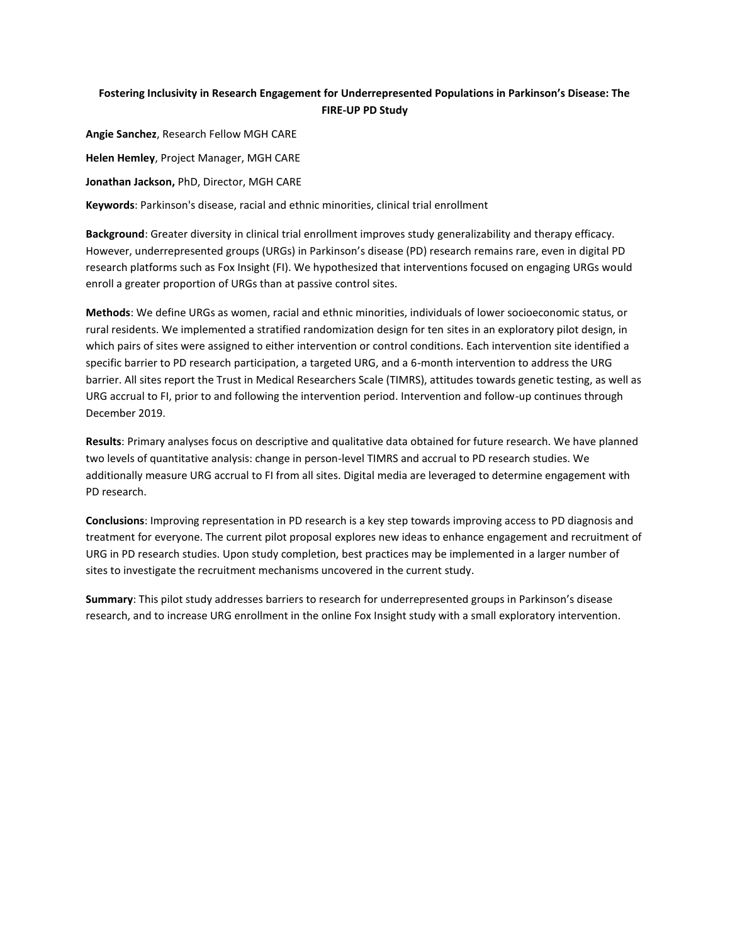## **Fostering Inclusivity in Research Engagement for Underrepresented Populations in Parkinson's Disease: The FIRE-UP PD Study**

**Angie Sanchez**, Research Fellow MGH CARE **Helen Hemley**, Project Manager, MGH CARE **Jonathan Jackson,** PhD, Director, MGH CARE **Keywords**: Parkinson's disease, racial and ethnic minorities, clinical trial enrollment

**Background**: Greater diversity in clinical trial enrollment improves study generalizability and therapy efficacy. However, underrepresented groups (URGs) in Parkinson's disease (PD) research remains rare, even in digital PD research platforms such as Fox Insight (FI). We hypothesized that interventions focused on engaging URGs would enroll a greater proportion of URGs than at passive control sites.

**Methods**: We define URGs as women, racial and ethnic minorities, individuals of lower socioeconomic status, or rural residents. We implemented a stratified randomization design for ten sites in an exploratory pilot design, in which pairs of sites were assigned to either intervention or control conditions. Each intervention site identified a specific barrier to PD research participation, a targeted URG, and a 6-month intervention to address the URG barrier. All sites report the Trust in Medical Researchers Scale (TIMRS), attitudes towards genetic testing, as well as URG accrual to FI, prior to and following the intervention period. Intervention and follow-up continues through December 2019.

**Results**: Primary analyses focus on descriptive and qualitative data obtained for future research. We have planned two levels of quantitative analysis: change in person-level TIMRS and accrual to PD research studies. We additionally measure URG accrual to FI from all sites. Digital media are leveraged to determine engagement with PD research.

**Conclusions**: Improving representation in PD research is a key step towards improving access to PD diagnosis and treatment for everyone. The current pilot proposal explores new ideas to enhance engagement and recruitment of URG in PD research studies. Upon study completion, best practices may be implemented in a larger number of sites to investigate the recruitment mechanisms uncovered in the current study.

**Summary**: This pilot study addresses barriers to research for underrepresented groups in Parkinson's disease research, and to increase URG enrollment in the online Fox Insight study with a small exploratory intervention.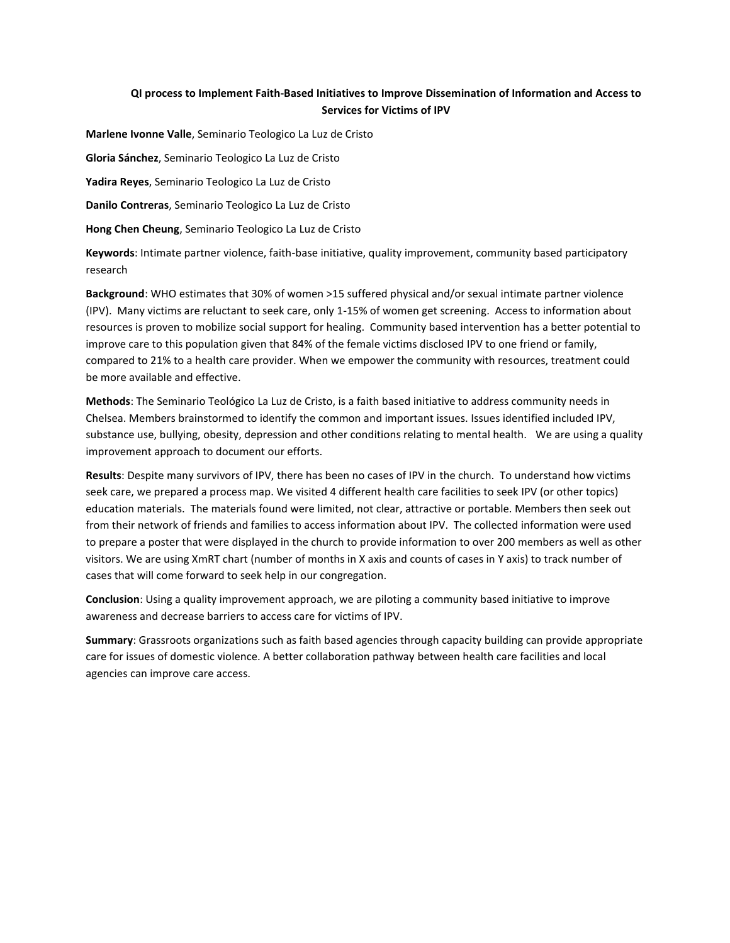## **QI process to Implement Faith-Based Initiatives to Improve Dissemination of Information and Access to Services for Victims of IPV**

**Marlene Ivonne Valle**, Seminario Teologico La Luz de Cristo

**Gloria Sánchez**, Seminario Teologico La Luz de Cristo

**Yadira Reyes**, Seminario Teologico La Luz de Cristo

**Danilo Contreras**, Seminario Teologico La Luz de Cristo

**Hong Chen Cheung**, Seminario Teologico La Luz de Cristo

**Keywords**: Intimate partner violence, faith-base initiative, quality improvement, community based participatory research

**Background**: WHO estimates that 30% of women >15 suffered physical and/or sexual intimate partner violence (IPV). Many victims are reluctant to seek care, only 1-15% of women get screening. Access to information about resources is proven to mobilize social support for healing. Community based intervention has a better potential to improve care to this population given that 84% of the female victims disclosed IPV to one friend or family, compared to 21% to a health care provider. When we empower the community with resources, treatment could be more available and effective.

**Methods**: The Seminario Teológico La Luz de Cristo, is a faith based initiative to address community needs in Chelsea. Members brainstormed to identify the common and important issues. Issues identified included IPV, substance use, bullying, obesity, depression and other conditions relating to mental health. We are using a quality improvement approach to document our efforts.

**Results**: Despite many survivors of IPV, there has been no cases of IPV in the church. To understand how victims seek care, we prepared a process map. We visited 4 different health care facilities to seek IPV (or other topics) education materials. The materials found were limited, not clear, attractive or portable. Members then seek out from their network of friends and families to access information about IPV. The collected information were used to prepare a poster that were displayed in the church to provide information to over 200 members as well as other visitors. We are using XmRT chart (number of months in X axis and counts of cases in Y axis) to track number of cases that will come forward to seek help in our congregation.

**Conclusion**: Using a quality improvement approach, we are piloting a community based initiative to improve awareness and decrease barriers to access care for victims of IPV.

**Summary**: Grassroots organizations such as faith based agencies through capacity building can provide appropriate care for issues of domestic violence. A better collaboration pathway between health care facilities and local agencies can improve care access.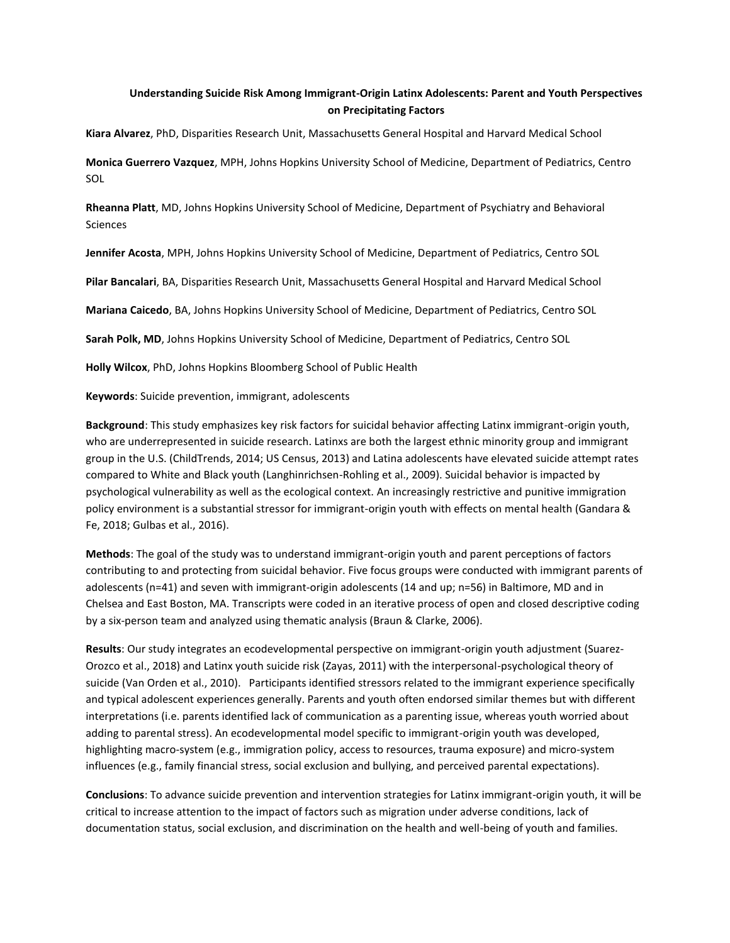## **Understanding Suicide Risk Among Immigrant-Origin Latinx Adolescents: Parent and Youth Perspectives on Precipitating Factors**

**Kiara Alvarez**, PhD, Disparities Research Unit, Massachusetts General Hospital and Harvard Medical School

**Monica Guerrero Vazquez**, MPH, Johns Hopkins University School of Medicine, Department of Pediatrics, Centro SOL

**Rheanna Platt**, MD, Johns Hopkins University School of Medicine, Department of Psychiatry and Behavioral Sciences

**Jennifer Acosta**, MPH, Johns Hopkins University School of Medicine, Department of Pediatrics, Centro SOL

**Pilar Bancalari**, BA, Disparities Research Unit, Massachusetts General Hospital and Harvard Medical School

**Mariana Caicedo**, BA, Johns Hopkins University School of Medicine, Department of Pediatrics, Centro SOL

**Sarah Polk, MD**, Johns Hopkins University School of Medicine, Department of Pediatrics, Centro SOL

**Holly Wilcox**, PhD, Johns Hopkins Bloomberg School of Public Health

**Keywords**: Suicide prevention, immigrant, adolescents

**Background**: This study emphasizes key risk factors for suicidal behavior affecting Latinx immigrant-origin youth, who are underrepresented in suicide research. Latinxs are both the largest ethnic minority group and immigrant group in the U.S. (ChildTrends, 2014; US Census, 2013) and Latina adolescents have elevated suicide attempt rates compared to White and Black youth (Langhinrichsen-Rohling et al., 2009). Suicidal behavior is impacted by psychological vulnerability as well as the ecological context. An increasingly restrictive and punitive immigration policy environment is a substantial stressor for immigrant-origin youth with effects on mental health (Gandara & Fe, 2018; Gulbas et al., 2016).

**Methods**: The goal of the study was to understand immigrant-origin youth and parent perceptions of factors contributing to and protecting from suicidal behavior. Five focus groups were conducted with immigrant parents of adolescents (n=41) and seven with immigrant-origin adolescents (14 and up; n=56) in Baltimore, MD and in Chelsea and East Boston, MA. Transcripts were coded in an iterative process of open and closed descriptive coding by a six-person team and analyzed using thematic analysis (Braun & Clarke, 2006).

**Results**: Our study integrates an ecodevelopmental perspective on immigrant-origin youth adjustment (Suarez-Orozco et al., 2018) and Latinx youth suicide risk (Zayas, 2011) with the interpersonal-psychological theory of suicide (Van Orden et al., 2010). Participants identified stressors related to the immigrant experience specifically and typical adolescent experiences generally. Parents and youth often endorsed similar themes but with different interpretations (i.e. parents identified lack of communication as a parenting issue, whereas youth worried about adding to parental stress). An ecodevelopmental model specific to immigrant-origin youth was developed, highlighting macro-system (e.g., immigration policy, access to resources, trauma exposure) and micro-system influences (e.g., family financial stress, social exclusion and bullying, and perceived parental expectations).

**Conclusions**: To advance suicide prevention and intervention strategies for Latinx immigrant-origin youth, it will be critical to increase attention to the impact of factors such as migration under adverse conditions, lack of documentation status, social exclusion, and discrimination on the health and well-being of youth and families.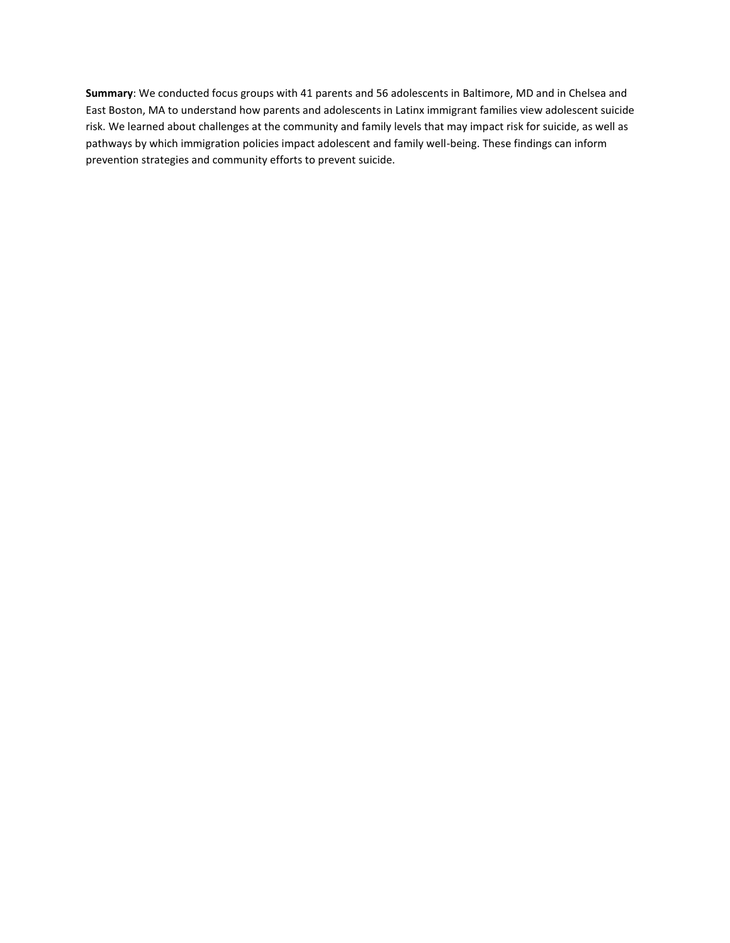**Summary**: We conducted focus groups with 41 parents and 56 adolescents in Baltimore, MD and in Chelsea and East Boston, MA to understand how parents and adolescents in Latinx immigrant families view adolescent suicide risk. We learned about challenges at the community and family levels that may impact risk for suicide, as well as pathways by which immigration policies impact adolescent and family well-being. These findings can inform prevention strategies and community efforts to prevent suicide.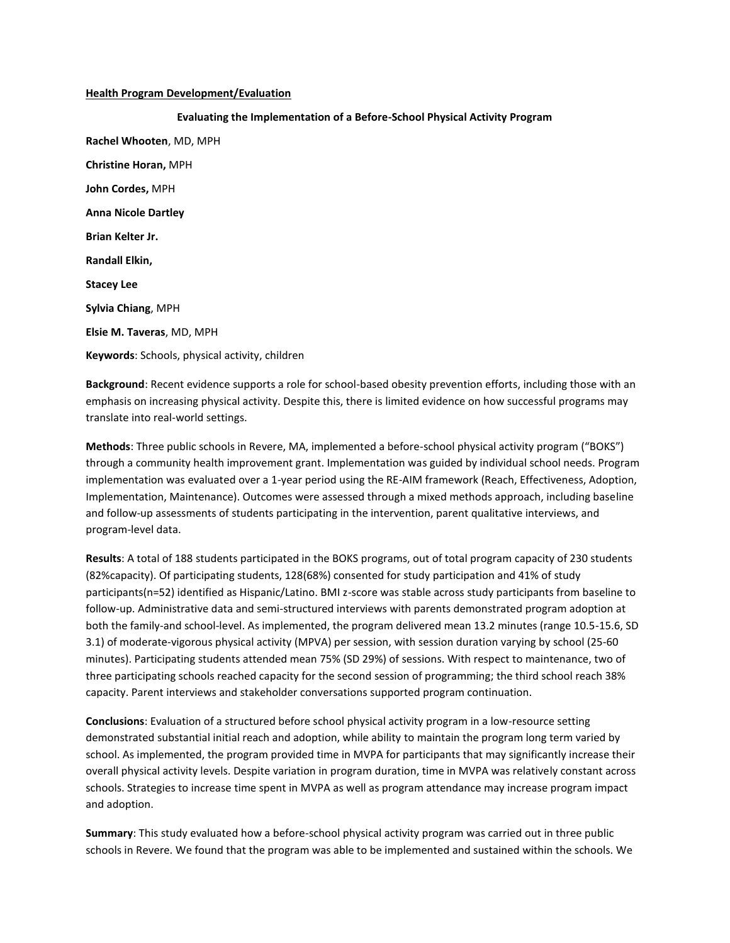#### **Health Program Development/Evaluation**

**Evaluating the Implementation of a Before-School Physical Activity Program Rachel Whooten**, MD, MPH **Christine Horan,** MPH **John Cordes,** MPH **Anna Nicole Dartley Brian Kelter Jr. Randall Elkin, Stacey Lee Sylvia Chiang**, MPH **Elsie M. Taveras**, MD, MPH **Keywords**: Schools, physical activity, children

**Background**: Recent evidence supports a role for school-based obesity prevention efforts, including those with an emphasis on increasing physical activity. Despite this, there is limited evidence on how successful programs may translate into real-world settings.

**Methods**: Three public schools in Revere, MA, implemented a before-school physical activity program ("BOKS") through a community health improvement grant. Implementation was guided by individual school needs. Program implementation was evaluated over a 1-year period using the RE-AIM framework (Reach, Effectiveness, Adoption, Implementation, Maintenance). Outcomes were assessed through a mixed methods approach, including baseline and follow-up assessments of students participating in the intervention, parent qualitative interviews, and program-level data.

**Results**: A total of 188 students participated in the BOKS programs, out of total program capacity of 230 students (82%capacity). Of participating students, 128(68%) consented for study participation and 41% of study participants(n=52) identified as Hispanic/Latino. BMI z-score was stable across study participants from baseline to follow-up. Administrative data and semi-structured interviews with parents demonstrated program adoption at both the family-and school-level. As implemented, the program delivered mean 13.2 minutes (range 10.5-15.6, SD 3.1) of moderate-vigorous physical activity (MPVA) per session, with session duration varying by school (25-60 minutes). Participating students attended mean 75% (SD 29%) of sessions. With respect to maintenance, two of three participating schools reached capacity for the second session of programming; the third school reach 38% capacity. Parent interviews and stakeholder conversations supported program continuation.

**Conclusions**: Evaluation of a structured before school physical activity program in a low-resource setting demonstrated substantial initial reach and adoption, while ability to maintain the program long term varied by school. As implemented, the program provided time in MVPA for participants that may significantly increase their overall physical activity levels. Despite variation in program duration, time in MVPA was relatively constant across schools. Strategies to increase time spent in MVPA as well as program attendance may increase program impact and adoption.

**Summary**: This study evaluated how a before-school physical activity program was carried out in three public schools in Revere. We found that the program was able to be implemented and sustained within the schools. We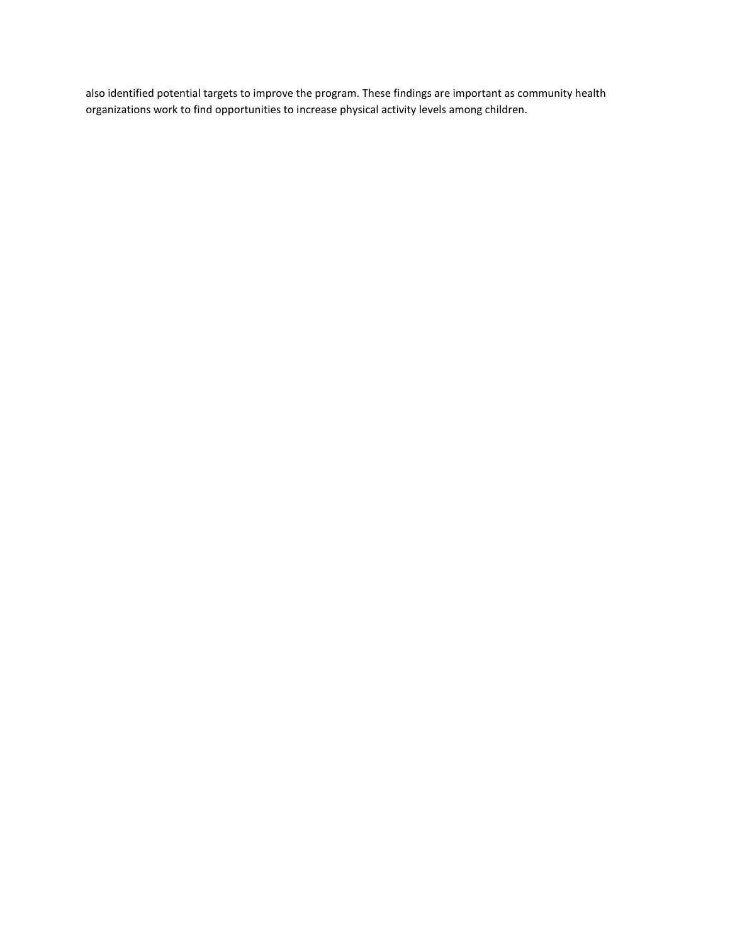also identified potential targets to improve the program. These findings are important as community health organizations work to find opportunities to increase physical activity levels among children.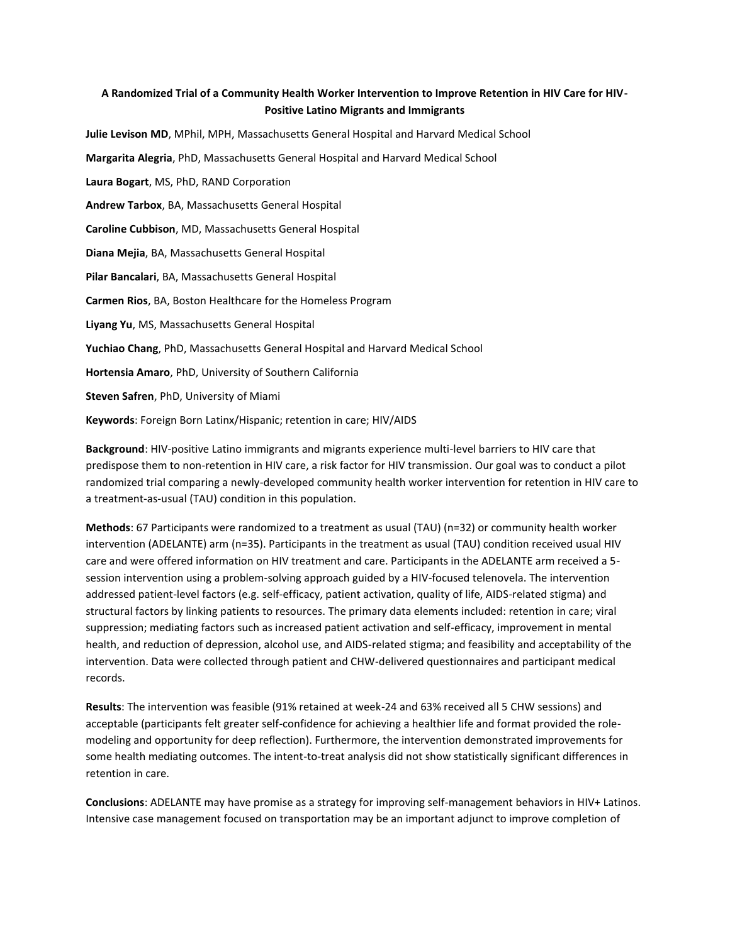## **A Randomized Trial of a Community Health Worker Intervention to Improve Retention in HIV Care for HIV-Positive Latino Migrants and Immigrants**

**Julie Levison MD**, MPhil, MPH, Massachusetts General Hospital and Harvard Medical School

**Margarita Alegria**, PhD, Massachusetts General Hospital and Harvard Medical School

**Laura Bogart**, MS, PhD, RAND Corporation

**Andrew Tarbox**, BA, Massachusetts General Hospital

**Caroline Cubbison**, MD, Massachusetts General Hospital

**Diana Mejia**, BA, Massachusetts General Hospital

**Pilar Bancalari**, BA, Massachusetts General Hospital

**Carmen Rios**, BA, Boston Healthcare for the Homeless Program

**Liyang Yu**, MS, Massachusetts General Hospital

**Yuchiao Chang**, PhD, Massachusetts General Hospital and Harvard Medical School

**Hortensia Amaro**, PhD, University of Southern California

**Steven Safren**, PhD, University of Miami

**Keywords**: Foreign Born Latinx/Hispanic; retention in care; HIV/AIDS

**Background**: HIV-positive Latino immigrants and migrants experience multi-level barriers to HIV care that predispose them to non-retention in HIV care, a risk factor for HIV transmission. Our goal was to conduct a pilot randomized trial comparing a newly-developed community health worker intervention for retention in HIV care to a treatment-as-usual (TAU) condition in this population.

**Methods**: 67 Participants were randomized to a treatment as usual (TAU) (n=32) or community health worker intervention (ADELANTE) arm (n=35). Participants in the treatment as usual (TAU) condition received usual HIV care and were offered information on HIV treatment and care. Participants in the ADELANTE arm received a 5 session intervention using a problem-solving approach guided by a HIV-focused telenovela. The intervention addressed patient-level factors (e.g. self-efficacy, patient activation, quality of life, AIDS-related stigma) and structural factors by linking patients to resources. The primary data elements included: retention in care; viral suppression; mediating factors such as increased patient activation and self-efficacy, improvement in mental health, and reduction of depression, alcohol use, and AIDS-related stigma; and feasibility and acceptability of the intervention. Data were collected through patient and CHW-delivered questionnaires and participant medical records.

**Results**: The intervention was feasible (91% retained at week-24 and 63% received all 5 CHW sessions) and acceptable (participants felt greater self-confidence for achieving a healthier life and format provided the rolemodeling and opportunity for deep reflection). Furthermore, the intervention demonstrated improvements for some health mediating outcomes. The intent-to-treat analysis did not show statistically significant differences in retention in care.

**Conclusions**: ADELANTE may have promise as a strategy for improving self-management behaviors in HIV+ Latinos. Intensive case management focused on transportation may be an important adjunct to improve completion of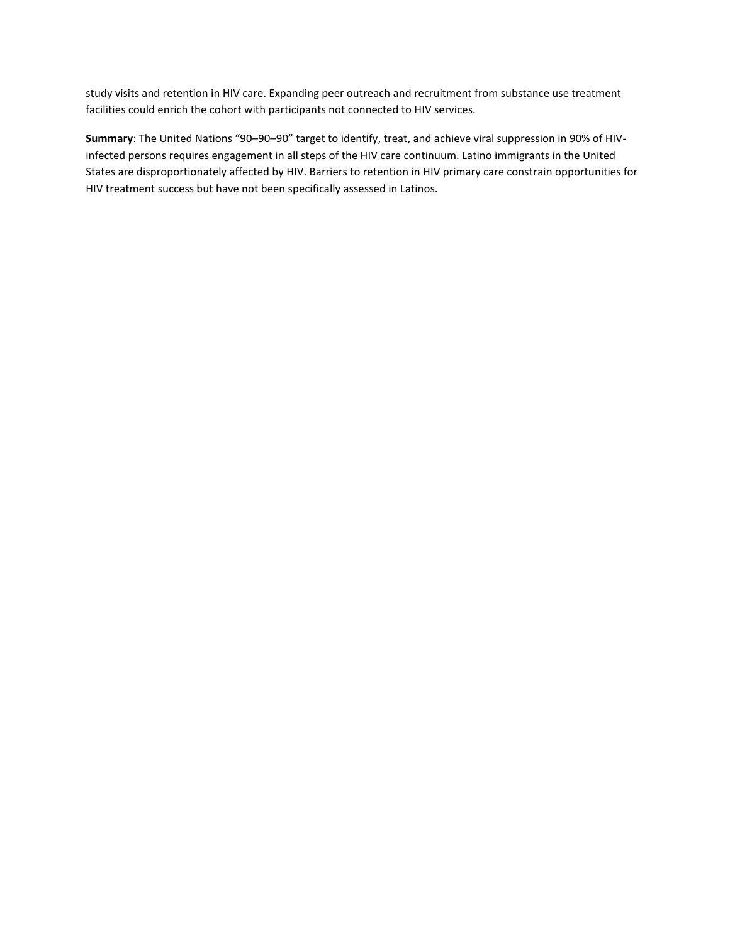study visits and retention in HIV care. Expanding peer outreach and recruitment from substance use treatment facilities could enrich the cohort with participants not connected to HIV services.

**Summary**: The United Nations "90–90–90" target to identify, treat, and achieve viral suppression in 90% of HIVinfected persons requires engagement in all steps of the HIV care continuum. Latino immigrants in the United States are disproportionately affected by HIV. Barriers to retention in HIV primary care constrain opportunities for HIV treatment success but have not been specifically assessed in Latinos.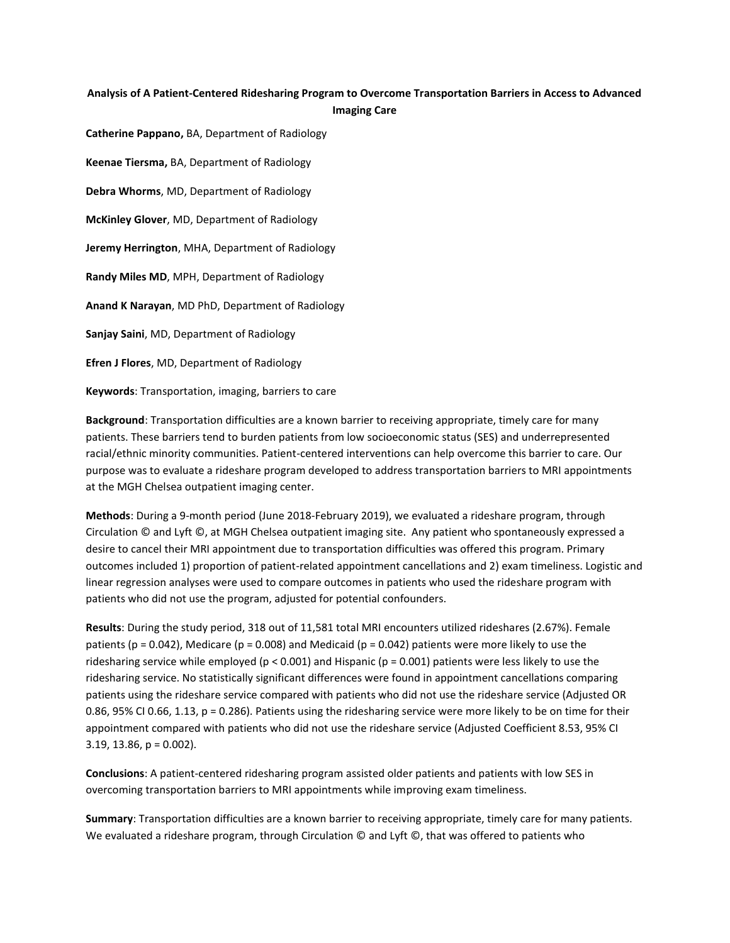## **Analysis of A Patient-Centered Ridesharing Program to Overcome Transportation Barriers in Access to Advanced Imaging Care**

**Catherine Pappano,** BA, Department of Radiology **Keenae Tiersma,** BA, Department of Radiology **Debra Whorms**, MD, Department of Radiology **McKinley Glover**, MD, Department of Radiology **Jeremy Herrington**, MHA, Department of Radiology **Randy Miles MD**, MPH, Department of Radiology **Anand K Narayan**, MD PhD, Department of Radiology **Sanjay Saini**, MD, Department of Radiology **Efren J Flores**, MD, Department of Radiology **Keywords**: Transportation, imaging, barriers to care

**Background**: Transportation difficulties are a known barrier to receiving appropriate, timely care for many patients. These barriers tend to burden patients from low socioeconomic status (SES) and underrepresented racial/ethnic minority communities. Patient-centered interventions can help overcome this barrier to care. Our purpose was to evaluate a rideshare program developed to address transportation barriers to MRI appointments at the MGH Chelsea outpatient imaging center.

**Methods**: During a 9-month period (June 2018-February 2019), we evaluated a rideshare program, through Circulation © and Lyft ©, at MGH Chelsea outpatient imaging site.  Any patient who spontaneously expressed a desire to cancel their MRI appointment due to transportation difficulties was offered this program. Primary outcomes included 1) proportion of patient-related appointment cancellations and 2) exam timeliness. Logistic and linear regression analyses were used to compare outcomes in patients who used the rideshare program with patients who did not use the program, adjusted for potential confounders.

**Results**: During the study period, 318 out of 11,581 total MRI encounters utilized rideshares (2.67%). Female patients ( $p = 0.042$ ), Medicare ( $p = 0.008$ ) and Medicaid ( $p = 0.042$ ) patients were more likely to use the ridesharing service while employed (p < 0.001) and Hispanic (p = 0.001) patients were less likely to use the ridesharing service. No statistically significant differences were found in appointment cancellations comparing patients using the rideshare service compared with patients who did not use the rideshare service (Adjusted OR 0.86, 95% CI 0.66, 1.13, p = 0.286). Patients using the ridesharing service were more likely to be on time for their appointment compared with patients who did not use the rideshare service (Adjusted Coefficient 8.53, 95% CI  $3.19, 13.86, p = 0.002$ ).

**Conclusions**: A patient-centered ridesharing program assisted older patients and patients with low SES in overcoming transportation barriers to MRI appointments while improving exam timeliness.

**Summary**: Transportation difficulties are a known barrier to receiving appropriate, timely care for many patients. We evaluated a rideshare program, through Circulation © and Lyft ©, that was offered to patients who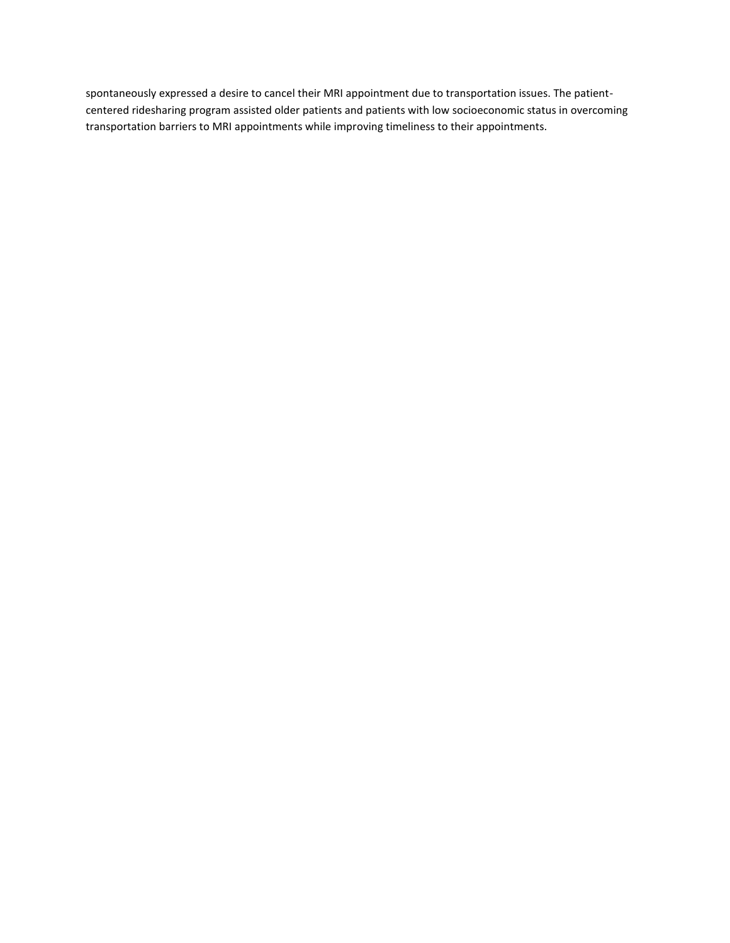spontaneously expressed a desire to cancel their MRI appointment due to transportation issues. The patientcentered ridesharing program assisted older patients and patients with low socioeconomic status in overcoming transportation barriers to MRI appointments while improving timeliness to their appointments.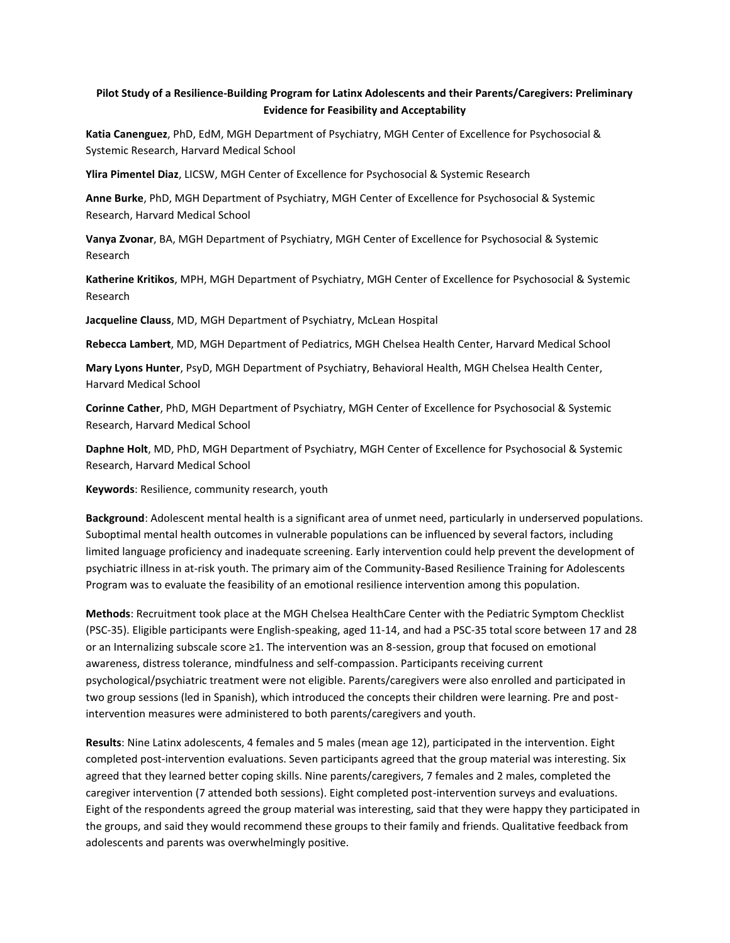## **Pilot Study of a Resilience-Building Program for Latinx Adolescents and their Parents/Caregivers: Preliminary Evidence for Feasibility and Acceptability**

**Katia Canenguez**, PhD, EdM, MGH Department of Psychiatry, MGH Center of Excellence for Psychosocial & Systemic Research, Harvard Medical School

**Ylira Pimentel Diaz**, LICSW, MGH Center of Excellence for Psychosocial & Systemic Research

**Anne Burke**, PhD, MGH Department of Psychiatry, MGH Center of Excellence for Psychosocial & Systemic Research, Harvard Medical School

**Vanya Zvonar**, BA, MGH Department of Psychiatry, MGH Center of Excellence for Psychosocial & Systemic Research

**Katherine Kritikos**, MPH, MGH Department of Psychiatry, MGH Center of Excellence for Psychosocial & Systemic Research

**Jacqueline Clauss**, MD, MGH Department of Psychiatry, McLean Hospital

**Rebecca Lambert**, MD, MGH Department of Pediatrics, MGH Chelsea Health Center, Harvard Medical School

**Mary Lyons Hunter**, PsyD, MGH Department of Psychiatry, Behavioral Health, MGH Chelsea Health Center, Harvard Medical School

**Corinne Cather**, PhD, MGH Department of Psychiatry, MGH Center of Excellence for Psychosocial & Systemic Research, Harvard Medical School

**Daphne Holt**, MD, PhD, MGH Department of Psychiatry, MGH Center of Excellence for Psychosocial & Systemic Research, Harvard Medical School

**Keywords**: Resilience, community research, youth

**Background**: Adolescent mental health is a significant area of unmet need, particularly in underserved populations. Suboptimal mental health outcomes in vulnerable populations can be influenced by several factors, including limited language proficiency and inadequate screening. Early intervention could help prevent the development of psychiatric illness in at-risk youth. The primary aim of the Community-Based Resilience Training for Adolescents Program was to evaluate the feasibility of an emotional resilience intervention among this population.

**Methods**: Recruitment took place at the MGH Chelsea HealthCare Center with the Pediatric Symptom Checklist (PSC-35). Eligible participants were English-speaking, aged 11-14, and had a PSC-35 total score between 17 and 28 or an Internalizing subscale score ≥1. The intervention was an 8-session, group that focused on emotional awareness, distress tolerance, mindfulness and self-compassion. Participants receiving current psychological/psychiatric treatment were not eligible. Parents/caregivers were also enrolled and participated in two group sessions (led in Spanish), which introduced the concepts their children were learning. Pre and postintervention measures were administered to both parents/caregivers and youth.

**Results**: Nine Latinx adolescents, 4 females and 5 males (mean age 12), participated in the intervention. Eight completed post-intervention evaluations. Seven participants agreed that the group material was interesting. Six agreed that they learned better coping skills. Nine parents/caregivers, 7 females and 2 males, completed the caregiver intervention (7 attended both sessions). Eight completed post-intervention surveys and evaluations. Eight of the respondents agreed the group material was interesting, said that they were happy they participated in the groups, and said they would recommend these groups to their family and friends. Qualitative feedback from adolescents and parents was overwhelmingly positive.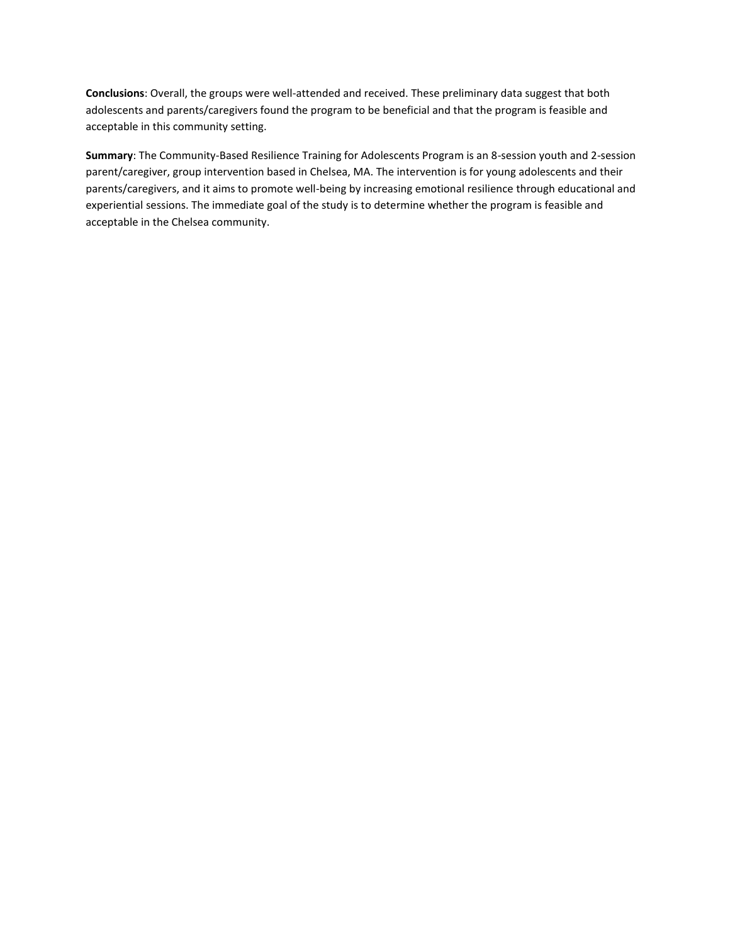**Conclusions**: Overall, the groups were well-attended and received. These preliminary data suggest that both adolescents and parents/caregivers found the program to be beneficial and that the program is feasible and acceptable in this community setting.

**Summary**: The Community-Based Resilience Training for Adolescents Program is an 8-session youth and 2-session parent/caregiver, group intervention based in Chelsea, MA. The intervention is for young adolescents and their parents/caregivers, and it aims to promote well-being by increasing emotional resilience through educational and experiential sessions. The immediate goal of the study is to determine whether the program is feasible and acceptable in the Chelsea community.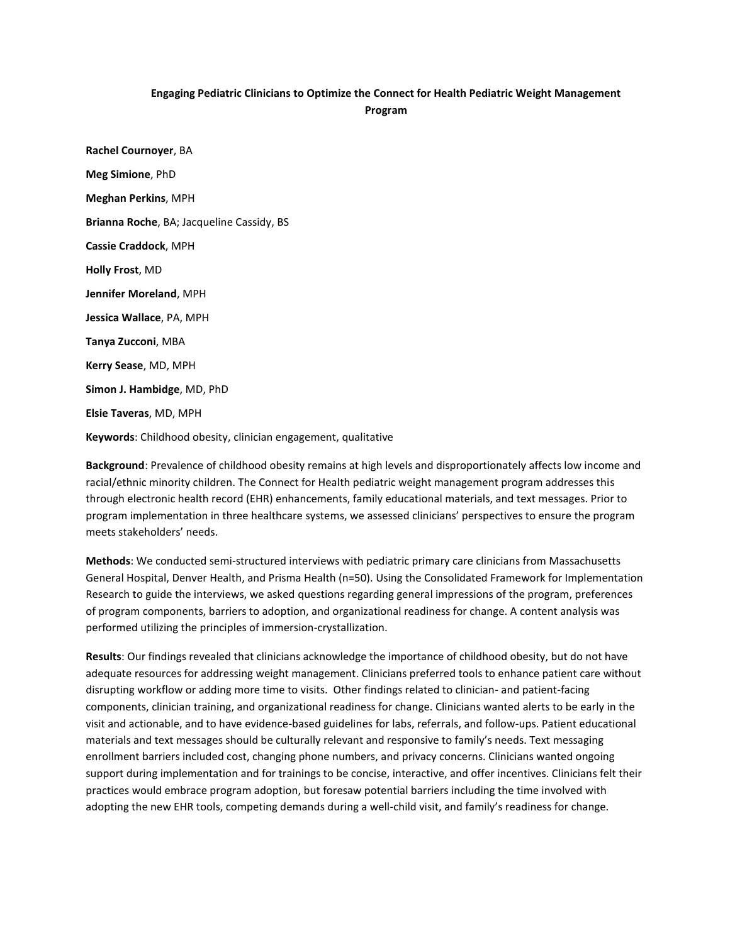## **Engaging Pediatric Clinicians to Optimize the Connect for Health Pediatric Weight Management Program**

**Rachel Cournoyer**, BA **Meg Simione**, PhD **Meghan Perkins**, MPH **Brianna Roche**, BA; Jacqueline Cassidy, BS **Cassie Craddock**, MPH **Holly Frost**, MD **Jennifer Moreland**, MPH **Jessica Wallace**, PA, MPH **Tanya Zucconi**, MBA **Kerry Sease**, MD, MPH **Simon J. Hambidge**, MD, PhD **Elsie Taveras**, MD, MPH

**Keywords**: Childhood obesity, clinician engagement, qualitative

**Background**: Prevalence of childhood obesity remains at high levels and disproportionately affects low income and racial/ethnic minority children. The Connect for Health pediatric weight management program addresses this through electronic health record (EHR) enhancements, family educational materials, and text messages. Prior to program implementation in three healthcare systems, we assessed clinicians' perspectives to ensure the program meets stakeholders' needs.

**Methods**: We conducted semi-structured interviews with pediatric primary care clinicians from Massachusetts General Hospital, Denver Health, and Prisma Health (n=50). Using the Consolidated Framework for Implementation Research to guide the interviews, we asked questions regarding general impressions of the program, preferences of program components, barriers to adoption, and organizational readiness for change. A content analysis was performed utilizing the principles of immersion-crystallization.

**Results**: Our findings revealed that clinicians acknowledge the importance of childhood obesity, but do not have adequate resources for addressing weight management. Clinicians preferred tools to enhance patient care without disrupting workflow or adding more time to visits. Other findings related to clinician- and patient-facing components, clinician training, and organizational readiness for change. Clinicians wanted alerts to be early in the visit and actionable, and to have evidence-based guidelines for labs, referrals, and follow-ups. Patient educational materials and text messages should be culturally relevant and responsive to family's needs. Text messaging enrollment barriers included cost, changing phone numbers, and privacy concerns. Clinicians wanted ongoing support during implementation and for trainings to be concise, interactive, and offer incentives. Clinicians felt their practices would embrace program adoption, but foresaw potential barriers including the time involved with adopting the new EHR tools, competing demands during a well-child visit, and family's readiness for change.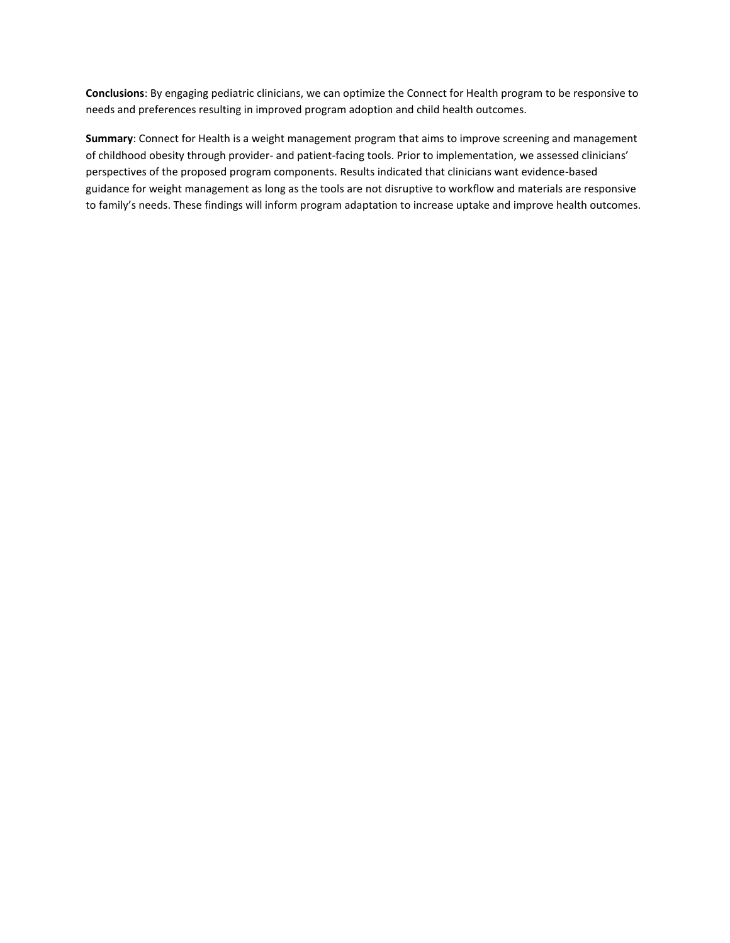**Conclusions**: By engaging pediatric clinicians, we can optimize the Connect for Health program to be responsive to needs and preferences resulting in improved program adoption and child health outcomes.

**Summary**: Connect for Health is a weight management program that aims to improve screening and management of childhood obesity through provider- and patient-facing tools. Prior to implementation, we assessed clinicians' perspectives of the proposed program components. Results indicated that clinicians want evidence-based guidance for weight management as long as the tools are not disruptive to workflow and materials are responsive to family's needs. These findings will inform program adaptation to increase uptake and improve health outcomes.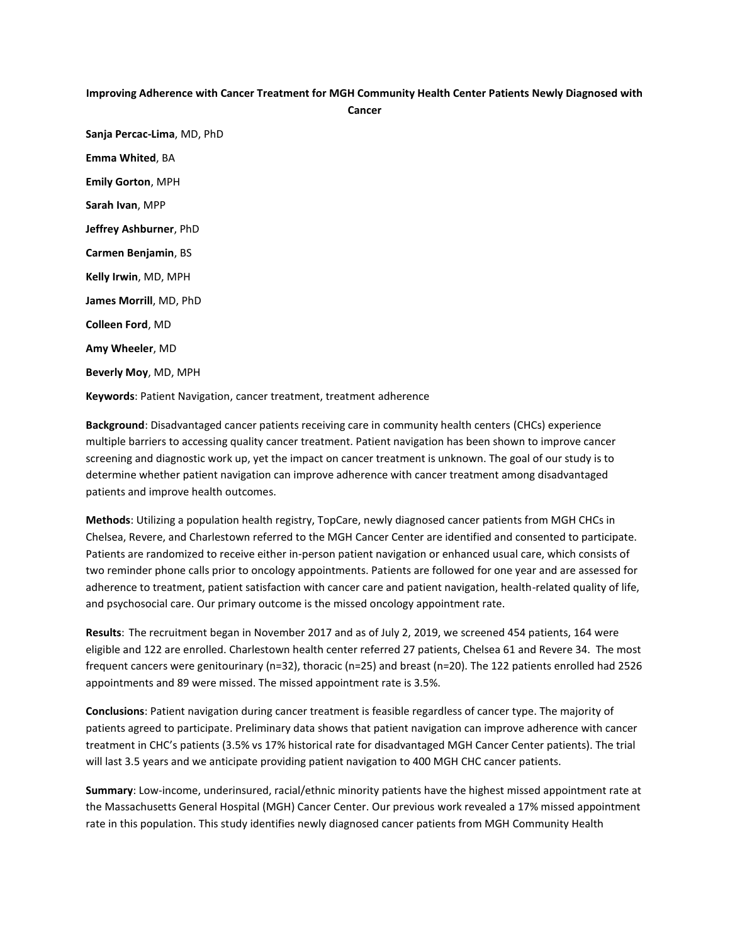#### **Improving Adherence with Cancer Treatment for MGH Community Health Center Patients Newly Diagnosed with**

**Cancer**

**Sanja Percac-Lima**, MD, PhD **Emma Whited**, BA **Emily Gorton**, MPH **Sarah Ivan**, MPP **Jeffrey Ashburner**, PhD **Carmen Benjamin**, BS **Kelly Irwin**, MD, MPH **James Morrill**, MD, PhD **Colleen Ford**, MD **Amy Wheeler**, MD **Beverly Moy**, MD, MPH

**Keywords**: Patient Navigation, cancer treatment, treatment adherence

**Background**: Disadvantaged cancer patients receiving care in community health centers (CHCs) experience multiple barriers to accessing quality cancer treatment. Patient navigation has been shown to improve cancer screening and diagnostic work up, yet the impact on cancer treatment is unknown. The goal of our study is to determine whether patient navigation can improve adherence with cancer treatment among disadvantaged patients and improve health outcomes.

**Methods**: Utilizing a population health registry, TopCare, newly diagnosed cancer patients from MGH CHCs in Chelsea, Revere, and Charlestown referred to the MGH Cancer Center are identified and consented to participate. Patients are randomized to receive either in-person patient navigation or enhanced usual care, which consists of two reminder phone calls prior to oncology appointments. Patients are followed for one year and are assessed for adherence to treatment, patient satisfaction with cancer care and patient navigation, health-related quality of life, and psychosocial care. Our primary outcome is the missed oncology appointment rate.

**Results**: The recruitment began in November 2017 and as of July 2, 2019, we screened 454 patients, 164 were eligible and 122 are enrolled. Charlestown health center referred 27 patients, Chelsea 61 and Revere 34. The most frequent cancers were genitourinary (n=32), thoracic (n=25) and breast (n=20). The 122 patients enrolled had 2526 appointments and 89 were missed. The missed appointment rate is 3.5%.

**Conclusions**: Patient navigation during cancer treatment is feasible regardless of cancer type. The majority of patients agreed to participate. Preliminary data shows that patient navigation can improve adherence with cancer treatment in CHC's patients (3.5% vs 17% historical rate for disadvantaged MGH Cancer Center patients). The trial will last 3.5 years and we anticipate providing patient navigation to 400 MGH CHC cancer patients.

**Summary**: Low-income, underinsured, racial/ethnic minority patients have the highest missed appointment rate at the Massachusetts General Hospital (MGH) Cancer Center. Our previous work revealed a 17% missed appointment rate in this population. This study identifies newly diagnosed cancer patients from MGH Community Health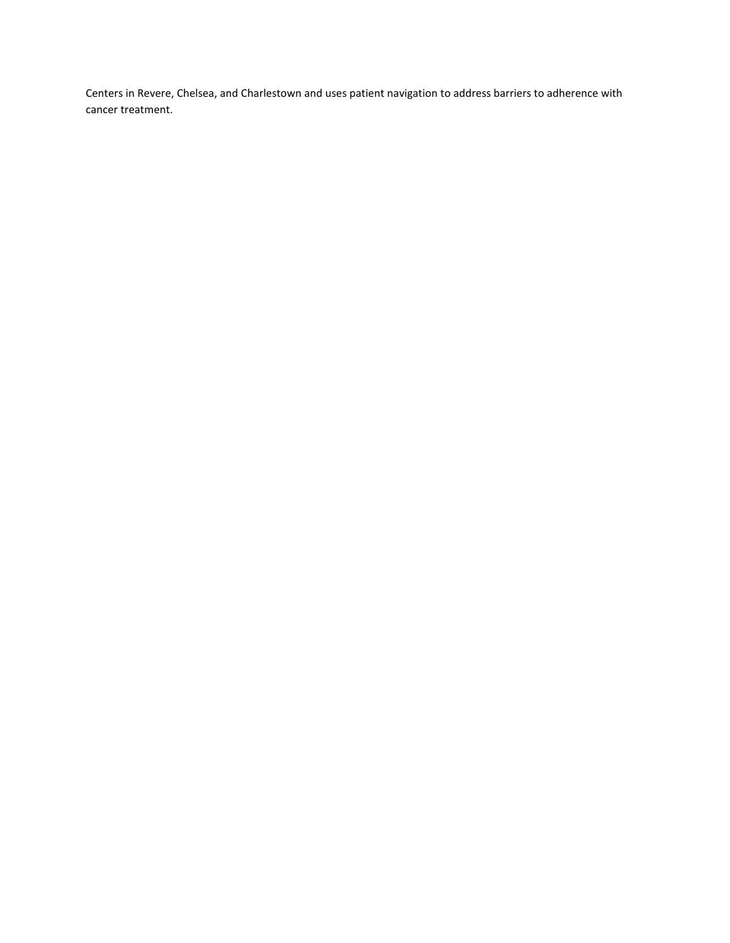Centers in Revere, Chelsea, and Charlestown and uses patient navigation to address barriers to adherence with cancer treatment.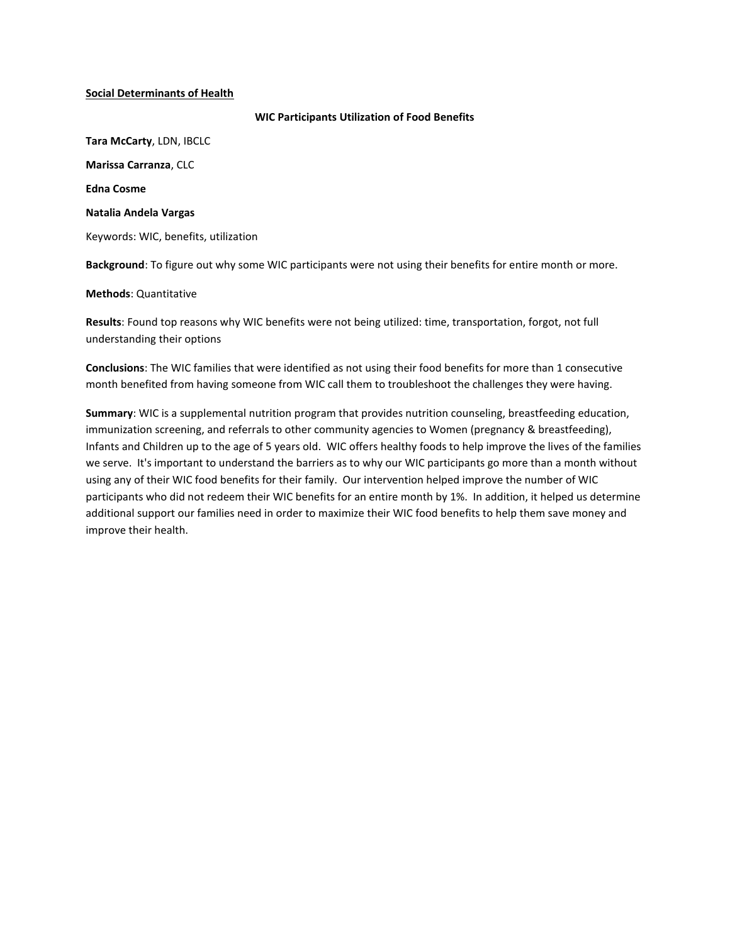## **Social Determinants of Health**

**WIC Participants Utilization of Food Benefits**

**Tara McCarty**, LDN, IBCLC **Marissa Carranza**, CLC **Edna Cosme Natalia Andela Vargas** Keywords: WIC, benefits, utilization

**Background**: To figure out why some WIC participants were not using their benefits for entire month or more.

## **Methods**: Quantitative

**Results**: Found top reasons why WIC benefits were not being utilized: time, transportation, forgot, not full understanding their options

**Conclusions**: The WIC families that were identified as not using their food benefits for more than 1 consecutive month benefited from having someone from WIC call them to troubleshoot the challenges they were having.

**Summary**: WIC is a supplemental nutrition program that provides nutrition counseling, breastfeeding education, immunization screening, and referrals to other community agencies to Women (pregnancy & breastfeeding), Infants and Children up to the age of 5 years old. WIC offers healthy foods to help improve the lives of the families we serve. It's important to understand the barriers as to why our WIC participants go more than a month without using any of their WIC food benefits for their family. Our intervention helped improve the number of WIC participants who did not redeem their WIC benefits for an entire month by 1%. In addition, it helped us determine additional support our families need in order to maximize their WIC food benefits to help them save money and improve their health.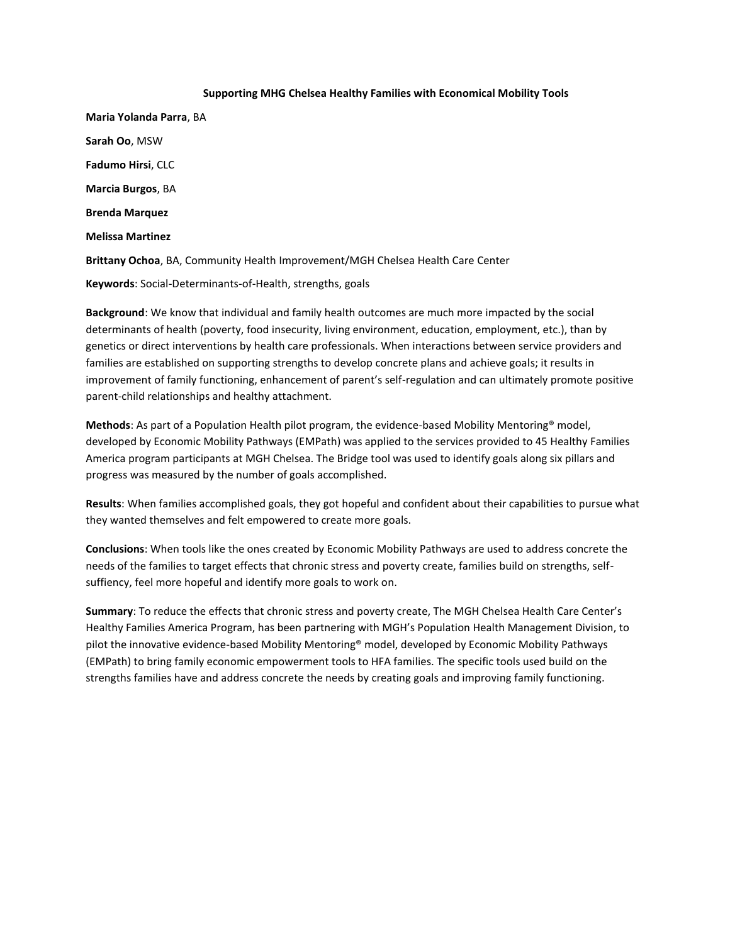## **Supporting MHG Chelsea Healthy Families with Economical Mobility Tools**

**Maria Yolanda Parra**, BA **Sarah Oo**, MSW **Fadumo Hirsi**, CLC **Marcia Burgos**, BA **Brenda Marquez Melissa Martinez Brittany Ochoa**, BA, Community Health Improvement/MGH Chelsea Health Care Center **Keywords**: Social-Determinants-of-Health, strengths, goals

**Background**: We know that individual and family health outcomes are much more impacted by the social determinants of health (poverty, food insecurity, living environment, education, employment, etc.), than by genetics or direct interventions by health care professionals. When interactions between service providers and families are established on supporting strengths to develop concrete plans and achieve goals; it results in improvement of family functioning, enhancement of parent's self-regulation and can ultimately promote positive parent-child relationships and healthy attachment.

**Methods**: As part of a Population Health pilot program, the evidence-based Mobility Mentoring® model, developed by Economic Mobility Pathways (EMPath) was applied to the services provided to 45 Healthy Families America program participants at MGH Chelsea. The Bridge tool was used to identify goals along six pillars and progress was measured by the number of goals accomplished.

**Results**: When families accomplished goals, they got hopeful and confident about their capabilities to pursue what they wanted themselves and felt empowered to create more goals.

**Conclusions**: When tools like the ones created by Economic Mobility Pathways are used to address concrete the needs of the families to target effects that chronic stress and poverty create, families build on strengths, selfsuffiency, feel more hopeful and identify more goals to work on.

**Summary**: To reduce the effects that chronic stress and poverty create, The MGH Chelsea Health Care Center's Healthy Families America Program, has been partnering with MGH's Population Health Management Division, to pilot the innovative evidence-based Mobility Mentoring® model, developed by Economic Mobility Pathways (EMPath) to bring family economic empowerment tools to HFA families. The specific tools used build on the strengths families have and address concrete the needs by creating goals and improving family functioning.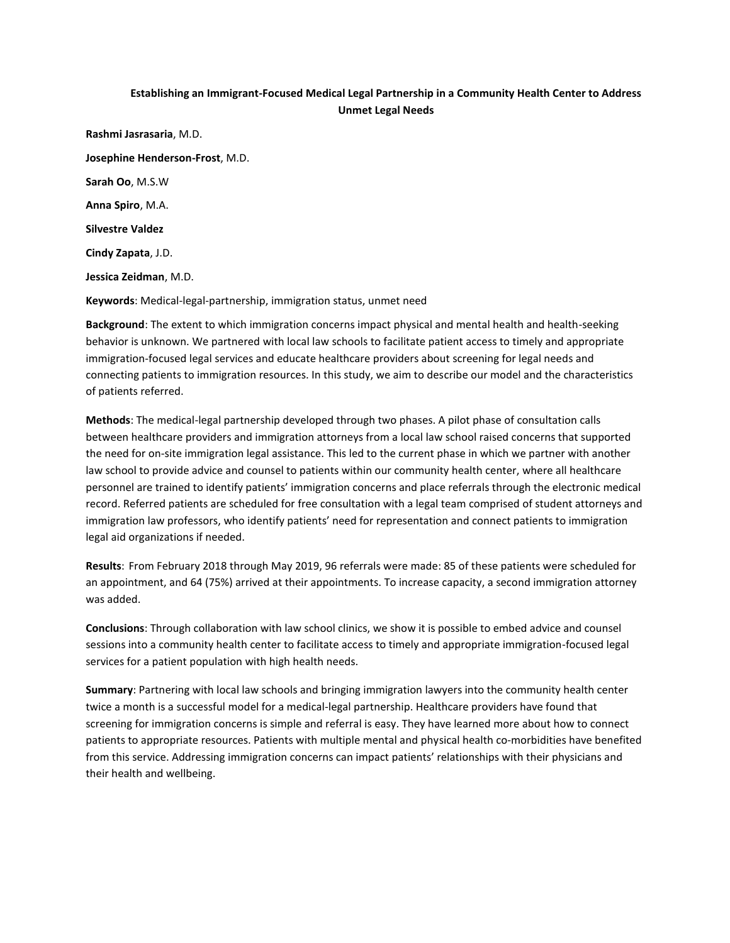## **Establishing an Immigrant-Focused Medical Legal Partnership in a Community Health Center to Address Unmet Legal Needs**

**Rashmi Jasrasaria**, M.D. **Josephine Henderson-Frost**, M.D. **Sarah Oo**, M.S.W **Anna Spiro**, M.A. **Silvestre Valdez Cindy Zapata**, J.D. **Jessica Zeidman**, M.D. **Keywords**: Medical-legal-partnership, immigration status, unmet need

**Background**: The extent to which immigration concerns impact physical and mental health and health-seeking behavior is unknown. We partnered with local law schools to facilitate patient access to timely and appropriate immigration-focused legal services and educate healthcare providers about screening for legal needs and connecting patients to immigration resources. In this study, we aim to describe our model and the characteristics of patients referred.

**Methods**: The medical-legal partnership developed through two phases. A pilot phase of consultation calls between healthcare providers and immigration attorneys from a local law school raised concerns that supported the need for on-site immigration legal assistance. This led to the current phase in which we partner with another law school to provide advice and counsel to patients within our community health center, where all healthcare personnel are trained to identify patients' immigration concerns and place referrals through the electronic medical record. Referred patients are scheduled for free consultation with a legal team comprised of student attorneys and immigration law professors, who identify patients' need for representation and connect patients to immigration legal aid organizations if needed.

**Results**: From February 2018 through May 2019, 96 referrals were made: 85 of these patients were scheduled for an appointment, and 64 (75%) arrived at their appointments. To increase capacity, a second immigration attorney was added.

**Conclusions**: Through collaboration with law school clinics, we show it is possible to embed advice and counsel sessions into a community health center to facilitate access to timely and appropriate immigration-focused legal services for a patient population with high health needs.

**Summary**: Partnering with local law schools and bringing immigration lawyers into the community health center twice a month is a successful model for a medical-legal partnership. Healthcare providers have found that screening for immigration concerns is simple and referral is easy. They have learned more about how to connect patients to appropriate resources. Patients with multiple mental and physical health co-morbidities have benefited from this service. Addressing immigration concerns can impact patients' relationships with their physicians and their health and wellbeing.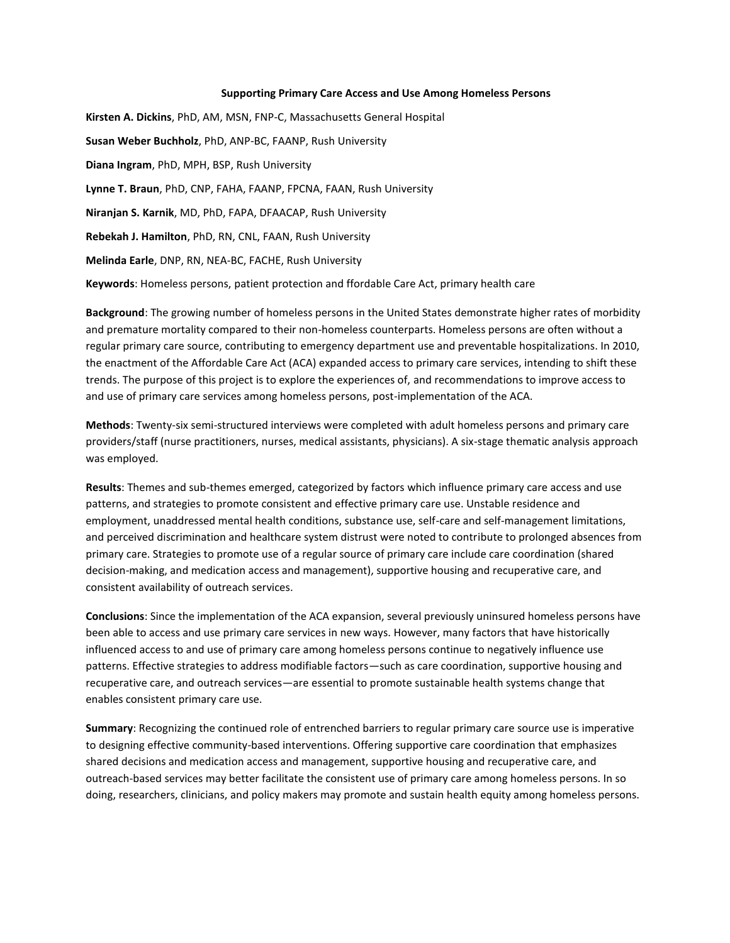#### **Supporting Primary Care Access and Use Among Homeless Persons**

**Kirsten A. Dickins**, PhD, AM, MSN, FNP-C, Massachusetts General Hospital **Susan Weber Buchholz**, PhD, ANP-BC, FAANP, Rush University **Diana Ingram**, PhD, MPH, BSP, Rush University **Lynne T. Braun**, PhD, CNP, FAHA, FAANP, FPCNA, FAAN, Rush University **Niranjan S. Karnik**, MD, PhD, FAPA, DFAACAP, Rush University **Rebekah J. Hamilton**, PhD, RN, CNL, FAAN, Rush University **Melinda Earle**, DNP, RN, NEA-BC, FACHE, Rush University **Keywords**: Homeless persons, patient protection and ffordable Care Act, primary health care

**Background**: The growing number of homeless persons in the United States demonstrate higher rates of morbidity and premature mortality compared to their non-homeless counterparts. Homeless persons are often without a regular primary care source, contributing to emergency department use and preventable hospitalizations. In 2010, the enactment of the Affordable Care Act (ACA) expanded access to primary care services, intending to shift these trends. The purpose of this project is to explore the experiences of, and recommendations to improve access to and use of primary care services among homeless persons, post-implementation of the ACA.

**Methods**: Twenty-six semi-structured interviews were completed with adult homeless persons and primary care providers/staff (nurse practitioners, nurses, medical assistants, physicians). A six-stage thematic analysis approach was employed.

**Results**: Themes and sub-themes emerged, categorized by factors which influence primary care access and use patterns, and strategies to promote consistent and effective primary care use. Unstable residence and employment, unaddressed mental health conditions, substance use, self-care and self-management limitations, and perceived discrimination and healthcare system distrust were noted to contribute to prolonged absences from primary care. Strategies to promote use of a regular source of primary care include care coordination (shared decision-making, and medication access and management), supportive housing and recuperative care, and consistent availability of outreach services.

**Conclusions**: Since the implementation of the ACA expansion, several previously uninsured homeless persons have been able to access and use primary care services in new ways. However, many factors that have historically influenced access to and use of primary care among homeless persons continue to negatively influence use patterns. Effective strategies to address modifiable factors—such as care coordination, supportive housing and recuperative care, and outreach services—are essential to promote sustainable health systems change that enables consistent primary care use.

**Summary**: Recognizing the continued role of entrenched barriers to regular primary care source use is imperative to designing effective community-based interventions. Offering supportive care coordination that emphasizes shared decisions and medication access and management, supportive housing and recuperative care, and outreach-based services may better facilitate the consistent use of primary care among homeless persons. In so doing, researchers, clinicians, and policy makers may promote and sustain health equity among homeless persons.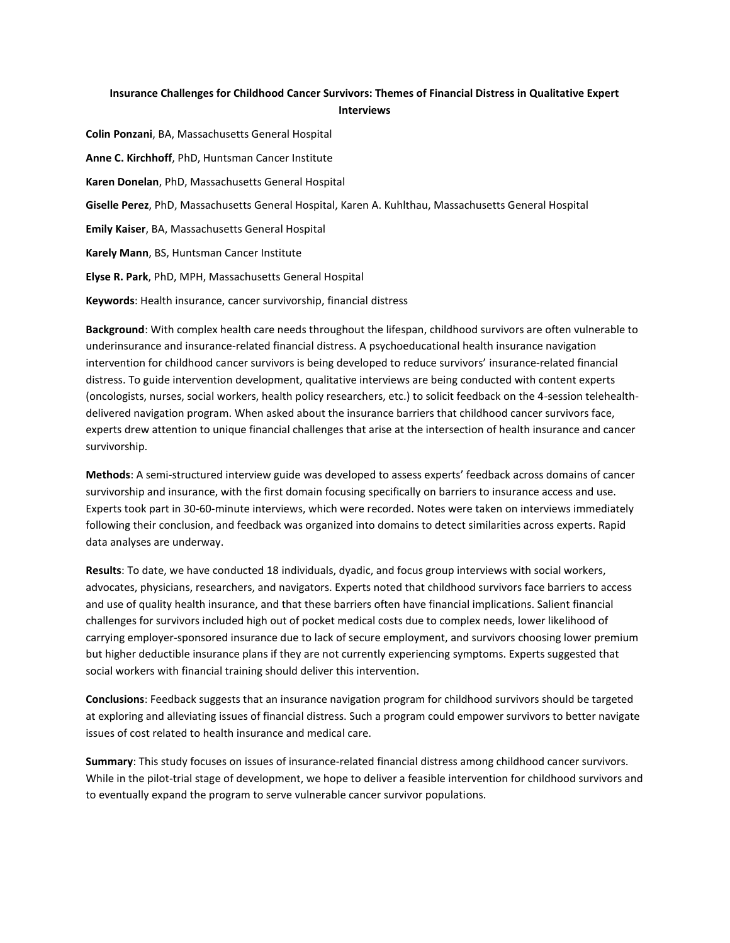## **Insurance Challenges for Childhood Cancer Survivors: Themes of Financial Distress in Qualitative Expert Interviews**

**Colin Ponzani**, BA, Massachusetts General Hospital **Anne C. Kirchhoff**, PhD, Huntsman Cancer Institute **Karen Donelan**, PhD, Massachusetts General Hospital **Giselle Perez**, PhD, Massachusetts General Hospital, Karen A. Kuhlthau, Massachusetts General Hospital **Emily Kaiser**, BA, Massachusetts General Hospital **Karely Mann**, BS, Huntsman Cancer Institute **Elyse R. Park**, PhD, MPH, Massachusetts General Hospital

**Keywords**: Health insurance, cancer survivorship, financial distress

**Background**: With complex health care needs throughout the lifespan, childhood survivors are often vulnerable to underinsurance and insurance-related financial distress. A psychoeducational health insurance navigation intervention for childhood cancer survivors is being developed to reduce survivors' insurance-related financial distress. To guide intervention development, qualitative interviews are being conducted with content experts (oncologists, nurses, social workers, health policy researchers, etc.) to solicit feedback on the 4-session telehealthdelivered navigation program. When asked about the insurance barriers that childhood cancer survivors face, experts drew attention to unique financial challenges that arise at the intersection of health insurance and cancer survivorship.

**Methods**: A semi-structured interview guide was developed to assess experts' feedback across domains of cancer survivorship and insurance, with the first domain focusing specifically on barriers to insurance access and use. Experts took part in 30-60-minute interviews, which were recorded. Notes were taken on interviews immediately following their conclusion, and feedback was organized into domains to detect similarities across experts. Rapid data analyses are underway.

**Results**: To date, we have conducted 18 individuals, dyadic, and focus group interviews with social workers, advocates, physicians, researchers, and navigators. Experts noted that childhood survivors face barriers to access and use of quality health insurance, and that these barriers often have financial implications. Salient financial challenges for survivors included high out of pocket medical costs due to complex needs, lower likelihood of carrying employer-sponsored insurance due to lack of secure employment, and survivors choosing lower premium but higher deductible insurance plans if they are not currently experiencing symptoms. Experts suggested that social workers with financial training should deliver this intervention.

**Conclusions**: Feedback suggests that an insurance navigation program for childhood survivors should be targeted at exploring and alleviating issues of financial distress. Such a program could empower survivors to better navigate issues of cost related to health insurance and medical care.

**Summary**: This study focuses on issues of insurance-related financial distress among childhood cancer survivors. While in the pilot-trial stage of development, we hope to deliver a feasible intervention for childhood survivors and to eventually expand the program to serve vulnerable cancer survivor populations.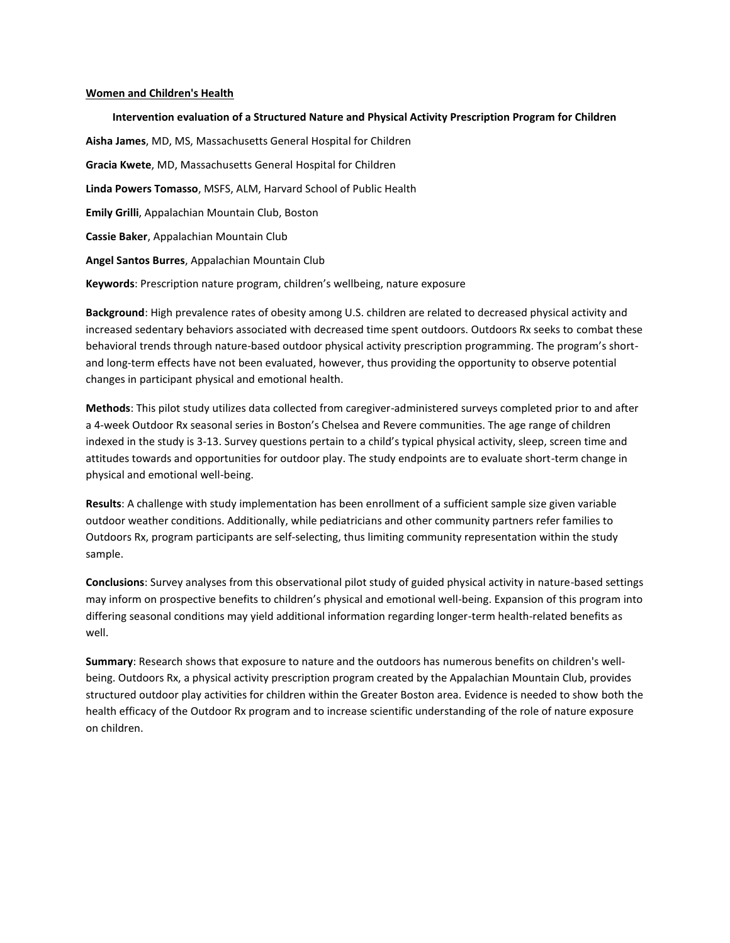#### **Women and Children's Health**

**Intervention evaluation of a Structured Nature and Physical Activity Prescription Program for Children Aisha James**, MD, MS, Massachusetts General Hospital for Children **Gracia Kwete**, MD, Massachusetts General Hospital for Children **Linda Powers Tomasso**, MSFS, ALM, Harvard School of Public Health **Emily Grilli**, Appalachian Mountain Club, Boston **Cassie Baker**, Appalachian Mountain Club **Angel Santos Burres**, Appalachian Mountain Club **Keywords**: Prescription nature program, children's wellbeing, nature exposure

**Background**: High prevalence rates of obesity among U.S. children are related to decreased physical activity and increased sedentary behaviors associated with decreased time spent outdoors. Outdoors Rx seeks to combat these behavioral trends through nature-based outdoor physical activity prescription programming. The program's shortand long-term effects have not been evaluated, however, thus providing the opportunity to observe potential changes in participant physical and emotional health.

**Methods**: This pilot study utilizes data collected from caregiver-administered surveys completed prior to and after a 4-week Outdoor Rx seasonal series in Boston's Chelsea and Revere communities. The age range of children indexed in the study is 3-13. Survey questions pertain to a child's typical physical activity, sleep, screen time and attitudes towards and opportunities for outdoor play. The study endpoints are to evaluate short-term change in physical and emotional well-being.

**Results**: A challenge with study implementation has been enrollment of a sufficient sample size given variable outdoor weather conditions. Additionally, while pediatricians and other community partners refer families to Outdoors Rx, program participants are self-selecting, thus limiting community representation within the study sample.

**Conclusions**: Survey analyses from this observational pilot study of guided physical activity in nature-based settings may inform on prospective benefits to children's physical and emotional well-being. Expansion of this program into differing seasonal conditions may yield additional information regarding longer-term health-related benefits as well.

**Summary**: Research shows that exposure to nature and the outdoors has numerous benefits on children's wellbeing. Outdoors Rx, a physical activity prescription program created by the Appalachian Mountain Club, provides structured outdoor play activities for children within the Greater Boston area. Evidence is needed to show both the health efficacy of the Outdoor Rx program and to increase scientific understanding of the role of nature exposure on children.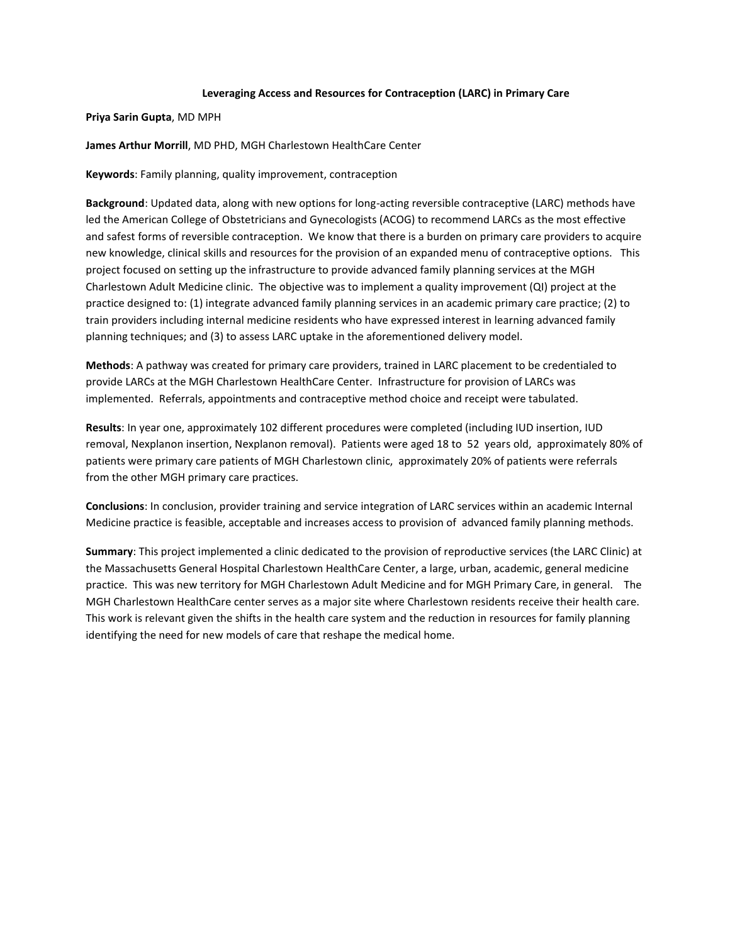## **Leveraging Access and Resources for Contraception (LARC) in Primary Care**

**Priya Sarin Gupta**, MD MPH

**James Arthur Morrill**, MD PHD, MGH Charlestown HealthCare Center

**Keywords**: Family planning, quality improvement, contraception

**Background**: Updated data, along with new options for long-acting reversible contraceptive (LARC) methods have led the American College of Obstetricians and Gynecologists (ACOG) to recommend LARCs as the most effective and safest forms of reversible contraception. We know that there is a burden on primary care providers to acquire new knowledge, clinical skills and resources for the provision of an expanded menu of contraceptive options. This project focused on setting up the infrastructure to provide advanced family planning services at the MGH Charlestown Adult Medicine clinic. The objective was to implement a quality improvement (QI) project at the practice designed to: (1) integrate advanced family planning services in an academic primary care practice; (2) to train providers including internal medicine residents who have expressed interest in learning advanced family planning techniques; and (3) to assess LARC uptake in the aforementioned delivery model.

**Methods**: A pathway was created for primary care providers, trained in LARC placement to be credentialed to provide LARCs at the MGH Charlestown HealthCare Center. Infrastructure for provision of LARCs was implemented. Referrals, appointments and contraceptive method choice and receipt were tabulated.

**Results**: In year one, approximately 102 different procedures were completed (including IUD insertion, IUD removal, Nexplanon insertion, Nexplanon removal). Patients were aged 18 to 52 years old, approximately 80% of patients were primary care patients of MGH Charlestown clinic, approximately 20% of patients were referrals from the other MGH primary care practices.

**Conclusions**: In conclusion, provider training and service integration of LARC services within an academic Internal Medicine practice is feasible, acceptable and increases access to provision of advanced family planning methods.

**Summary**: This project implemented a clinic dedicated to the provision of reproductive services (the LARC Clinic) at the Massachusetts General Hospital Charlestown HealthCare Center, a large, urban, academic, general medicine practice. This was new territory for MGH Charlestown Adult Medicine and for MGH Primary Care, in general. The MGH Charlestown HealthCare center serves as a major site where Charlestown residents receive their health care. This work is relevant given the shifts in the health care system and the reduction in resources for family planning identifying the need for new models of care that reshape the medical home.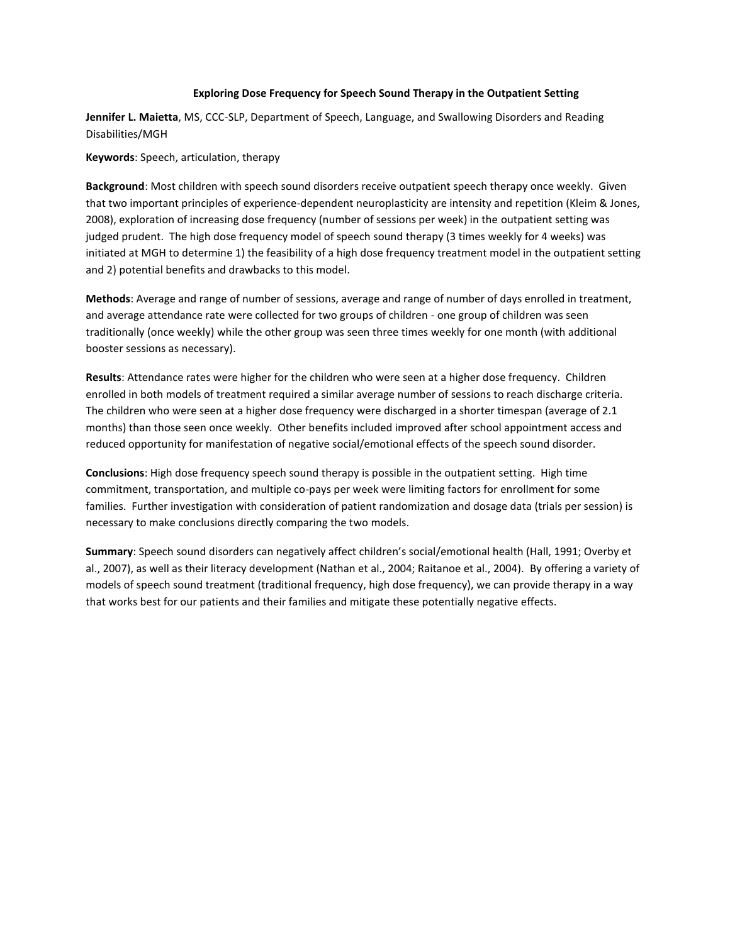## **Exploring Dose Frequency for Speech Sound Therapy in the Outpatient Setting**

**Jennifer L. Maietta**, MS, CCC-SLP, Department of Speech, Language, and Swallowing Disorders and Reading Disabilities/MGH

**Keywords**: Speech, articulation, therapy

**Background**: Most children with speech sound disorders receive outpatient speech therapy once weekly. Given that two important principles of experience-dependent neuroplasticity are intensity and repetition (Kleim & Jones, 2008), exploration of increasing dose frequency (number of sessions per week) in the outpatient setting was judged prudent. The high dose frequency model of speech sound therapy (3 times weekly for 4 weeks) was initiated at MGH to determine 1) the feasibility of a high dose frequency treatment model in the outpatient setting and 2) potential benefits and drawbacks to this model.

**Methods**: Average and range of number of sessions, average and range of number of days enrolled in treatment, and average attendance rate were collected for two groups of children - one group of children was seen traditionally (once weekly) while the other group was seen three times weekly for one month (with additional booster sessions as necessary).

**Results**: Attendance rates were higher for the children who were seen at a higher dose frequency. Children enrolled in both models of treatment required a similar average number of sessions to reach discharge criteria. The children who were seen at a higher dose frequency were discharged in a shorter timespan (average of 2.1 months) than those seen once weekly. Other benefits included improved after school appointment access and reduced opportunity for manifestation of negative social/emotional effects of the speech sound disorder.

**Conclusions**: High dose frequency speech sound therapy is possible in the outpatient setting. High time commitment, transportation, and multiple co-pays per week were limiting factors for enrollment for some families. Further investigation with consideration of patient randomization and dosage data (trials per session) is necessary to make conclusions directly comparing the two models.

**Summary**: Speech sound disorders can negatively affect children's social/emotional health (Hall, 1991; Overby et al., 2007), as well as their literacy development (Nathan et al., 2004; Raitanoe et al., 2004). By offering a variety of models of speech sound treatment (traditional frequency, high dose frequency), we can provide therapy in a way that works best for our patients and their families and mitigate these potentially negative effects.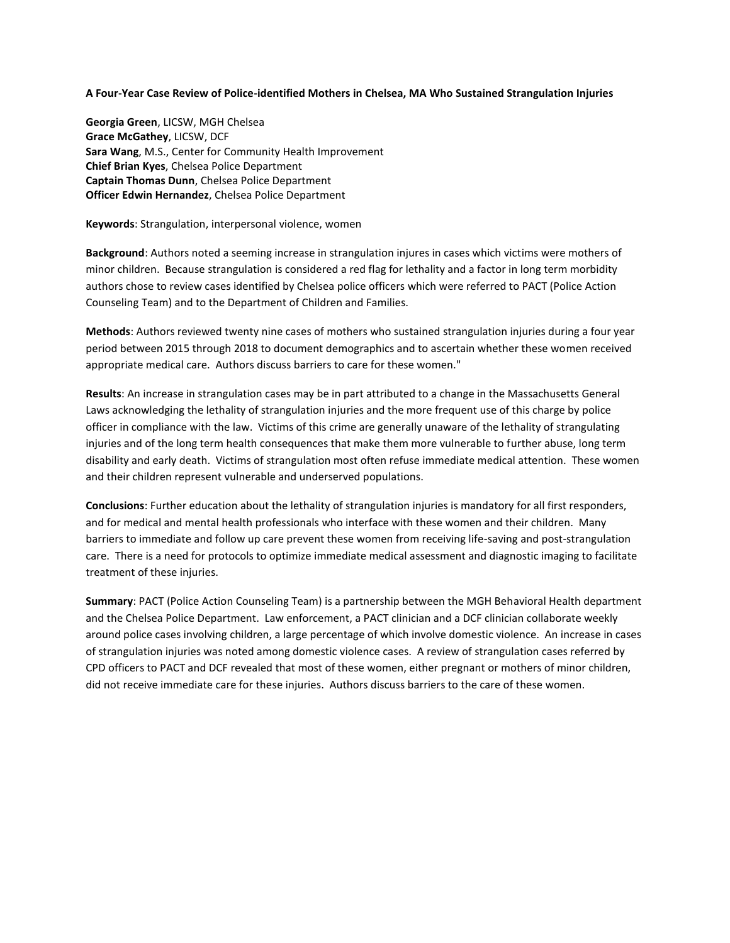#### **A Four-Year Case Review of Police-identified Mothers in Chelsea, MA Who Sustained Strangulation Injuries**

**Georgia Green**, LICSW, MGH Chelsea **Grace McGathey**, LICSW, DCF **Sara Wang**, M.S., Center for Community Health Improvement **Chief Brian Kyes**, Chelsea Police Department **Captain Thomas Dunn**, Chelsea Police Department **Officer Edwin Hernandez**, Chelsea Police Department

#### **Keywords**: Strangulation, interpersonal violence, women

**Background**: Authors noted a seeming increase in strangulation injures in cases which victims were mothers of minor children. Because strangulation is considered a red flag for lethality and a factor in long term morbidity authors chose to review cases identified by Chelsea police officers which were referred to PACT (Police Action Counseling Team) and to the Department of Children and Families.

**Methods**: Authors reviewed twenty nine cases of mothers who sustained strangulation injuries during a four year period between 2015 through 2018 to document demographics and to ascertain whether these women received appropriate medical care. Authors discuss barriers to care for these women."

**Results**: An increase in strangulation cases may be in part attributed to a change in the Massachusetts General Laws acknowledging the lethality of strangulation injuries and the more frequent use of this charge by police officer in compliance with the law. Victims of this crime are generally unaware of the lethality of strangulating injuries and of the long term health consequences that make them more vulnerable to further abuse, long term disability and early death. Victims of strangulation most often refuse immediate medical attention. These women and their children represent vulnerable and underserved populations.

**Conclusions**: Further education about the lethality of strangulation injuries is mandatory for all first responders, and for medical and mental health professionals who interface with these women and their children. Many barriers to immediate and follow up care prevent these women from receiving life-saving and post-strangulation care. There is a need for protocols to optimize immediate medical assessment and diagnostic imaging to facilitate treatment of these injuries.

**Summary**: PACT (Police Action Counseling Team) is a partnership between the MGH Behavioral Health department and the Chelsea Police Department. Law enforcement, a PACT clinician and a DCF clinician collaborate weekly around police cases involving children, a large percentage of which involve domestic violence. An increase in cases of strangulation injuries was noted among domestic violence cases. A review of strangulation cases referred by CPD officers to PACT and DCF revealed that most of these women, either pregnant or mothers of minor children, did not receive immediate care for these injuries. Authors discuss barriers to the care of these women.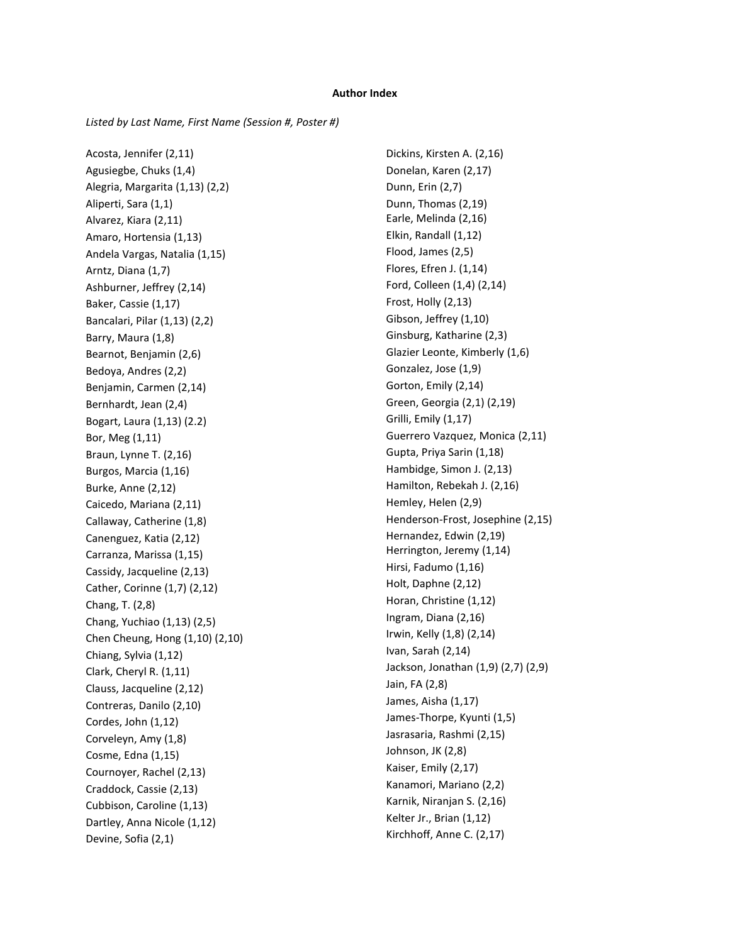#### **Author Index**

*Listed by Last Name, First Name (Session #, Poster #)*

Acosta, Jennifer (2,11) Agusiegbe, Chuks (1,4) Alegria, Margarita (1,13) (2,2) Aliperti, Sara (1,1) Alvarez, Kiara (2,11) Amaro, Hortensia (1,13) Andela Vargas, Natalia (1,15) Arntz, Diana (1,7) Ashburner, Jeffrey (2,14) Baker, Cassie (1,17) Bancalari, Pilar (1,13) (2,2) Barry, Maura (1,8) Bearnot, Benjamin (2,6) Bedoya, Andres (2,2) Benjamin, Carmen (2,14) Bernhardt, Jean (2,4) Bogart, Laura (1,13) (2.2) Bor, Meg (1,11) Braun, Lynne T. (2,16) Burgos, Marcia (1,16) Burke, Anne (2,12) Caicedo, Mariana (2,11) Callaway, Catherine (1,8) Canenguez, Katia (2,12) Carranza, Marissa (1,15) Cassidy, Jacqueline (2,13) Cather, Corinne (1,7) (2,12) Chang, T. (2,8) Chang, Yuchiao (1,13) (2,5) Chen Cheung, Hong (1,10) (2,10) Chiang, Sylvia (1,12) Clark, Cheryl R. (1,11) Clauss, Jacqueline (2,12) Contreras, Danilo (2,10) Cordes, John (1,12) Corveleyn, Amy (1,8) Cosme, Edna (1,15) Cournoyer, Rachel (2,13) Craddock, Cassie (2,13) Cubbison, Caroline (1,13) Dartley, Anna Nicole (1,12) Devine, Sofia (2,1)

Dickins, Kirsten A. (2,16) Donelan, Karen (2,17) Dunn, Erin (2,7) Dunn, Thomas (2,19) Earle, Melinda (2,16) Elkin, Randall (1,12) Flood, James (2,5) Flores, Efren J. (1,14) Ford, Colleen (1,4) (2,14) Frost, Holly (2,13) Gibson, Jeffrey (1,10) Ginsburg, Katharine (2,3) Glazier Leonte, Kimberly (1,6) Gonzalez, Jose (1,9) Gorton, Emily (2,14) Green, Georgia (2,1) (2,19) Grilli, Emily (1,17) Guerrero Vazquez, Monica (2,11) Gupta, Priya Sarin (1,18) Hambidge, Simon J. (2,13) Hamilton, Rebekah J. (2,16) Hemley, Helen (2,9) Henderson-Frost, Josephine (2,15) Hernandez, Edwin (2,19) Herrington, Jeremy (1,14) Hirsi, Fadumo (1,16) Holt, Daphne (2,12) Horan, Christine (1,12) Ingram, Diana (2,16) Irwin, Kelly (1,8) (2,14) Ivan, Sarah (2,14) Jackson, Jonathan (1,9) (2,7) (2,9) Jain, FA (2,8) James, Aisha (1,17) James-Thorpe, Kyunti (1,5) Jasrasaria, Rashmi (2,15) Johnson, JK (2,8) Kaiser, Emily (2,17) Kanamori, Mariano (2,2) Karnik, Niranjan S. (2,16) Kelter Jr., Brian (1,12) Kirchhoff, Anne C. (2,17)